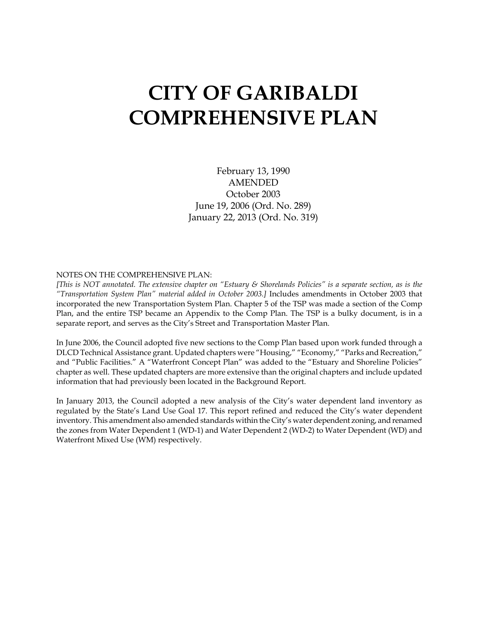# **CITY OF GARIBALDI COMPREHENSIVE PLAN**

February 13, 1990 AMENDED October 2003 June 19, 2006 (Ord. No. 289) January 22, 2013 (Ord. No. 319)

#### NOTES ON THE COMPREHENSIVE PLAN:

*[This is NOT annotated. The extensive chapter on "Estuary & Shorelands Policies" is a separate section, as is the "Transportation System Plan" material added in October 2003.]* Includes amendments in October 2003 that incorporated the new Transportation System Plan. Chapter 5 of the TSP was made a section of the Comp Plan, and the entire TSP became an Appendix to the Comp Plan. The TSP is a bulky document, is in a separate report, and serves as the City's Street and Transportation Master Plan.

In June 2006, the Council adopted five new sections to the Comp Plan based upon work funded through a DLCD Technical Assistance grant. Updated chapters were "Housing," "Economy," "Parks and Recreation," and "Public Facilities." A "Waterfront Concept Plan" was added to the "Estuary and Shoreline Policies" chapter as well. These updated chapters are more extensive than the original chapters and include updated information that had previously been located in the Background Report.

In January 2013, the Council adopted a new analysis of the City's water dependent land inventory as regulated by the State's Land Use Goal 17. This report refined and reduced the City's water dependent inventory. This amendment also amended standards within the City's water dependent zoning, and renamed the zones from Water Dependent 1 (WD-1) and Water Dependent 2 (WD-2) to Water Dependent (WD) and Waterfront Mixed Use (WM) respectively.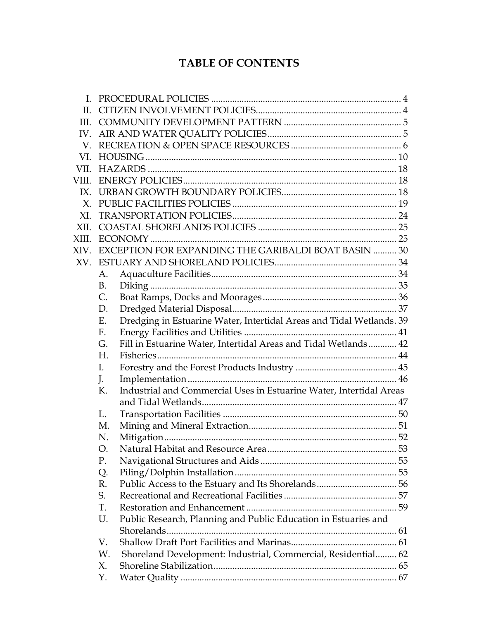# **TABLE OF CONTENTS**

| H.             |             |                                                                      |  |
|----------------|-------------|----------------------------------------------------------------------|--|
| III            |             |                                                                      |  |
| IV.            |             |                                                                      |  |
| V              |             |                                                                      |  |
| VI.            |             |                                                                      |  |
| VII -          |             |                                                                      |  |
| VIII.          |             |                                                                      |  |
|                |             |                                                                      |  |
| $X_{\cdot}$    |             |                                                                      |  |
| X <sub>L</sub> |             |                                                                      |  |
| XII.           |             |                                                                      |  |
| XIII.          |             |                                                                      |  |
| XIV.           |             | EXCEPTION FOR EXPANDING THE GARIBALDI BOAT BASIN  30                 |  |
| XV.            |             |                                                                      |  |
|                | A.          |                                                                      |  |
|                | <b>B.</b>   |                                                                      |  |
|                | C.          |                                                                      |  |
|                | D.          |                                                                      |  |
|                | Ε.          | Dredging in Estuarine Water, Intertidal Areas and Tidal Wetlands. 39 |  |
|                | $F_{\cdot}$ |                                                                      |  |
|                | G.          | Fill in Estuarine Water, Intertidal Areas and Tidal Wetlands 42      |  |
|                | H.          |                                                                      |  |
|                | I.          |                                                                      |  |
|                | J.          |                                                                      |  |
|                | К.          | Industrial and Commercial Uses in Estuarine Water, Intertidal Areas  |  |
|                |             |                                                                      |  |
|                | L.          |                                                                      |  |
|                | M.          |                                                                      |  |
|                | N.          |                                                                      |  |
|                | O.          |                                                                      |  |
|                | Ρ.          |                                                                      |  |
|                | Q.          |                                                                      |  |
|                | R.          |                                                                      |  |
|                | S.          |                                                                      |  |
|                | T.          |                                                                      |  |
|                | U.          | Public Research, Planning and Public Education in Estuaries and      |  |
|                |             |                                                                      |  |
|                | V.          |                                                                      |  |
|                | W.          | Shoreland Development: Industrial, Commercial, Residential 62        |  |
|                | X.          |                                                                      |  |
|                | Y.          |                                                                      |  |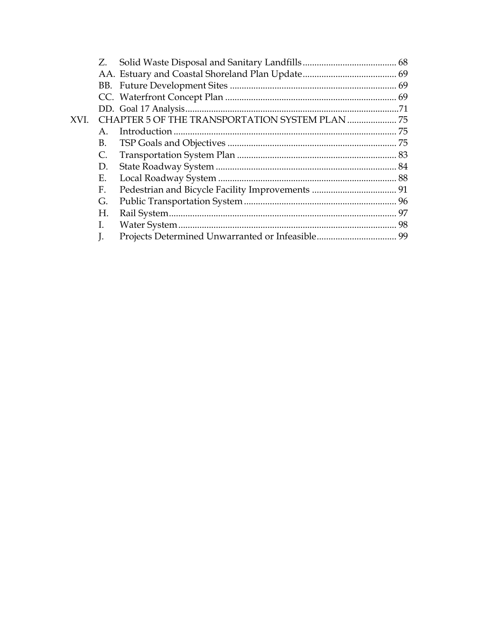|      | Z.             |    |
|------|----------------|----|
|      |                |    |
|      |                |    |
|      |                |    |
|      |                |    |
| XVI. |                |    |
|      | $A_{\cdot}$    |    |
|      | В.             |    |
|      | $\mathsf{C}$ . |    |
|      | D.             |    |
|      | Ε.             |    |
|      | F.             |    |
|      | G.             |    |
|      | Н.             |    |
|      | L              | 98 |
|      | J.             |    |
|      |                |    |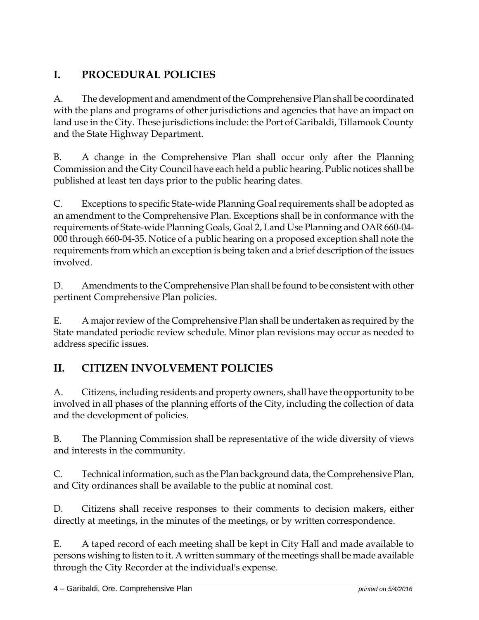# **I. PROCEDURAL POLICIES**

A. The development and amendment of the Comprehensive Plan shall be coordinated with the plans and programs of other jurisdictions and agencies that have an impact on land use in the City. These jurisdictions include: the Port of Garibaldi, Tillamook County and the State Highway Department.

B. A change in the Comprehensive Plan shall occur only after the Planning Commission and the City Council have each held a public hearing. Public notices shall be published at least ten days prior to the public hearing dates.

C. Exceptions to specific State-wide Planning Goal requirements shall be adopted as an amendment to the Comprehensive Plan. Exceptions shall be in conformance with the requirements of State-wide Planning Goals, Goal 2, Land Use Planning and OAR 660-04- 000 through 660-04-35. Notice of a public hearing on a proposed exception shall note the requirements from which an exception is being taken and a brief description of the issues involved.

D. Amendments to the Comprehensive Plan shall be found to be consistent with other pertinent Comprehensive Plan policies.

E. A major review of the Comprehensive Plan shall be undertaken as required by the State mandated periodic review schedule. Minor plan revisions may occur as needed to address specific issues.

## **II. CITIZEN INVOLVEMENT POLICIES**

A. Citizens, including residents and property owners, shall have the opportunity to be involved in all phases of the planning efforts of the City, including the collection of data and the development of policies.

B. The Planning Commission shall be representative of the wide diversity of views and interests in the community.

C. Technical information, such as the Plan background data, the Comprehensive Plan, and City ordinances shall be available to the public at nominal cost.

D. Citizens shall receive responses to their comments to decision makers, either directly at meetings, in the minutes of the meetings, or by written correspondence.

E. A taped record of each meeting shall be kept in City Hall and made available to persons wishing to listen to it. A written summary of the meetings shall be made available through the City Recorder at the individual's expense.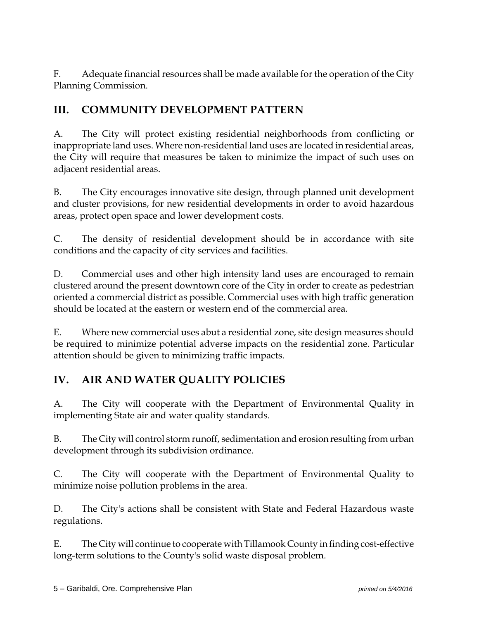F. Adequate financial resources shall be made available for the operation of the City Planning Commission.

## **III. COMMUNITY DEVELOPMENT PATTERN**

A. The City will protect existing residential neighborhoods from conflicting or inappropriate land uses. Where non-residential land uses are located in residential areas, the City will require that measures be taken to minimize the impact of such uses on adjacent residential areas.

B. The City encourages innovative site design, through planned unit development and cluster provisions, for new residential developments in order to avoid hazardous areas, protect open space and lower development costs.

C. The density of residential development should be in accordance with site conditions and the capacity of city services and facilities.

D. Commercial uses and other high intensity land uses are encouraged to remain clustered around the present downtown core of the City in order to create as pedestrian oriented a commercial district as possible. Commercial uses with high traffic generation should be located at the eastern or western end of the commercial area.

E. Where new commercial uses abut a residential zone, site design measures should be required to minimize potential adverse impacts on the residential zone. Particular attention should be given to minimizing traffic impacts.

## **IV. AIR AND WATER QUALITY POLICIES**

A. The City will cooperate with the Department of Environmental Quality in implementing State air and water quality standards.

B. The City will control storm runoff, sedimentation and erosion resulting from urban development through its subdivision ordinance.

C. The City will cooperate with the Department of Environmental Quality to minimize noise pollution problems in the area.

D. The City's actions shall be consistent with State and Federal Hazardous waste regulations.

E. The City will continue to cooperate with Tillamook County in finding cost-effective long-term solutions to the County's solid waste disposal problem.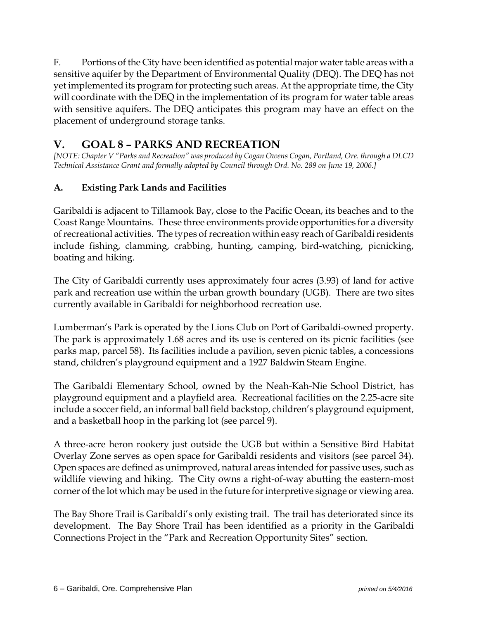F. Portions of the City have been identified as potential major water table areas with a sensitive aquifer by the Department of Environmental Quality (DEQ). The DEQ has not yet implemented its program for protecting such areas. At the appropriate time, the City will coordinate with the DEQ in the implementation of its program for water table areas with sensitive aquifers. The DEQ anticipates this program may have an effect on the placement of underground storage tanks.

## **V. GOAL 8 – PARKS AND RECREATION**

*[NOTE: Chapter V "Parks and Recreation" was produced by Cogan Owens Cogan, Portland, Ore. through a DLCD Technical Assistance Grant and formally adopted by Council through Ord. No. 289 on June 19, 2006.]* 

## **A. Existing Park Lands and Facilities**

Garibaldi is adjacent to Tillamook Bay, close to the Pacific Ocean, its beaches and to the Coast Range Mountains. These three environments provide opportunities for a diversity of recreational activities. The types of recreation within easy reach of Garibaldi residents include fishing, clamming, crabbing, hunting, camping, bird-watching, picnicking, boating and hiking.

The City of Garibaldi currently uses approximately four acres (3.93) of land for active park and recreation use within the urban growth boundary (UGB). There are two sites currently available in Garibaldi for neighborhood recreation use.

Lumberman's Park is operated by the Lions Club on Port of Garibaldi-owned property. The park is approximately 1.68 acres and its use is centered on its picnic facilities (see parks map, parcel 58). Its facilities include a pavilion, seven picnic tables, a concessions stand, children's playground equipment and a 1927 Baldwin Steam Engine.

The Garibaldi Elementary School, owned by the Neah-Kah-Nie School District, has playground equipment and a playfield area. Recreational facilities on the 2.25-acre site include a soccer field, an informal ball field backstop, children's playground equipment, and a basketball hoop in the parking lot (see parcel 9).

A three-acre heron rookery just outside the UGB but within a Sensitive Bird Habitat Overlay Zone serves as open space for Garibaldi residents and visitors (see parcel 34). Open spaces are defined as unimproved, natural areas intended for passive uses, such as wildlife viewing and hiking. The City owns a right-of-way abutting the eastern-most corner of the lot which may be used in the future for interpretive signage or viewing area.

The Bay Shore Trail is Garibaldi's only existing trail. The trail has deteriorated since its development. The Bay Shore Trail has been identified as a priority in the Garibaldi Connections Project in the "Park and Recreation Opportunity Sites" section.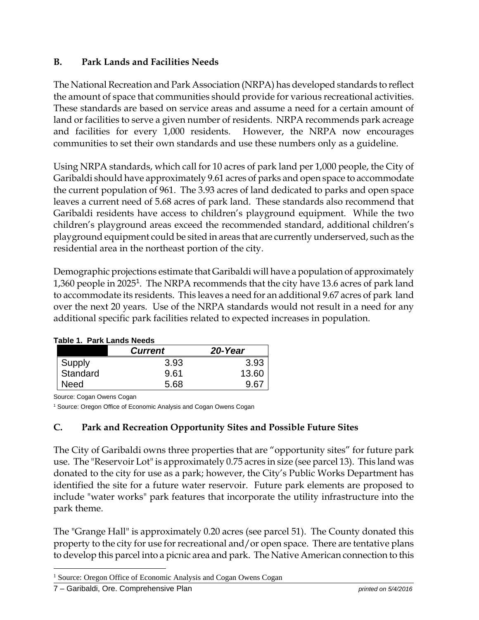#### **B. Park Lands and Facilities Needs**

The National Recreation and Park Association (NRPA) has developed standards to reflect the amount of space that communities should provide for various recreational activities. These standards are based on service areas and assume a need for a certain amount of land or facilities to serve a given number of residents. NRPA recommends park acreage and facilities for every 1,000 residents. However, the NRPA now encourages communities to set their own standards and use these numbers only as a guideline.

Using NRPA standards, which call for 10 acres of park land per 1,000 people, the City of Garibaldi should have approximately 9.61 acres of parks and open space to accommodate the current population of 961. The 3.93 acres of land dedicated to parks and open space leaves a current need of 5.68 acres of park land. These standards also recommend that Garibaldi residents have access to children's playground equipment. While the two children's playground areas exceed the recommended standard, additional children's playground equipment could be sited in areas that are currently underserved, such as the residential area in the northeast portion of the city.

Demographic projections estimate that Garibaldi will have a population of approximately 1,360 people in 2025<sup>1</sup>. The NRPA recommends that the city have 13.6 acres of park land to accommodate its residents. This leaves a need for an additional 9.67 acres of park land over the next 20 years. Use of the NRPA standards would not result in a need for any additional specific park facilities related to expected increases in population.

|          | <b>Current</b> | 20-Year |
|----------|----------------|---------|
| Supply   | 3.93           | 3.93    |
| Standard | 9.61           | 13.60   |
| Need     | 5.68           | 9.61    |

#### **Table 1. Park Lands Needs**

Source: Cogan Owens Cogan

<sup>1</sup> Source: Oregon Office of Economic Analysis and Cogan Owens Cogan

#### **C. Park and Recreation Opportunity Sites and Possible Future Sites**

The City of Garibaldi owns three properties that are "opportunity sites" for future park use. The "Reservoir Lot" is approximately 0.75 acres in size (see parcel 13). This land was donated to the city for use as a park; however, the City's Public Works Department has identified the site for a future water reservoir. Future park elements are proposed to include "water works" park features that incorporate the utility infrastructure into the park theme.

The "Grange Hall" is approximately 0.20 acres (see parcel 51). The County donated this property to the city for use for recreational and/or open space. There are tentative plans to develop this parcel into a picnic area and park. The Native American connection to this

 $\overline{a}$ 

<sup>&</sup>lt;sup>1</sup> Source: Oregon Office of Economic Analysis and Cogan Owens Cogan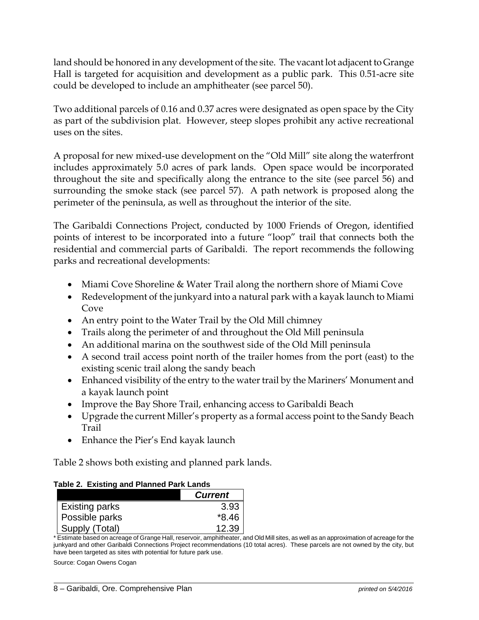land should be honored in any development of the site. The vacant lot adjacent to Grange Hall is targeted for acquisition and development as a public park. This 0.51-acre site could be developed to include an amphitheater (see parcel 50).

Two additional parcels of 0.16 and 0.37 acres were designated as open space by the City as part of the subdivision plat. However, steep slopes prohibit any active recreational uses on the sites.

A proposal for new mixed-use development on the "Old Mill" site along the waterfront includes approximately 5.0 acres of park lands. Open space would be incorporated throughout the site and specifically along the entrance to the site (see parcel 56) and surrounding the smoke stack (see parcel 57). A path network is proposed along the perimeter of the peninsula, as well as throughout the interior of the site.

The Garibaldi Connections Project, conducted by 1000 Friends of Oregon, identified points of interest to be incorporated into a future "loop" trail that connects both the residential and commercial parts of Garibaldi. The report recommends the following parks and recreational developments:

- Miami Cove Shoreline & Water Trail along the northern shore of Miami Cove
- Redevelopment of the junkyard into a natural park with a kayak launch to Miami Cove
- An entry point to the Water Trail by the Old Mill chimney
- Trails along the perimeter of and throughout the Old Mill peninsula
- An additional marina on the southwest side of the Old Mill peninsula
- A second trail access point north of the trailer homes from the port (east) to the existing scenic trail along the sandy beach
- Enhanced visibility of the entry to the water trail by the Mariners' Monument and a kayak launch point
- Improve the Bay Shore Trail, enhancing access to Garibaldi Beach
- Upgrade the current Miller's property as a formal access point to the Sandy Beach Trail
- Enhance the Pier's End kayak launch

Table 2 shows both existing and planned park lands.

| Table 2. Existing and Planned Park Lands |
|------------------------------------------|
|------------------------------------------|

|                       | <b>Current</b> |
|-----------------------|----------------|
| <b>Existing parks</b> | 3.93           |
| Possible parks        | $*8.46$        |
| Supply (Total)        | 12.39          |

\* Estimate based on acreage of Grange Hall, reservoir, amphitheater, and Old Mill sites, as well as an approximation of acreage for the junkyard and other Garibaldi Connections Project recommendations (10 total acres). These parcels are not owned by the city, but have been targeted as sites with potential for future park use.

Source: Cogan Owens Cogan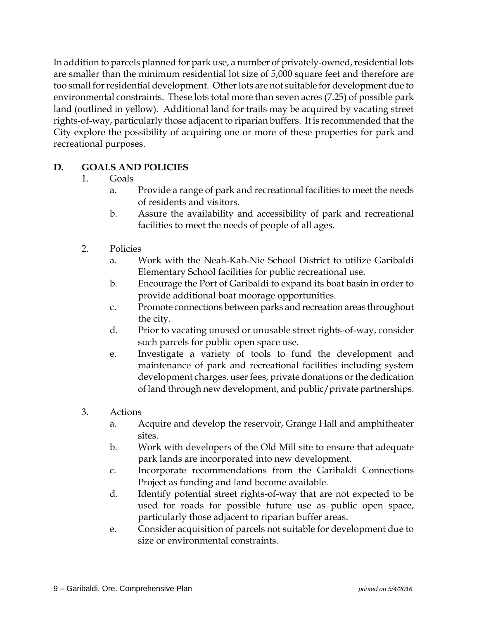In addition to parcels planned for park use, a number of privately-owned, residential lots are smaller than the minimum residential lot size of 5,000 square feet and therefore are too small for residential development. Other lots are not suitable for development due to environmental constraints. These lots total more than seven acres (7.25) of possible park land (outlined in yellow). Additional land for trails may be acquired by vacating street rights-of-way, particularly those adjacent to riparian buffers. It is recommended that the City explore the possibility of acquiring one or more of these properties for park and recreational purposes.

## **D. GOALS AND POLICIES**

- 1. Goals
	- a. Provide a range of park and recreational facilities to meet the needs of residents and visitors.
	- b. Assure the availability and accessibility of park and recreational facilities to meet the needs of people of all ages.
- 2. Policies
	- a. Work with the Neah-Kah-Nie School District to utilize Garibaldi Elementary School facilities for public recreational use.
	- b. Encourage the Port of Garibaldi to expand its boat basin in order to provide additional boat moorage opportunities.
	- c. Promote connections between parks and recreation areas throughout the city.
	- d. Prior to vacating unused or unusable street rights-of-way, consider such parcels for public open space use.
	- e. Investigate a variety of tools to fund the development and maintenance of park and recreational facilities including system development charges, user fees, private donations or the dedication of land through new development, and public/private partnerships.
- 3. Actions
	- a. Acquire and develop the reservoir, Grange Hall and amphitheater sites.
	- b. Work with developers of the Old Mill site to ensure that adequate park lands are incorporated into new development.
	- c. Incorporate recommendations from the Garibaldi Connections Project as funding and land become available.
	- d. Identify potential street rights-of-way that are not expected to be used for roads for possible future use as public open space, particularly those adjacent to riparian buffer areas.
	- e. Consider acquisition of parcels not suitable for development due to size or environmental constraints.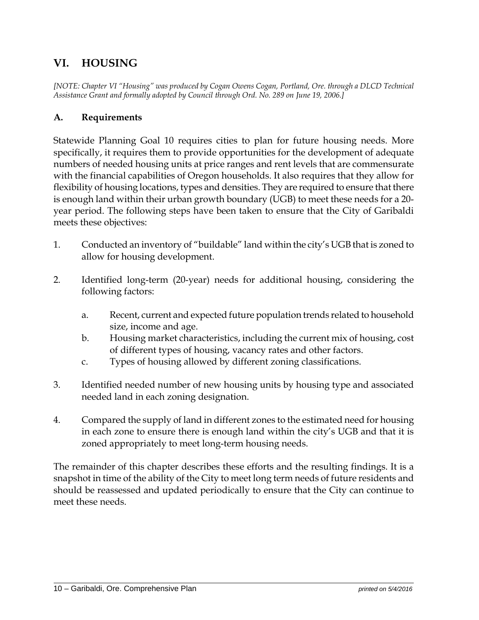## **VI. HOUSING**

*[NOTE: Chapter VI "Housing" was produced by Cogan Owens Cogan, Portland, Ore. through a DLCD Technical Assistance Grant and formally adopted by Council through Ord. No. 289 on June 19, 2006.]* 

#### **A. Requirements**

Statewide Planning Goal 10 requires cities to plan for future housing needs. More specifically, it requires them to provide opportunities for the development of adequate numbers of needed housing units at price ranges and rent levels that are commensurate with the financial capabilities of Oregon households. It also requires that they allow for flexibility of housing locations, types and densities. They are required to ensure that there is enough land within their urban growth boundary (UGB) to meet these needs for a 20 year period. The following steps have been taken to ensure that the City of Garibaldi meets these objectives:

- 1. Conducted an inventory of "buildable" land within the city's UGB that is zoned to allow for housing development.
- 2. Identified long-term (20-year) needs for additional housing, considering the following factors:
	- a. Recent, current and expected future population trends related to household size, income and age.
	- b. Housing market characteristics, including the current mix of housing, cost of different types of housing, vacancy rates and other factors.
	- c. Types of housing allowed by different zoning classifications.
- 3. Identified needed number of new housing units by housing type and associated needed land in each zoning designation.
- 4. Compared the supply of land in different zones to the estimated need for housing in each zone to ensure there is enough land within the city's UGB and that it is zoned appropriately to meet long-term housing needs.

The remainder of this chapter describes these efforts and the resulting findings. It is a snapshot in time of the ability of the City to meet long term needs of future residents and should be reassessed and updated periodically to ensure that the City can continue to meet these needs.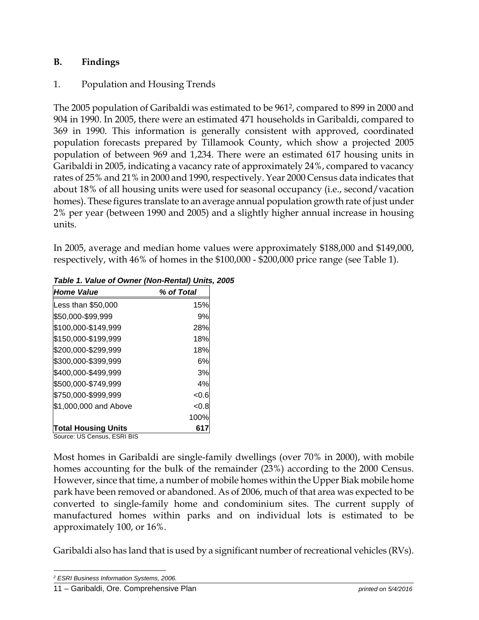#### **B. Findings**

## 1. Population and Housing Trends

The 2005 population of Garibaldi was estimated to be 9612, compared to 899 in 2000 and 904 in 1990. In 2005, there were an estimated 471 households in Garibaldi, compared to 369 in 1990. This information is generally consistent with approved, coordinated population forecasts prepared by Tillamook County, which show a projected 2005 population of between 969 and 1,234. There were an estimated 617 housing units in Garibaldi in 2005, indicating a vacancy rate of approximately 24%, compared to vacancy rates of 25% and 21% in 2000 and 1990, respectively. Year 2000 Census data indicates that about 18% of all housing units were used for seasonal occupancy (i.e., second/vacation homes). These figures translate to an average annual population growth rate of just under 2% per year (between 1990 and 2005) and a slightly higher annual increase in housing units.

In 2005, average and median home values were approximately \$188,000 and \$149,000, respectively, with 46% of homes in the \$100,000 - \$200,000 price range (see Table 1).

| <b>Home Value</b>                                                  | % of Total |
|--------------------------------------------------------------------|------------|
| Less than \$50,000                                                 | 15%        |
| \$50,000-\$99,999                                                  | 9%         |
| \$100,000-\$149,999                                                | 28%        |
| \$150,000-\$199,999                                                | 18%        |
| \$200,000-\$299,999                                                | 18%        |
| \$300,000-\$399,999                                                | 6%         |
| \$400,000-\$499,999                                                | 3%         |
| \$500,000-\$749,999                                                | 4%         |
| \$750,000-\$999,999                                                | < 0.6      |
| \$1,000,000 and Above                                              | < 0.8      |
|                                                                    | 100%       |
| <b>Total Housing Units</b><br>$\cdots$ se LIC Cassus $\Box$ CDLDIC | 617        |

*Table 1. Value of Owner (Non-Rental) Units, 2005* 

Source: US Census, ESRI BIS

Most homes in Garibaldi are single-family dwellings (over 70% in 2000), with mobile homes accounting for the bulk of the remainder (23%) according to the 2000 Census. However, since that time, a number of mobile homes within the Upper Biak mobile home park have been removed or abandoned. As of 2006, much of that area was expected to be converted to single-family home and condominium sites. The current supply of manufactured homes within parks and on individual lots is estimated to be approximately 100, or 16%.

Garibaldi also has land that is used by a significant number of recreational vehicles (RVs).

 $\overline{a}$ *2 ESRI Business Information Systems, 2006.*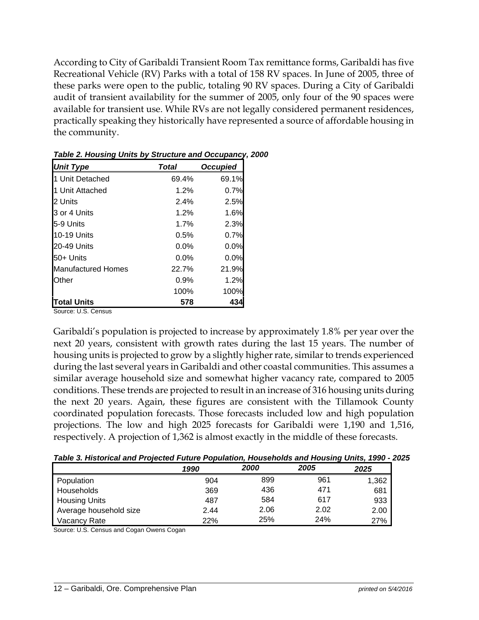According to City of Garibaldi Transient Room Tax remittance forms, Garibaldi has five Recreational Vehicle (RV) Parks with a total of 158 RV spaces. In June of 2005, three of these parks were open to the public, totaling 90 RV spaces. During a City of Garibaldi audit of transient availability for the summer of 2005, only four of the 90 spaces were available for transient use. While RVs are not legally considered permanent residences, practically speaking they historically have represented a source of affordable housing in the community.

| <b>Unit Type</b>   | Total   | <b>Occupied</b> |
|--------------------|---------|-----------------|
| 1 Unit Detached    | 69.4%   | 69.1%           |
| 1 Unit Attached    | 1.2%    | 0.7%            |
| 2 Units            | 2.4%    | 2.5%            |
| 3 or 4 Units       | 1.2%    | 1.6%            |
| l5-9 Units         | 1.7%    | 2.3%            |
| 10-19 Units        | 0.5%    | 0.7%            |
| 20-49 Units        | $0.0\%$ | 0.0%            |
| 50+ Units          | 0.0%    | 0.0%            |
| Manufactured Homes | 22.7%   | 21.9%           |
| Other              | 0.9%    | 1.2%            |
|                    | 100%    | 100%            |
| <b>Total Units</b> | 578     | 434             |

| Table 2. Housing Units by Structure and Occupancy, 2000 |  |  |
|---------------------------------------------------------|--|--|
|                                                         |  |  |

Source: U.S. Census

Garibaldi's population is projected to increase by approximately 1.8% per year over the next 20 years, consistent with growth rates during the last 15 years. The number of housing units is projected to grow by a slightly higher rate, similar to trends experienced during the last several years in Garibaldi and other coastal communities. This assumes a similar average household size and somewhat higher vacancy rate, compared to 2005 conditions. These trends are projected to result in an increase of 316 housing units during the next 20 years. Again, these figures are consistent with the Tillamook County coordinated population forecasts. Those forecasts included low and high population projections. The low and high 2025 forecasts for Garibaldi were 1,190 and 1,516, respectively. A projection of 1,362 is almost exactly in the middle of these forecasts.

*Table 3. Historical and Projected Future Population, Households and Housing Units, 1990 - 2025* 

|                        | 1990 | 2000 | 2005 | 2025  |
|------------------------|------|------|------|-------|
| Population             | 904  | 899  | 961  | 1,362 |
| Households             | 369  | 436  | 471  | 681   |
| <b>Housing Units</b>   | 487  | 584  | 617  | 933   |
| Average household size | 2.44 | 2.06 | 2.02 | 2.00  |
| Vacancy Rate           | 22%  | 25%  | 24%  | 27%   |

Source: U.S. Census and Cogan Owens Cogan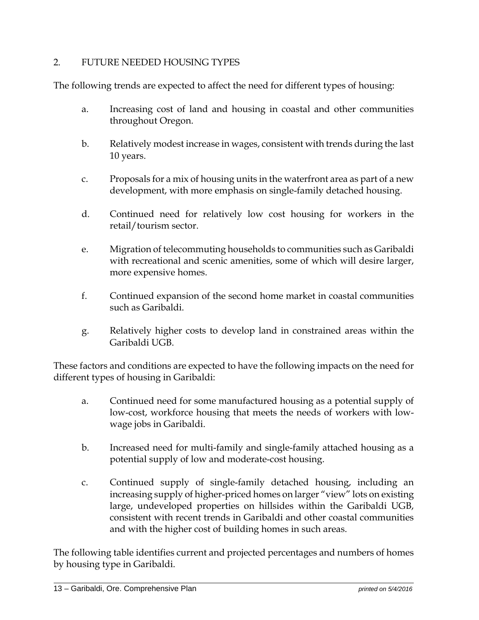#### 2. FUTURE NEEDED HOUSING TYPES

The following trends are expected to affect the need for different types of housing:

- a. Increasing cost of land and housing in coastal and other communities throughout Oregon.
- b. Relatively modest increase in wages, consistent with trends during the last 10 years.
- c. Proposals for a mix of housing units in the waterfront area as part of a new development, with more emphasis on single-family detached housing.
- d. Continued need for relatively low cost housing for workers in the retail/tourism sector.
- e. Migration of telecommuting households to communities such as Garibaldi with recreational and scenic amenities, some of which will desire larger, more expensive homes.
- f. Continued expansion of the second home market in coastal communities such as Garibaldi.
- g. Relatively higher costs to develop land in constrained areas within the Garibaldi UGB.

These factors and conditions are expected to have the following impacts on the need for different types of housing in Garibaldi:

- a. Continued need for some manufactured housing as a potential supply of low-cost, workforce housing that meets the needs of workers with lowwage jobs in Garibaldi.
- b. Increased need for multi-family and single-family attached housing as a potential supply of low and moderate-cost housing.
- c. Continued supply of single-family detached housing, including an increasing supply of higher-priced homes on larger "view" lots on existing large, undeveloped properties on hillsides within the Garibaldi UGB, consistent with recent trends in Garibaldi and other coastal communities and with the higher cost of building homes in such areas.

The following table identifies current and projected percentages and numbers of homes by housing type in Garibaldi.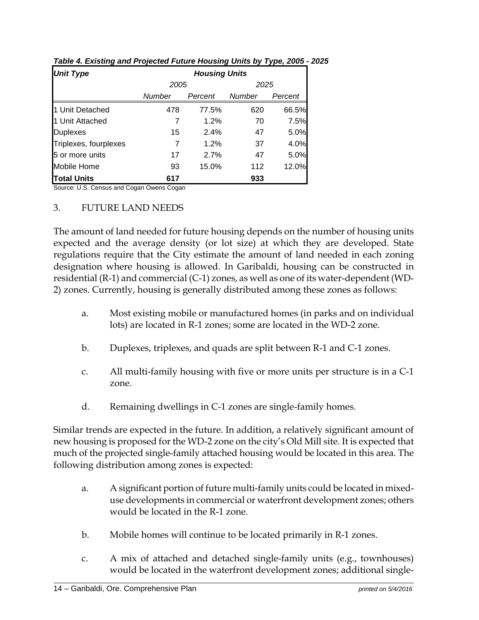| <b>Unit Type</b>      | <b>Housing Units</b> |         |        |         |  |  |  |
|-----------------------|----------------------|---------|--------|---------|--|--|--|
|                       | 2005                 |         | 2025   |         |  |  |  |
|                       | Number               | Percent | Number | Percent |  |  |  |
| 1 Unit Detached       | 478                  | 77.5%   | 620    | 66.5%   |  |  |  |
| 1 Unit Attached       | 7                    | 1.2%    | 70     | 7.5%    |  |  |  |
| <b>Duplexes</b>       | 15                   | 2.4%    | 47     | 5.0%    |  |  |  |
| Triplexes, fourplexes | 7                    | 1.2%    | 37     | 4.0%    |  |  |  |
| 5 or more units       | 17                   | 2.7%    | 47     | 5.0%    |  |  |  |
| <b>Mobile Home</b>    | 93                   | 15.0%   | 112    | 12.0%   |  |  |  |
| <b>Total Units</b>    | 617                  |         | 933    |         |  |  |  |

*Table 4. Existing and Projected Future Housing Units by Type, 2005 - 2025* 

Source: U.S. Census and Cogan Owens Cogan

#### 3. FUTURE LAND NEEDS

The amount of land needed for future housing depends on the number of housing units expected and the average density (or lot size) at which they are developed. State regulations require that the City estimate the amount of land needed in each zoning designation where housing is allowed. In Garibaldi, housing can be constructed in residential (R-1) and commercial (C-1) zones, as well as one of its water-dependent (WD-2) zones. Currently, housing is generally distributed among these zones as follows:

- a. Most existing mobile or manufactured homes (in parks and on individual lots) are located in R-1 zones; some are located in the WD-2 zone.
- b. Duplexes, triplexes, and quads are split between R-1 and C-1 zones.
- c. All multi-family housing with five or more units per structure is in a C-1 zone.
- d. Remaining dwellings in C-1 zones are single-family homes.

Similar trends are expected in the future. In addition, a relatively significant amount of new housing is proposed for the WD-2 zone on the city's Old Mill site. It is expected that much of the projected single-family attached housing would be located in this area. The following distribution among zones is expected:

- a. A significant portion of future multi-family units could be located in mixeduse developments in commercial or waterfront development zones; others would be located in the R-1 zone.
- b. Mobile homes will continue to be located primarily in R-1 zones.
- c. A mix of attached and detached single-family units (e.g., townhouses) would be located in the waterfront development zones; additional single-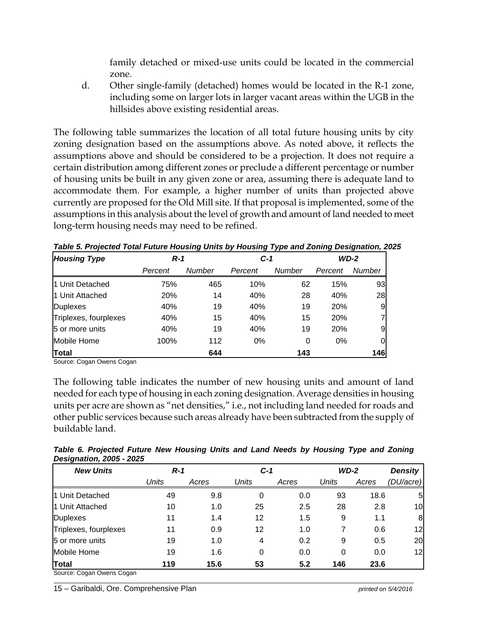family detached or mixed-use units could be located in the commercial zone.

d. Other single-family (detached) homes would be located in the R-1 zone, including some on larger lots in larger vacant areas within the UGB in the hillsides above existing residential areas.

The following table summarizes the location of all total future housing units by city zoning designation based on the assumptions above. As noted above, it reflects the assumptions above and should be considered to be a projection. It does not require a certain distribution among different zones or preclude a different percentage or number of housing units be built in any given zone or area, assuming there is adequate land to accommodate them. For example, a higher number of units than projected above currently are proposed for the Old Mill site. If that proposal is implemented, some of the assumptions in this analysis about the level of growth and amount of land needed to meet long-term housing needs may need to be refined.

| <b>Housing Type</b>   | $R-1$   |        | $C-1$   |               | $WD-2$  |                |
|-----------------------|---------|--------|---------|---------------|---------|----------------|
|                       | Percent | Number | Percent | <b>Number</b> | Percent | Number         |
| 1 Unit Detached       | 75%     | 465    | 10%     | 62            | 15%     | 93             |
| 1 Unit Attached       | 20%     | 14     | 40%     | 28            | 40%     | 28             |
| <b>Duplexes</b>       | 40%     | 19     | 40%     | 19            | 20%     | 9              |
| Triplexes, fourplexes | 40%     | 15     | 40%     | 15            | 20%     | $\overline{7}$ |
| 5 or more units       | 40%     | 19     | 40%     | 19            | 20%     | 9              |
| Mobile Home           | 100%    | 112    | 0%      | 0             | 0%      | 0              |
| <b>Total</b>          |         | 644    |         | 143           |         | 146            |

*Table 5. Projected Total Future Housing Units by Housing Type and Zoning Designation, 2025* 

Source: Cogan Owens Cogan

The following table indicates the number of new housing units and amount of land needed for each type of housing in each zoning designation. Average densities in housing units per acre are shown as "net densities," i.e., not including land needed for roads and other public services because such areas already have been subtracted from the supply of buildable land.

| Table 6. Projected Future New Housing Units and Land Needs by Housing Type and Zoning |  |  |  |  |  |
|---------------------------------------------------------------------------------------|--|--|--|--|--|
| <b>Designation, 2005 - 2025</b>                                                       |  |  |  |  |  |

| <b>New Units</b>          | $R-1$        |       | $C-1$        |       | $WD-2$ |       | <b>Density</b> |
|---------------------------|--------------|-------|--------------|-------|--------|-------|----------------|
|                           | <b>Units</b> | Acres | <b>Units</b> | Acres | Units  | Acres | (DU/acre)      |
| 1 Unit Detached           | 49           | 9.8   | 0            | 0.0   | 93     | 18.6  | 5              |
| 1 Unit Attached           | 10           | 1.0   | 25           | 2.5   | 28     | 2.8   | 10             |
| <b>Duplexes</b>           | 11           | 1.4   | 12           | 1.5   | 9      | 1.1   | 8              |
| Triplexes, fourplexes     | 11           | 0.9   | 12           | 1.0   |        | 0.6   | 12             |
| 5 or more units           | 19           | 1.0   | 4            | 0.2   | 9      | 0.5   | 20             |
| Mobile Home               | 19           | 1.6   | 0            | 0.0   | 0      | 0.0   | 12             |
| Total                     | 119          | 15.6  | 53           | 5.2   | 146    | 23.6  |                |
| Source: Cogan Owens Cogan |              |       |              |       |        |       |                |

15 – Garibaldi, Ore. Comprehensive Plan *printed on 5/4/2016*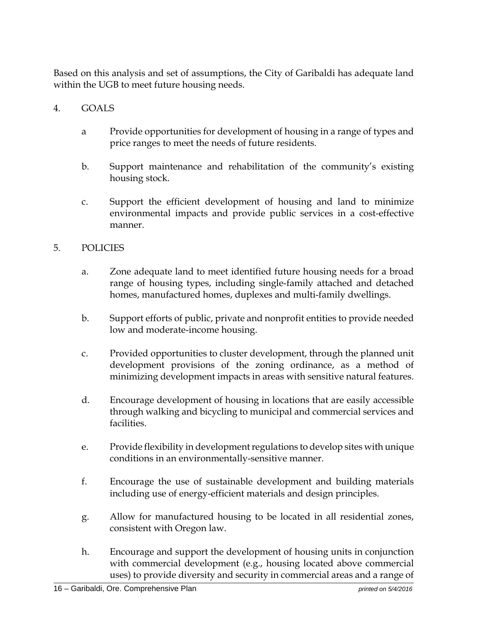Based on this analysis and set of assumptions, the City of Garibaldi has adequate land within the UGB to meet future housing needs.

## 4. GOALS

- a Provide opportunities for development of housing in a range of types and price ranges to meet the needs of future residents.
- b. Support maintenance and rehabilitation of the community's existing housing stock.
- c. Support the efficient development of housing and land to minimize environmental impacts and provide public services in a cost-effective manner.

## 5. POLICIES

- a. Zone adequate land to meet identified future housing needs for a broad range of housing types, including single-family attached and detached homes, manufactured homes, duplexes and multi-family dwellings.
- b. Support efforts of public, private and nonprofit entities to provide needed low and moderate-income housing.
- c. Provided opportunities to cluster development, through the planned unit development provisions of the zoning ordinance, as a method of minimizing development impacts in areas with sensitive natural features.
- d. Encourage development of housing in locations that are easily accessible through walking and bicycling to municipal and commercial services and facilities.
- e. Provide flexibility in development regulations to develop sites with unique conditions in an environmentally-sensitive manner.
- f. Encourage the use of sustainable development and building materials including use of energy-efficient materials and design principles.
- g. Allow for manufactured housing to be located in all residential zones, consistent with Oregon law.
- h. Encourage and support the development of housing units in conjunction with commercial development (e.g., housing located above commercial uses) to provide diversity and security in commercial areas and a range of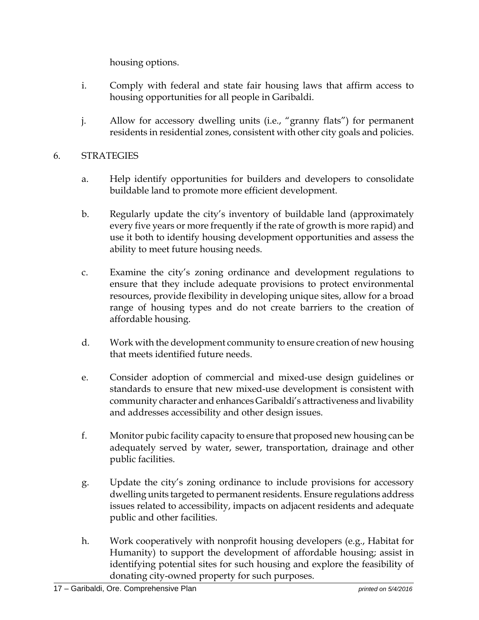housing options.

- i. Comply with federal and state fair housing laws that affirm access to housing opportunities for all people in Garibaldi.
- j. Allow for accessory dwelling units (i.e., "granny flats") for permanent residents in residential zones, consistent with other city goals and policies.

#### 6. STRATEGIES

- a. Help identify opportunities for builders and developers to consolidate buildable land to promote more efficient development.
- b. Regularly update the city's inventory of buildable land (approximately every five years or more frequently if the rate of growth is more rapid) and use it both to identify housing development opportunities and assess the ability to meet future housing needs.
- c. Examine the city's zoning ordinance and development regulations to ensure that they include adequate provisions to protect environmental resources, provide flexibility in developing unique sites, allow for a broad range of housing types and do not create barriers to the creation of affordable housing.
- d. Work with the development community to ensure creation of new housing that meets identified future needs.
- e. Consider adoption of commercial and mixed-use design guidelines or standards to ensure that new mixed-use development is consistent with community character and enhances Garibaldi's attractiveness and livability and addresses accessibility and other design issues.
- f. Monitor pubic facility capacity to ensure that proposed new housing can be adequately served by water, sewer, transportation, drainage and other public facilities.
- g. Update the city's zoning ordinance to include provisions for accessory dwelling units targeted to permanent residents. Ensure regulations address issues related to accessibility, impacts on adjacent residents and adequate public and other facilities.
- h. Work cooperatively with nonprofit housing developers (e.g., Habitat for Humanity) to support the development of affordable housing; assist in identifying potential sites for such housing and explore the feasibility of donating city-owned property for such purposes.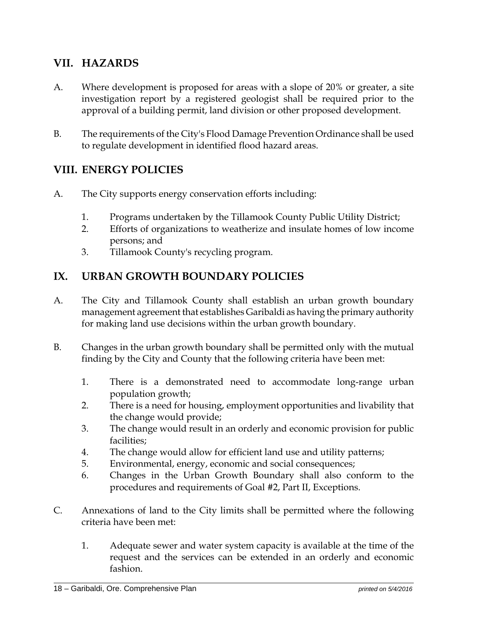## **VII. HAZARDS**

- A. Where development is proposed for areas with a slope of 20% or greater, a site investigation report by a registered geologist shall be required prior to the approval of a building permit, land division or other proposed development.
- B. The requirements of the City's Flood Damage Prevention Ordinance shall be used to regulate development in identified flood hazard areas.

## **VIII. ENERGY POLICIES**

- A. The City supports energy conservation efforts including:
	- 1. Programs undertaken by the Tillamook County Public Utility District;
	- 2. Efforts of organizations to weatherize and insulate homes of low income persons; and
	- 3. Tillamook County's recycling program.

## **IX. URBAN GROWTH BOUNDARY POLICIES**

- A. The City and Tillamook County shall establish an urban growth boundary management agreement that establishes Garibaldi as having the primary authority for making land use decisions within the urban growth boundary.
- B. Changes in the urban growth boundary shall be permitted only with the mutual finding by the City and County that the following criteria have been met:
	- 1. There is a demonstrated need to accommodate long-range urban population growth;
	- 2. There is a need for housing, employment opportunities and livability that the change would provide;
	- 3. The change would result in an orderly and economic provision for public facilities;
	- 4. The change would allow for efficient land use and utility patterns;
	- 5. Environmental, energy, economic and social consequences;
	- 6. Changes in the Urban Growth Boundary shall also conform to the procedures and requirements of Goal #2, Part II, Exceptions.
- C. Annexations of land to the City limits shall be permitted where the following criteria have been met:
	- 1. Adequate sewer and water system capacity is available at the time of the request and the services can be extended in an orderly and economic fashion.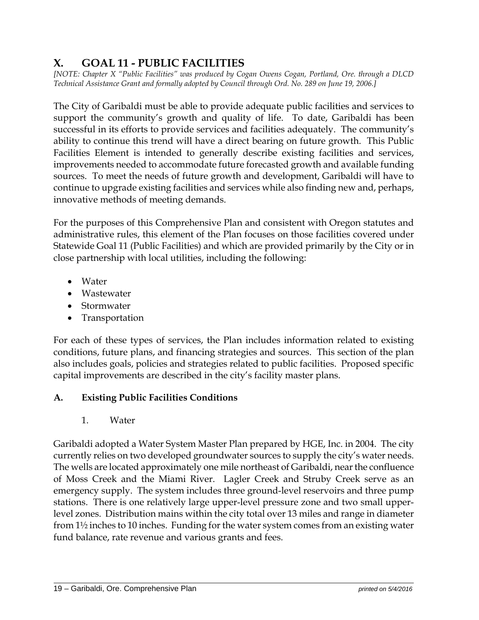## **X. GOAL 11 - PUBLIC FACILITIES**

*[NOTE: Chapter X "Public Facilities" was produced by Cogan Owens Cogan, Portland, Ore. through a DLCD Technical Assistance Grant and formally adopted by Council through Ord. No. 289 on June 19, 2006.]* 

The City of Garibaldi must be able to provide adequate public facilities and services to support the community's growth and quality of life. To date, Garibaldi has been successful in its efforts to provide services and facilities adequately. The community's ability to continue this trend will have a direct bearing on future growth. This Public Facilities Element is intended to generally describe existing facilities and services, improvements needed to accommodate future forecasted growth and available funding sources. To meet the needs of future growth and development, Garibaldi will have to continue to upgrade existing facilities and services while also finding new and, perhaps, innovative methods of meeting demands.

For the purposes of this Comprehensive Plan and consistent with Oregon statutes and administrative rules, this element of the Plan focuses on those facilities covered under Statewide Goal 11 (Public Facilities) and which are provided primarily by the City or in close partnership with local utilities, including the following:

- Water
- Wastewater
- Stormwater
- Transportation

For each of these types of services, the Plan includes information related to existing conditions, future plans, and financing strategies and sources. This section of the plan also includes goals, policies and strategies related to public facilities. Proposed specific capital improvements are described in the city's facility master plans.

## **A. Existing Public Facilities Conditions**

1. Water

Garibaldi adopted a Water System Master Plan prepared by HGE, Inc. in 2004. The city currently relies on two developed groundwater sources to supply the city's water needs. The wells are located approximately one mile northeast of Garibaldi, near the confluence of Moss Creek and the Miami River. Lagler Creek and Struby Creek serve as an emergency supply. The system includes three ground-level reservoirs and three pump stations. There is one relatively large upper-level pressure zone and two small upperlevel zones. Distribution mains within the city total over 13 miles and range in diameter from 1½ inches to 10 inches. Funding for the water system comes from an existing water fund balance, rate revenue and various grants and fees.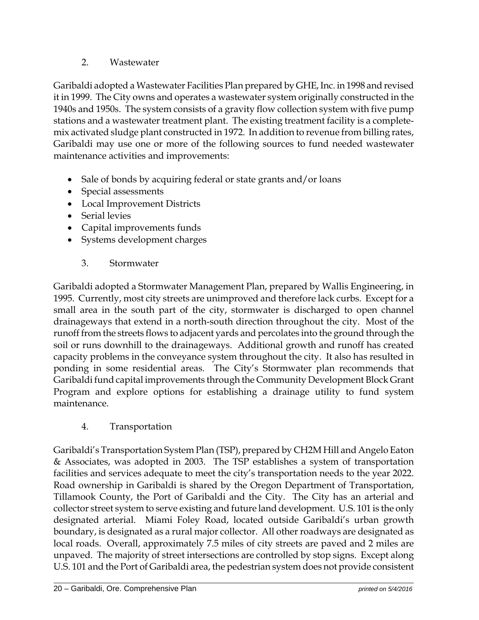## 2. Wastewater

Garibaldi adopted a Wastewater Facilities Plan prepared by GHE, Inc. in 1998 and revised it in 1999. The City owns and operates a wastewater system originally constructed in the 1940s and 1950s. The system consists of a gravity flow collection system with five pump stations and a wastewater treatment plant. The existing treatment facility is a completemix activated sludge plant constructed in 1972. In addition to revenue from billing rates, Garibaldi may use one or more of the following sources to fund needed wastewater maintenance activities and improvements:

- Sale of bonds by acquiring federal or state grants and/or loans
- Special assessments
- Local Improvement Districts
- Serial levies
- Capital improvements funds
- Systems development charges
	- 3. Stormwater

Garibaldi adopted a Stormwater Management Plan, prepared by Wallis Engineering, in 1995. Currently, most city streets are unimproved and therefore lack curbs. Except for a small area in the south part of the city, stormwater is discharged to open channel drainageways that extend in a north-south direction throughout the city. Most of the runoff from the streets flows to adjacent yards and percolates into the ground through the soil or runs downhill to the drainageways. Additional growth and runoff has created capacity problems in the conveyance system throughout the city. It also has resulted in ponding in some residential areas. The City's Stormwater plan recommends that Garibaldi fund capital improvements through the Community Development Block Grant Program and explore options for establishing a drainage utility to fund system maintenance.

4. Transportation

Garibaldi's Transportation System Plan (TSP), prepared by CH2M Hill and Angelo Eaton & Associates, was adopted in 2003. The TSP establishes a system of transportation facilities and services adequate to meet the city's transportation needs to the year 2022. Road ownership in Garibaldi is shared by the Oregon Department of Transportation, Tillamook County, the Port of Garibaldi and the City. The City has an arterial and collector street system to serve existing and future land development. U.S. 101 is the only designated arterial. Miami Foley Road, located outside Garibaldi's urban growth boundary, is designated as a rural major collector. All other roadways are designated as local roads. Overall, approximately 7.5 miles of city streets are paved and 2 miles are unpaved. The majority of street intersections are controlled by stop signs. Except along U.S. 101 and the Port of Garibaldi area, the pedestrian system does not provide consistent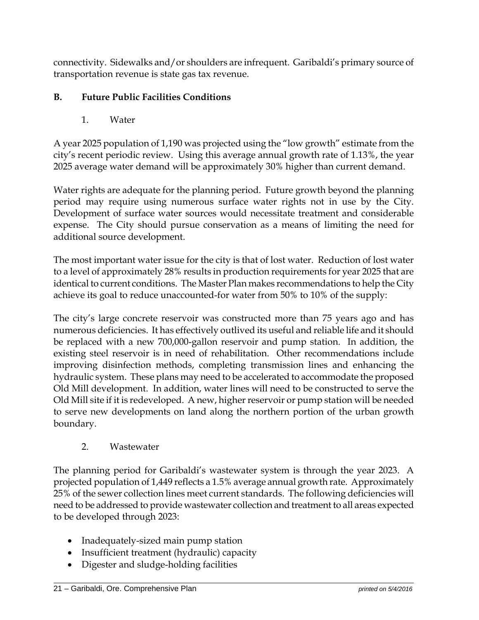connectivity. Sidewalks and/or shoulders are infrequent. Garibaldi's primary source of transportation revenue is state gas tax revenue.

## **B. Future Public Facilities Conditions**

1. Water

A year 2025 population of 1,190 was projected using the "low growth" estimate from the city's recent periodic review. Using this average annual growth rate of 1.13%, the year 2025 average water demand will be approximately 30% higher than current demand.

Water rights are adequate for the planning period. Future growth beyond the planning period may require using numerous surface water rights not in use by the City. Development of surface water sources would necessitate treatment and considerable expense. The City should pursue conservation as a means of limiting the need for additional source development.

The most important water issue for the city is that of lost water. Reduction of lost water to a level of approximately 28% results in production requirements for year 2025 that are identical to current conditions. The Master Plan makes recommendations to help the City achieve its goal to reduce unaccounted-for water from 50% to 10% of the supply:

The city's large concrete reservoir was constructed more than 75 years ago and has numerous deficiencies. It has effectively outlived its useful and reliable life and it should be replaced with a new 700,000-gallon reservoir and pump station. In addition, the existing steel reservoir is in need of rehabilitation. Other recommendations include improving disinfection methods, completing transmission lines and enhancing the hydraulic system. These plans may need to be accelerated to accommodate the proposed Old Mill development. In addition, water lines will need to be constructed to serve the Old Mill site if it is redeveloped. A new, higher reservoir or pump station will be needed to serve new developments on land along the northern portion of the urban growth boundary.

## 2. Wastewater

The planning period for Garibaldi's wastewater system is through the year 2023. A projected population of 1,449 reflects a 1.5% average annual growth rate. Approximately 25% of the sewer collection lines meet current standards. The following deficiencies will need to be addressed to provide wastewater collection and treatment to all areas expected to be developed through 2023:

- Inadequately-sized main pump station
- Insufficient treatment (hydraulic) capacity
- Digester and sludge-holding facilities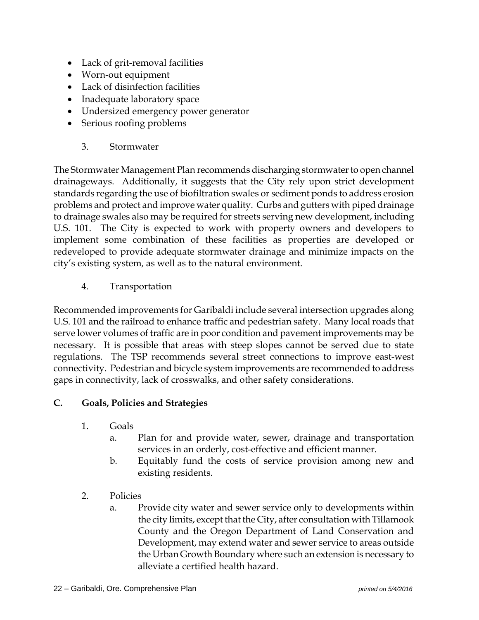- Lack of grit-removal facilities
- Worn-out equipment
- Lack of disinfection facilities
- Inadequate laboratory space
- Undersized emergency power generator
- Serious roofing problems
	- 3. Stormwater

The Stormwater Management Plan recommends discharging stormwater to open channel drainageways. Additionally, it suggests that the City rely upon strict development standards regarding the use of biofiltration swales or sediment ponds to address erosion problems and protect and improve water quality. Curbs and gutters with piped drainage to drainage swales also may be required for streets serving new development, including U.S. 101. The City is expected to work with property owners and developers to implement some combination of these facilities as properties are developed or redeveloped to provide adequate stormwater drainage and minimize impacts on the city's existing system, as well as to the natural environment.

4. Transportation

Recommended improvements for Garibaldi include several intersection upgrades along U.S. 101 and the railroad to enhance traffic and pedestrian safety. Many local roads that serve lower volumes of traffic are in poor condition and pavement improvements may be necessary. It is possible that areas with steep slopes cannot be served due to state regulations. The TSP recommends several street connections to improve east-west connectivity. Pedestrian and bicycle system improvements are recommended to address gaps in connectivity, lack of crosswalks, and other safety considerations.

## **C. Goals, Policies and Strategies**

- 1. Goals
	- a. Plan for and provide water, sewer, drainage and transportation services in an orderly, cost-effective and efficient manner.
	- b. Equitably fund the costs of service provision among new and existing residents.
- 2. Policies
	- a. Provide city water and sewer service only to developments within the city limits, except that the City, after consultation with Tillamook County and the Oregon Department of Land Conservation and Development, may extend water and sewer service to areas outside the Urban Growth Boundary where such an extension is necessary to alleviate a certified health hazard.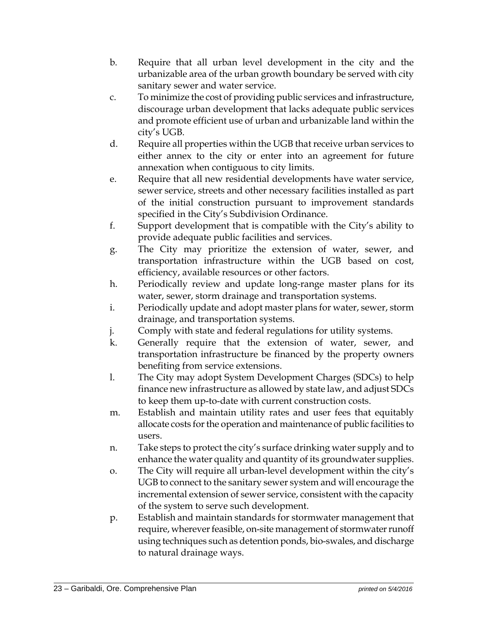- b. Require that all urban level development in the city and the urbanizable area of the urban growth boundary be served with city sanitary sewer and water service.
- c. To minimize the cost of providing public services and infrastructure, discourage urban development that lacks adequate public services and promote efficient use of urban and urbanizable land within the city's UGB.
- d. Require all properties within the UGB that receive urban services to either annex to the city or enter into an agreement for future annexation when contiguous to city limits.
- e. Require that all new residential developments have water service, sewer service, streets and other necessary facilities installed as part of the initial construction pursuant to improvement standards specified in the City's Subdivision Ordinance.
- f. Support development that is compatible with the City's ability to provide adequate public facilities and services.
- g. The City may prioritize the extension of water, sewer, and transportation infrastructure within the UGB based on cost, efficiency, available resources or other factors.
- h. Periodically review and update long-range master plans for its water, sewer, storm drainage and transportation systems.
- i. Periodically update and adopt master plans for water, sewer, storm drainage, and transportation systems.
- j. Comply with state and federal regulations for utility systems.
- k. Generally require that the extension of water, sewer, and transportation infrastructure be financed by the property owners benefiting from service extensions.
- l. The City may adopt System Development Charges (SDCs) to help finance new infrastructure as allowed by state law, and adjust SDCs to keep them up-to-date with current construction costs.
- m. Establish and maintain utility rates and user fees that equitably allocate costs for the operation and maintenance of public facilities to users.
- n. Take steps to protect the city's surface drinking water supply and to enhance the water quality and quantity of its groundwater supplies.
- o. The City will require all urban-level development within the city's UGB to connect to the sanitary sewer system and will encourage the incremental extension of sewer service, consistent with the capacity of the system to serve such development.
- p. Establish and maintain standards for stormwater management that require, wherever feasible, on-site management of stormwater runoff using techniques such as detention ponds, bio-swales, and discharge to natural drainage ways.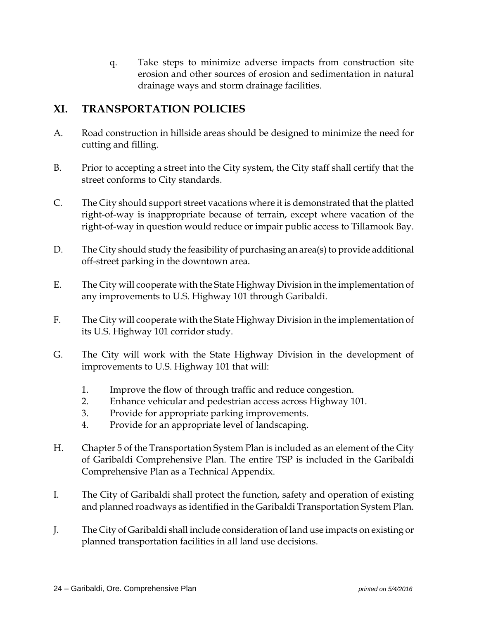q. Take steps to minimize adverse impacts from construction site erosion and other sources of erosion and sedimentation in natural drainage ways and storm drainage facilities.

## **XI. TRANSPORTATION POLICIES**

- A. Road construction in hillside areas should be designed to minimize the need for cutting and filling.
- B. Prior to accepting a street into the City system, the City staff shall certify that the street conforms to City standards.
- C. The City should support street vacations where it is demonstrated that the platted right-of-way is inappropriate because of terrain, except where vacation of the right-of-way in question would reduce or impair public access to Tillamook Bay.
- D. The City should study the feasibility of purchasing an area(s) to provide additional off-street parking in the downtown area.
- E. The City will cooperate with the State Highway Division in the implementation of any improvements to U.S. Highway 101 through Garibaldi.
- F. The City will cooperate with the State Highway Division in the implementation of its U.S. Highway 101 corridor study.
- G. The City will work with the State Highway Division in the development of improvements to U.S. Highway 101 that will:
	- 1. Improve the flow of through traffic and reduce congestion.
	- 2. Enhance vehicular and pedestrian access across Highway 101.
	- 3. Provide for appropriate parking improvements.
	- 4. Provide for an appropriate level of landscaping.
- H. Chapter 5 of the Transportation System Plan is included as an element of the City of Garibaldi Comprehensive Plan. The entire TSP is included in the Garibaldi Comprehensive Plan as a Technical Appendix.
- I. The City of Garibaldi shall protect the function, safety and operation of existing and planned roadways as identified in the Garibaldi Transportation System Plan.
- J. The City of Garibaldi shall include consideration of land use impacts on existing or planned transportation facilities in all land use decisions.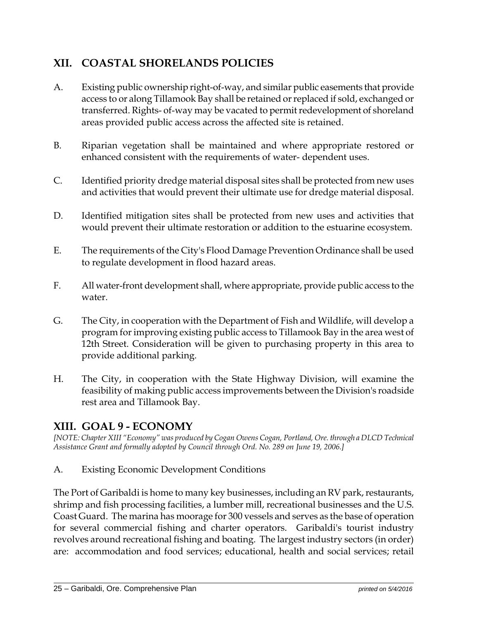## **XII. COASTAL SHORELANDS POLICIES**

- A. Existing public ownership right-of-way, and similar public easements that provide access to or along Tillamook Bay shall be retained or replaced if sold, exchanged or transferred. Rights- of-way may be vacated to permit redevelopment of shoreland areas provided public access across the affected site is retained.
- B. Riparian vegetation shall be maintained and where appropriate restored or enhanced consistent with the requirements of water- dependent uses.
- C. Identified priority dredge material disposal sites shall be protected from new uses and activities that would prevent their ultimate use for dredge material disposal.
- D. Identified mitigation sites shall be protected from new uses and activities that would prevent their ultimate restoration or addition to the estuarine ecosystem.
- E. The requirements of the City's Flood Damage Prevention Ordinance shall be used to regulate development in flood hazard areas.
- F. All water-front development shall, where appropriate, provide public access to the water.
- G. The City, in cooperation with the Department of Fish and Wildlife, will develop a program for improving existing public access to Tillamook Bay in the area west of 12th Street. Consideration will be given to purchasing property in this area to provide additional parking.
- H. The City, in cooperation with the State Highway Division, will examine the feasibility of making public access improvements between the Division's roadside rest area and Tillamook Bay.

## **XIII. GOAL 9 - ECONOMY**

*[NOTE: Chapter XIII "Economy" was produced by Cogan Owens Cogan, Portland, Ore. through a DLCD Technical Assistance Grant and formally adopted by Council through Ord. No. 289 on June 19, 2006.]* 

A. Existing Economic Development Conditions

The Port of Garibaldi is home to many key businesses, including an RV park, restaurants, shrimp and fish processing facilities, a lumber mill, recreational businesses and the U.S. Coast Guard. The marina has moorage for 300 vessels and serves as the base of operation for several commercial fishing and charter operators. Garibaldi's tourist industry revolves around recreational fishing and boating. The largest industry sectors (in order) are: accommodation and food services; educational, health and social services; retail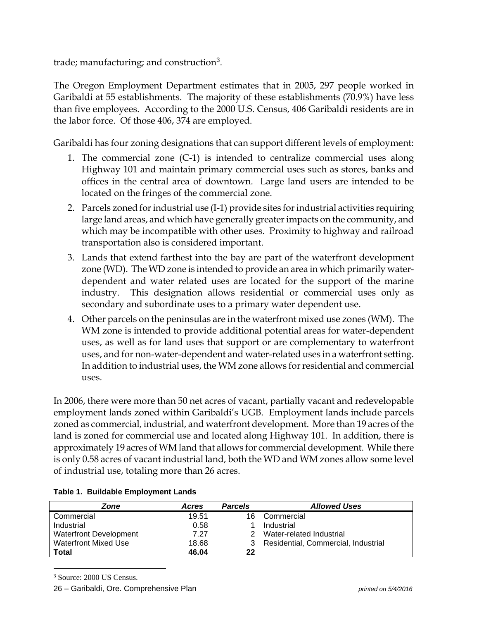trade; manufacturing; and construction<sup>3</sup>.

The Oregon Employment Department estimates that in 2005, 297 people worked in Garibaldi at 55 establishments. The majority of these establishments (70.9%) have less than five employees. According to the 2000 U.S. Census, 406 Garibaldi residents are in the labor force. Of those 406, 374 are employed.

Garibaldi has four zoning designations that can support different levels of employment:

- 1. The commercial zone (C-1) is intended to centralize commercial uses along Highway 101 and maintain primary commercial uses such as stores, banks and offices in the central area of downtown. Large land users are intended to be located on the fringes of the commercial zone.
- 2. Parcels zoned for industrial use (I-1) provide sites for industrial activities requiring large land areas, and which have generally greater impacts on the community, and which may be incompatible with other uses. Proximity to highway and railroad transportation also is considered important.
- 3. Lands that extend farthest into the bay are part of the waterfront development zone (WD). The WD zone is intended to provide an area in which primarily waterdependent and water related uses are located for the support of the marine industry. This designation allows residential or commercial uses only as secondary and subordinate uses to a primary water dependent use.
- 4. Other parcels on the peninsulas are in the waterfront mixed use zones (WM). The WM zone is intended to provide additional potential areas for water-dependent uses, as well as for land uses that support or are complementary to waterfront uses, and for non-water-dependent and water-related uses in a waterfront setting. In addition to industrial uses, the WM zone allows for residential and commercial uses.

In 2006, there were more than 50 net acres of vacant, partially vacant and redevelopable employment lands zoned within Garibaldi's UGB. Employment lands include parcels zoned as commercial, industrial, and waterfront development. More than 19 acres of the land is zoned for commercial use and located along Highway 101. In addition, there is approximately 19 acres of WM land that allows for commercial development. While there is only 0.58 acres of vacant industrial land, both the WD and WM zones allow some level of industrial use, totaling more than 26 acres.

| Zone                          | <b>Acres</b> | <b>Parcels</b> | <b>Allowed Uses</b>                   |  |
|-------------------------------|--------------|----------------|---------------------------------------|--|
| Commercial                    | 19.51        | 16.            | Commercial                            |  |
| Industrial                    | 0.58         |                | Industrial                            |  |
| <b>Waterfront Development</b> | 7.27         | 2.             | Water-related Industrial              |  |
| Waterfront Mixed Use          | 18.68        |                | 3 Residential, Commercial, Industrial |  |
| Total                         | 46.04        | 22             |                                       |  |

#### **Table 1. Buildable Employment Lands**

3 Source: 2000 US Census.

 $\overline{a}$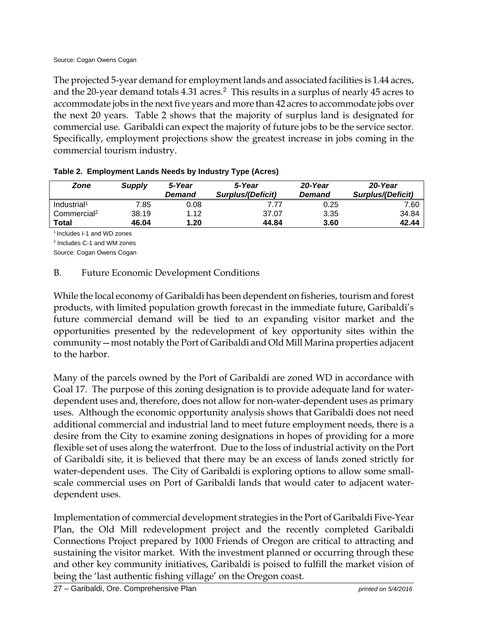The projected 5-year demand for employment lands and associated facilities is 1.44 acres, and the 20-year demand totals 4.31 acres.<sup>2</sup> This results in a surplus of nearly 45 acres to accommodate jobs in the next five years and more than 42 acres to accommodate jobs over the next 20 years. Table 2 shows that the majority of surplus land is designated for commercial use. Garibaldi can expect the majority of future jobs to be the service sector. Specifically, employment projections show the greatest increase in jobs coming in the commercial tourism industry.

| Zone                    | Supply | 5-Year<br>Demand | 5-Year<br><b>Surplus/(Deficit)</b> | 20-Year<br>Demand | 20-Year<br>Surplus/(Deficit) |
|-------------------------|--------|------------------|------------------------------------|-------------------|------------------------------|
| Industrial <sup>1</sup> | 7.85   | 0.08             |                                    | 0.25              | 7.60                         |
| Commercial <sup>2</sup> | 38.19  | 1.12             | 37.07                              | 3.35              | 34.84                        |
| Total                   | 46.04  | 1.20             | 44.84                              | 3.60              | 42.44                        |

|  |  |  |  | Table 2. Employment Lands Needs by Industry Type (Acres) |
|--|--|--|--|----------------------------------------------------------|
|--|--|--|--|----------------------------------------------------------|

<sup>1</sup> Includes I-1 and WD zones

2 Includes C-1 and WM zones

Source: Cogan Owens Cogan

#### B. Future Economic Development Conditions

While the local economy of Garibaldi has been dependent on fisheries, tourism and forest products, with limited population growth forecast in the immediate future, Garibaldi's future commercial demand will be tied to an expanding visitor market and the opportunities presented by the redevelopment of key opportunity sites within the community—most notably the Port of Garibaldi and Old Mill Marina properties adjacent to the harbor.

Many of the parcels owned by the Port of Garibaldi are zoned WD in accordance with Goal 17. The purpose of this zoning designation is to provide adequate land for waterdependent uses and, therefore, does not allow for non-water-dependent uses as primary uses. Although the economic opportunity analysis shows that Garibaldi does not need additional commercial and industrial land to meet future employment needs, there is a desire from the City to examine zoning designations in hopes of providing for a more flexible set of uses along the waterfront. Due to the loss of industrial activity on the Port of Garibaldi site, it is believed that there may be an excess of lands zoned strictly for water-dependent uses. The City of Garibaldi is exploring options to allow some smallscale commercial uses on Port of Garibaldi lands that would cater to adjacent waterdependent uses.

Implementation of commercial development strategies in the Port of Garibaldi Five-Year Plan, the Old Mill redevelopment project and the recently completed Garibaldi Connections Project prepared by 1000 Friends of Oregon are critical to attracting and sustaining the visitor market. With the investment planned or occurring through these and other key community initiatives, Garibaldi is poised to fulfill the market vision of being the 'last authentic fishing village' on the Oregon coast.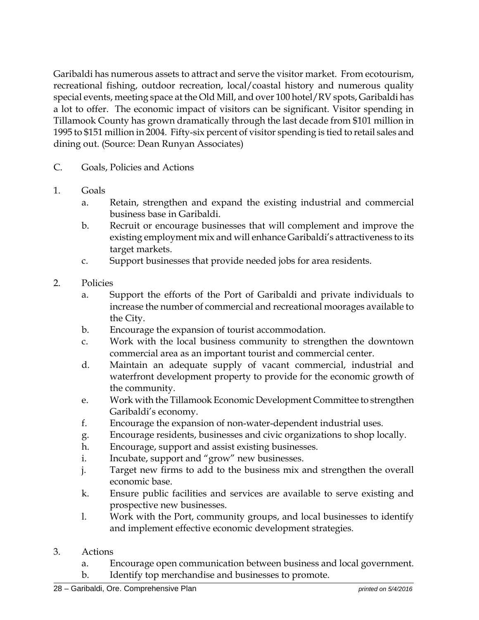Garibaldi has numerous assets to attract and serve the visitor market. From ecotourism, recreational fishing, outdoor recreation, local/coastal history and numerous quality special events, meeting space at the Old Mill, and over 100 hotel/RV spots, Garibaldi has a lot to offer. The economic impact of visitors can be significant. Visitor spending in Tillamook County has grown dramatically through the last decade from \$101 million in 1995 to \$151 million in 2004. Fifty-six percent of visitor spending is tied to retail sales and dining out. (Source: Dean Runyan Associates)

- C. Goals, Policies and Actions
- 1. Goals
	- a. Retain, strengthen and expand the existing industrial and commercial business base in Garibaldi.
	- b. Recruit or encourage businesses that will complement and improve the existing employment mix and will enhance Garibaldi's attractiveness to its target markets.
	- c. Support businesses that provide needed jobs for area residents.
- 2. Policies
	- a. Support the efforts of the Port of Garibaldi and private individuals to increase the number of commercial and recreational moorages available to the City.
	- b. Encourage the expansion of tourist accommodation.
	- c. Work with the local business community to strengthen the downtown commercial area as an important tourist and commercial center.
	- d. Maintain an adequate supply of vacant commercial, industrial and waterfront development property to provide for the economic growth of the community.
	- e. Work with the Tillamook Economic Development Committee to strengthen Garibaldi's economy.
	- f. Encourage the expansion of non-water-dependent industrial uses.
	- g. Encourage residents, businesses and civic organizations to shop locally.
	- h. Encourage, support and assist existing businesses.
	- i. Incubate, support and "grow" new businesses.
	- j. Target new firms to add to the business mix and strengthen the overall economic base.
	- k. Ensure public facilities and services are available to serve existing and prospective new businesses.
	- l. Work with the Port, community groups, and local businesses to identify and implement effective economic development strategies.
- 3. Actions
	- a. Encourage open communication between business and local government.
	- b. Identify top merchandise and businesses to promote.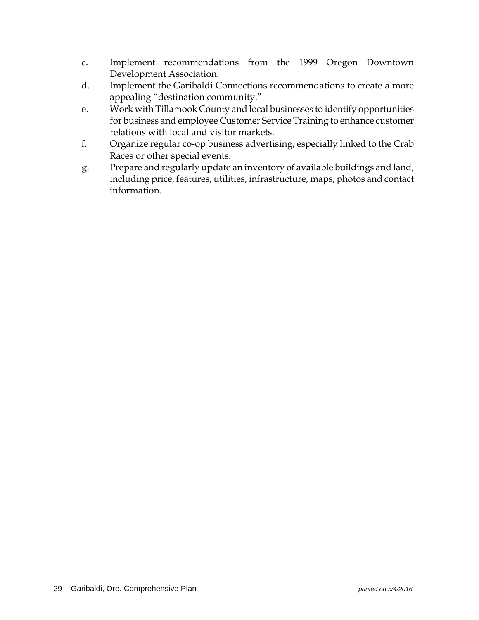- c. Implement recommendations from the 1999 Oregon Downtown Development Association.
- d. Implement the Garibaldi Connections recommendations to create a more appealing "destination community."
- e. Work with Tillamook County and local businesses to identify opportunities for business and employee Customer Service Training to enhance customer relations with local and visitor markets.
- f. Organize regular co-op business advertising, especially linked to the Crab Races or other special events.
- g. Prepare and regularly update an inventory of available buildings and land, including price, features, utilities, infrastructure, maps, photos and contact information.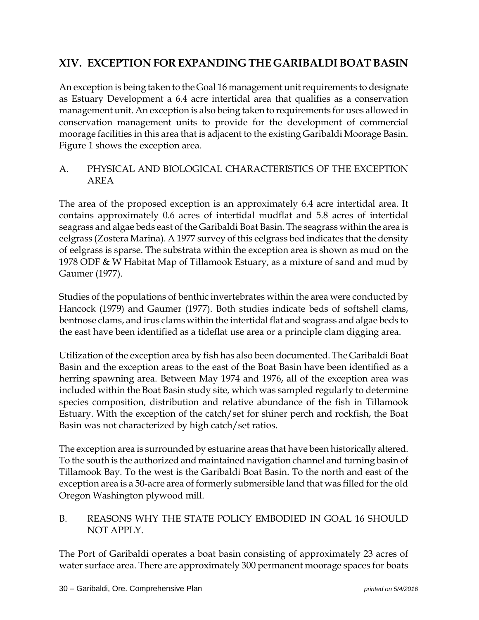## **XIV. EXCEPTION FOR EXPANDING THE GARIBALDI BOAT BASIN**

An exception is being taken to the Goal 16 management unit requirements to designate as Estuary Development a 6.4 acre intertidal area that qualifies as a conservation management unit. An exception is also being taken to requirements for uses allowed in conservation management units to provide for the development of commercial moorage facilities in this area that is adjacent to the existing Garibaldi Moorage Basin. Figure 1 shows the exception area.

## A. PHYSICAL AND BIOLOGICAL CHARACTERISTICS OF THE EXCEPTION AREA

The area of the proposed exception is an approximately 6.4 acre intertidal area. It contains approximately 0.6 acres of intertidal mudflat and 5.8 acres of intertidal seagrass and algae beds east of the Garibaldi Boat Basin. The seagrass within the area is eelgrass (Zostera Marina). A 1977 survey of this eelgrass bed indicates that the density of eelgrass is sparse. The substrata within the exception area is shown as mud on the 1978 ODF & W Habitat Map of Tillamook Estuary, as a mixture of sand and mud by Gaumer (1977).

Studies of the populations of benthic invertebrates within the area were conducted by Hancock (1979) and Gaumer (1977). Both studies indicate beds of softshell clams, bentnose clams, and irus clams within the intertidal flat and seagrass and algae beds to the east have been identified as a tideflat use area or a principle clam digging area.

Utilization of the exception area by fish has also been documented. The Garibaldi Boat Basin and the exception areas to the east of the Boat Basin have been identified as a herring spawning area. Between May 1974 and 1976, all of the exception area was included within the Boat Basin study site, which was sampled regularly to determine species composition, distribution and relative abundance of the fish in Tillamook Estuary. With the exception of the catch/set for shiner perch and rockfish, the Boat Basin was not characterized by high catch/set ratios.

The exception area is surrounded by estuarine areas that have been historically altered. To the south is the authorized and maintained navigation channel and turning basin of Tillamook Bay. To the west is the Garibaldi Boat Basin. To the north and east of the exception area is a 50-acre area of formerly submersible land that was filled for the old Oregon Washington plywood mill.

## B. REASONS WHY THE STATE POLICY EMBODIED IN GOAL 16 SHOULD NOT APPLY.

The Port of Garibaldi operates a boat basin consisting of approximately 23 acres of water surface area. There are approximately 300 permanent moorage spaces for boats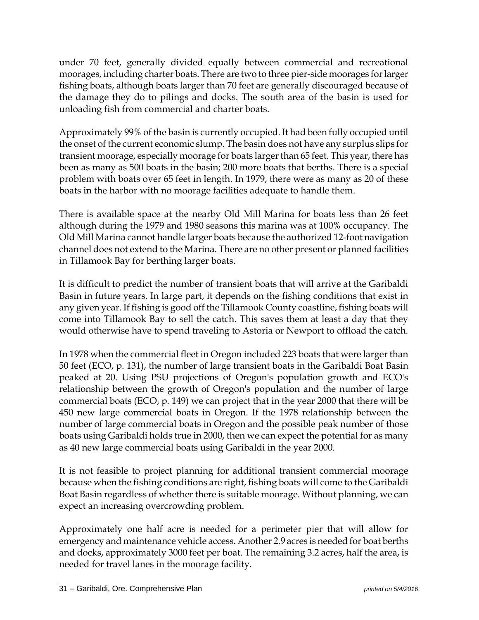under 70 feet, generally divided equally between commercial and recreational moorages, including charter boats. There are two to three pier-side moorages for larger fishing boats, although boats larger than 70 feet are generally discouraged because of the damage they do to pilings and docks. The south area of the basin is used for unloading fish from commercial and charter boats.

Approximately 99% of the basin is currently occupied. It had been fully occupied until the onset of the current economic slump. The basin does not have any surplus slips for transient moorage, especially moorage for boats larger than 65 feet. This year, there has been as many as 500 boats in the basin; 200 more boats that berths. There is a special problem with boats over 65 feet in length. In 1979, there were as many as 20 of these boats in the harbor with no moorage facilities adequate to handle them.

There is available space at the nearby Old Mill Marina for boats less than 26 feet although during the 1979 and 1980 seasons this marina was at 100% occupancy. The Old Mill Marina cannot handle larger boats because the authorized 12-foot navigation channel does not extend to the Marina. There are no other present or planned facilities in Tillamook Bay for berthing larger boats.

It is difficult to predict the number of transient boats that will arrive at the Garibaldi Basin in future years. In large part, it depends on the fishing conditions that exist in any given year. If fishing is good off the Tillamook County coastline, fishing boats will come into Tillamook Bay to sell the catch. This saves them at least a day that they would otherwise have to spend traveling to Astoria or Newport to offload the catch.

In 1978 when the commercial fleet in Oregon included 223 boats that were larger than 50 feet (ECO, p. 131), the number of large transient boats in the Garibaldi Boat Basin peaked at 20. Using PSU projections of Oregon's population growth and ECO's relationship between the growth of Oregon's population and the number of large commercial boats (ECO, p. 149) we can project that in the year 2000 that there will be 450 new large commercial boats in Oregon. If the 1978 relationship between the number of large commercial boats in Oregon and the possible peak number of those boats using Garibaldi holds true in 2000, then we can expect the potential for as many as 40 new large commercial boats using Garibaldi in the year 2000.

It is not feasible to project planning for additional transient commercial moorage because when the fishing conditions are right, fishing boats will come to the Garibaldi Boat Basin regardless of whether there is suitable moorage. Without planning, we can expect an increasing overcrowding problem.

Approximately one half acre is needed for a perimeter pier that will allow for emergency and maintenance vehicle access. Another 2.9 acres is needed for boat berths and docks, approximately 3000 feet per boat. The remaining 3.2 acres, half the area, is needed for travel lanes in the moorage facility.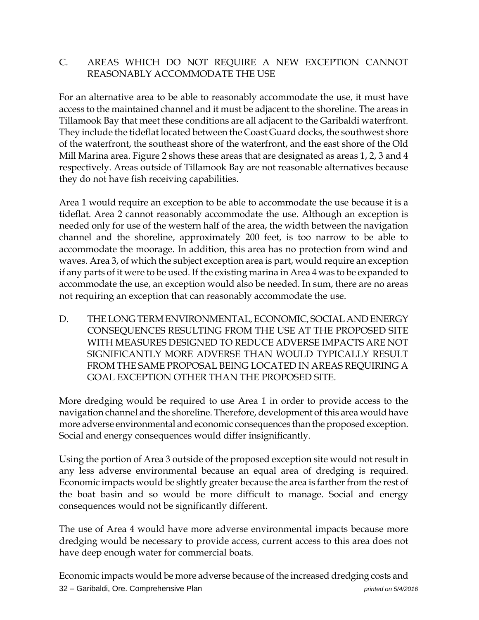#### C. AREAS WHICH DO NOT REQUIRE A NEW EXCEPTION CANNOT REASONABLY ACCOMMODATE THE USE

For an alternative area to be able to reasonably accommodate the use, it must have access to the maintained channel and it must be adjacent to the shoreline. The areas in Tillamook Bay that meet these conditions are all adjacent to the Garibaldi waterfront. They include the tideflat located between the Coast Guard docks, the southwest shore of the waterfront, the southeast shore of the waterfront, and the east shore of the Old Mill Marina area. Figure 2 shows these areas that are designated as areas 1, 2, 3 and 4 respectively. Areas outside of Tillamook Bay are not reasonable alternatives because they do not have fish receiving capabilities.

Area 1 would require an exception to be able to accommodate the use because it is a tideflat. Area 2 cannot reasonably accommodate the use. Although an exception is needed only for use of the western half of the area, the width between the navigation channel and the shoreline, approximately 200 feet, is too narrow to be able to accommodate the moorage. In addition, this area has no protection from wind and waves. Area 3, of which the subject exception area is part, would require an exception if any parts of it were to be used. If the existing marina in Area 4 was to be expanded to accommodate the use, an exception would also be needed. In sum, there are no areas not requiring an exception that can reasonably accommodate the use.

D. THE LONG TERM ENVIRONMENTAL, ECONOMIC, SOCIAL AND ENERGY CONSEQUENCES RESULTING FROM THE USE AT THE PROPOSED SITE WITH MEASURES DESIGNED TO REDUCE ADVERSE IMPACTS ARE NOT SIGNIFICANTLY MORE ADVERSE THAN WOULD TYPICALLY RESULT FROM THE SAME PROPOSAL BEING LOCATED IN AREAS REQUIRING A GOAL EXCEPTION OTHER THAN THE PROPOSED SITE.

More dredging would be required to use Area 1 in order to provide access to the navigation channel and the shoreline. Therefore, development of this area would have more adverse environmental and economic consequences than the proposed exception. Social and energy consequences would differ insignificantly.

Using the portion of Area 3 outside of the proposed exception site would not result in any less adverse environmental because an equal area of dredging is required. Economic impacts would be slightly greater because the area is farther from the rest of the boat basin and so would be more difficult to manage. Social and energy consequences would not be significantly different.

The use of Area 4 would have more adverse environmental impacts because more dredging would be necessary to provide access, current access to this area does not have deep enough water for commercial boats.

Economic impacts would be more adverse because of the increased dredging costs and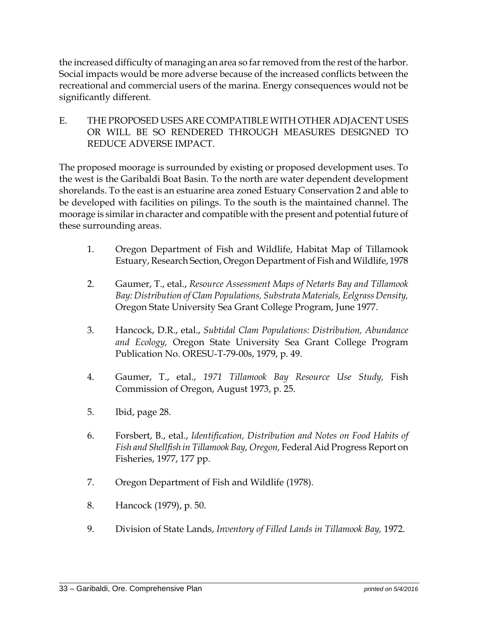the increased difficulty of managing an area so far removed from the rest of the harbor. Social impacts would be more adverse because of the increased conflicts between the recreational and commercial users of the marina. Energy consequences would not be significantly different.

E. THE PROPOSED USES ARE COMPATIBLE WITH OTHER ADJACENT USES OR WILL BE SO RENDERED THROUGH MEASURES DESIGNED TO REDUCE ADVERSE IMPACT.

The proposed moorage is surrounded by existing or proposed development uses. To the west is the Garibaldi Boat Basin. To the north are water dependent development shorelands. To the east is an estuarine area zoned Estuary Conservation 2 and able to be developed with facilities on pilings. To the south is the maintained channel. The moorage is similar in character and compatible with the present and potential future of these surrounding areas.

- 1. Oregon Department of Fish and Wildlife, Habitat Map of Tillamook Estuary, Research Section, Oregon Department of Fish and Wildlife, 1978
- 2. Gaumer, T., etal., *Resource Assessment Maps of Netarts Bay and Tillamook Bay: Distribution of Clam Populations, Substrata Materials, Eelgrass Density,* Oregon State University Sea Grant College Program, June 1977.
- 3. Hancock, D.R., etal., *Subtidal Clam Populations: Distribution, Abundance and Ecology,* Oregon State University Sea Grant College Program Publication No. ORESU-T-79-00s, 1979, p. 49.
- 4. Gaumer, T., etal., *1971 Tillamook Bay Resource Use Study,* Fish Commission of Oregon, August 1973, p. 25.
- 5. Ibid, page 28.
- 6. Forsbert, B., etal., *Identification, Distribution and Notes on Food Habits of Fish and Shellfish in Tillamook Bay, Oregon,* Federal Aid Progress Report on Fisheries, 1977, 177 pp.
- 7. Oregon Department of Fish and Wildlife (1978).
- 8. Hancock (1979), p. 50.
- 9. Division of State Lands, *Inventory of Filled Lands in Tillamook Bay,* 1972.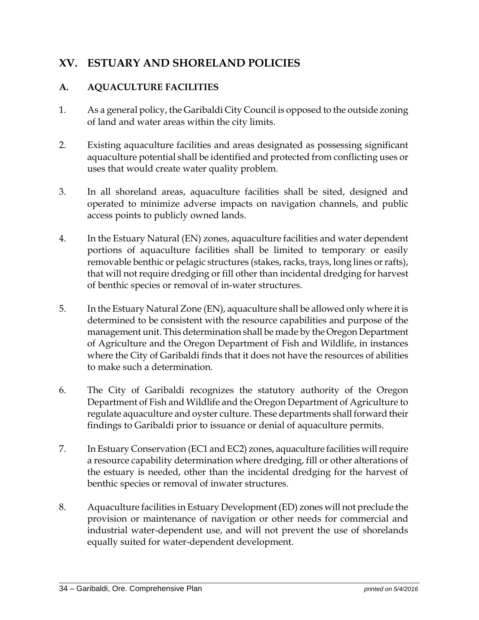## **XV. ESTUARY AND SHORELAND POLICIES**

#### **A. AQUACULTURE FACILITIES**

- 1. As a general policy, the Garibaldi City Council is opposed to the outside zoning of land and water areas within the city limits.
- 2. Existing aquaculture facilities and areas designated as possessing significant aquaculture potential shall be identified and protected from conflicting uses or uses that would create water quality problem.
- 3. In all shoreland areas, aquaculture facilities shall be sited, designed and operated to minimize adverse impacts on navigation channels, and public access points to publicly owned lands.
- 4. In the Estuary Natural (EN) zones, aquaculture facilities and water dependent portions of aquaculture facilities shall be limited to temporary or easily removable benthic or pelagic structures (stakes, racks, trays, long lines or rafts), that will not require dredging or fill other than incidental dredging for harvest of benthic species or removal of in-water structures.
- 5. In the Estuary Natural Zone (EN), aquaculture shall be allowed only where it is determined to be consistent with the resource capabilities and purpose of the management unit. This determination shall be made by the Oregon Department of Agriculture and the Oregon Department of Fish and Wildlife, in instances where the City of Garibaldi finds that it does not have the resources of abilities to make such a determination.
- 6. The City of Garibaldi recognizes the statutory authority of the Oregon Department of Fish and Wildlife and the Oregon Department of Agriculture to regulate aquaculture and oyster culture. These departments shall forward their findings to Garibaldi prior to issuance or denial of aquaculture permits.
- 7. In Estuary Conservation (EC1 and EC2) zones, aquaculture facilities will require a resource capability determination where dredging, fill or other alterations of the estuary is needed, other than the incidental dredging for the harvest of benthic species or removal of inwater structures.
- 8. Aquaculture facilities in Estuary Development (ED) zones will not preclude the provision or maintenance of navigation or other needs for commercial and industrial water-dependent use, and will not prevent the use of shorelands equally suited for water-dependent development.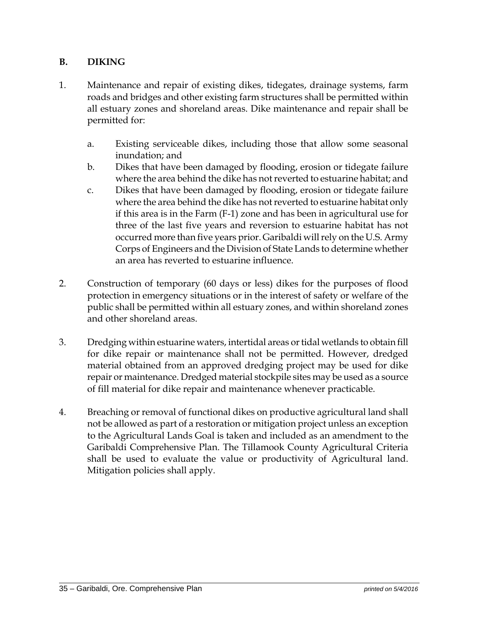#### **B. DIKING**

- 1. Maintenance and repair of existing dikes, tidegates, drainage systems, farm roads and bridges and other existing farm structures shall be permitted within all estuary zones and shoreland areas. Dike maintenance and repair shall be permitted for:
	- a. Existing serviceable dikes, including those that allow some seasonal inundation; and
	- b. Dikes that have been damaged by flooding, erosion or tidegate failure where the area behind the dike has not reverted to estuarine habitat; and
	- c. Dikes that have been damaged by flooding, erosion or tidegate failure where the area behind the dike has not reverted to estuarine habitat only if this area is in the Farm (F-1) zone and has been in agricultural use for three of the last five years and reversion to estuarine habitat has not occurred more than five years prior. Garibaldi will rely on the U.S. Army Corps of Engineers and the Division of State Lands to determine whether an area has reverted to estuarine influence.
- 2. Construction of temporary (60 days or less) dikes for the purposes of flood protection in emergency situations or in the interest of safety or welfare of the public shall be permitted within all estuary zones, and within shoreland zones and other shoreland areas.
- 3. Dredging within estuarine waters, intertidal areas or tidal wetlands to obtain fill for dike repair or maintenance shall not be permitted. However, dredged material obtained from an approved dredging project may be used for dike repair or maintenance. Dredged material stockpile sites may be used as a source of fill material for dike repair and maintenance whenever practicable.
- 4. Breaching or removal of functional dikes on productive agricultural land shall not be allowed as part of a restoration or mitigation project unless an exception to the Agricultural Lands Goal is taken and included as an amendment to the Garibaldi Comprehensive Plan. The Tillamook County Agricultural Criteria shall be used to evaluate the value or productivity of Agricultural land. Mitigation policies shall apply.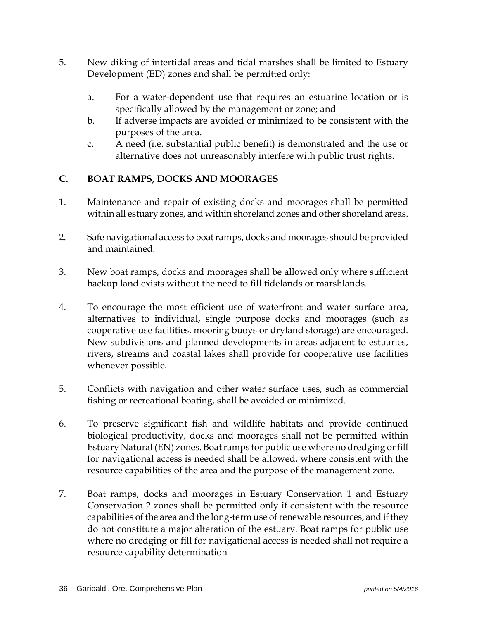- 5. New diking of intertidal areas and tidal marshes shall be limited to Estuary Development (ED) zones and shall be permitted only:
	- a. For a water-dependent use that requires an estuarine location or is specifically allowed by the management or zone; and
	- b. If adverse impacts are avoided or minimized to be consistent with the purposes of the area.
	- c. A need (i.e. substantial public benefit) is demonstrated and the use or alternative does not unreasonably interfere with public trust rights.

## **C. BOAT RAMPS, DOCKS AND MOORAGES**

- 1. Maintenance and repair of existing docks and moorages shall be permitted within all estuary zones, and within shoreland zones and other shoreland areas.
- 2. Safe navigational access to boat ramps, docks and moorages should be provided and maintained.
- 3. New boat ramps, docks and moorages shall be allowed only where sufficient backup land exists without the need to fill tidelands or marshlands.
- 4. To encourage the most efficient use of waterfront and water surface area, alternatives to individual, single purpose docks and moorages (such as cooperative use facilities, mooring buoys or dryland storage) are encouraged. New subdivisions and planned developments in areas adjacent to estuaries, rivers, streams and coastal lakes shall provide for cooperative use facilities whenever possible.
- 5. Conflicts with navigation and other water surface uses, such as commercial fishing or recreational boating, shall be avoided or minimized.
- 6. To preserve significant fish and wildlife habitats and provide continued biological productivity, docks and moorages shall not be permitted within Estuary Natural (EN) zones. Boat ramps for public use where no dredging or fill for navigational access is needed shall be allowed, where consistent with the resource capabilities of the area and the purpose of the management zone.
- 7. Boat ramps, docks and moorages in Estuary Conservation 1 and Estuary Conservation 2 zones shall be permitted only if consistent with the resource capabilities of the area and the long-term use of renewable resources, and if they do not constitute a major alteration of the estuary. Boat ramps for public use where no dredging or fill for navigational access is needed shall not require a resource capability determination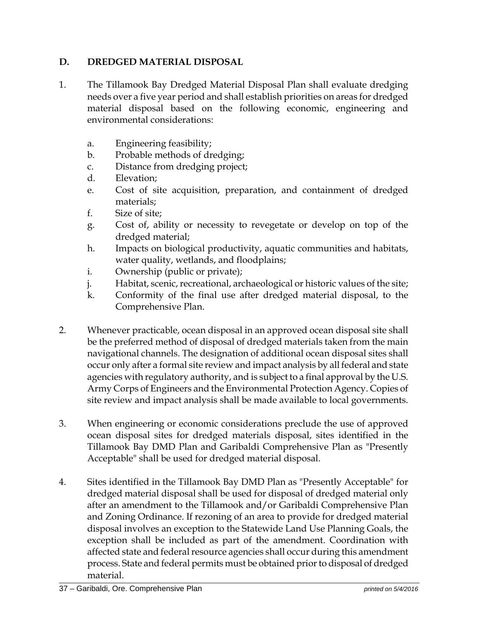### **D. DREDGED MATERIAL DISPOSAL**

- 1. The Tillamook Bay Dredged Material Disposal Plan shall evaluate dredging needs over a five year period and shall establish priorities on areas for dredged material disposal based on the following economic, engineering and environmental considerations:
	- a. Engineering feasibility;
	- b. Probable methods of dredging;
	- c. Distance from dredging project;
	- d. Elevation;
	- e. Cost of site acquisition, preparation, and containment of dredged materials;
	- f. Size of site;
	- g. Cost of, ability or necessity to revegetate or develop on top of the dredged material;
	- h. Impacts on biological productivity, aquatic communities and habitats, water quality, wetlands, and floodplains;
	- i. Ownership (public or private);
	- j. Habitat, scenic, recreational, archaeological or historic values of the site;
	- k. Conformity of the final use after dredged material disposal, to the Comprehensive Plan.
- 2. Whenever practicable, ocean disposal in an approved ocean disposal site shall be the preferred method of disposal of dredged materials taken from the main navigational channels. The designation of additional ocean disposal sites shall occur only after a formal site review and impact analysis by all federal and state agencies with regulatory authority, and is subject to a final approval by the U.S. Army Corps of Engineers and the Environmental Protection Agency. Copies of site review and impact analysis shall be made available to local governments.
- 3. When engineering or economic considerations preclude the use of approved ocean disposal sites for dredged materials disposal, sites identified in the Tillamook Bay DMD Plan and Garibaldi Comprehensive Plan as "Presently Acceptable" shall be used for dredged material disposal.
- 4. Sites identified in the Tillamook Bay DMD Plan as "Presently Acceptable" for dredged material disposal shall be used for disposal of dredged material only after an amendment to the Tillamook and/or Garibaldi Comprehensive Plan and Zoning Ordinance. If rezoning of an area to provide for dredged material disposal involves an exception to the Statewide Land Use Planning Goals, the exception shall be included as part of the amendment. Coordination with affected state and federal resource agencies shall occur during this amendment process. State and federal permits must be obtained prior to disposal of dredged material.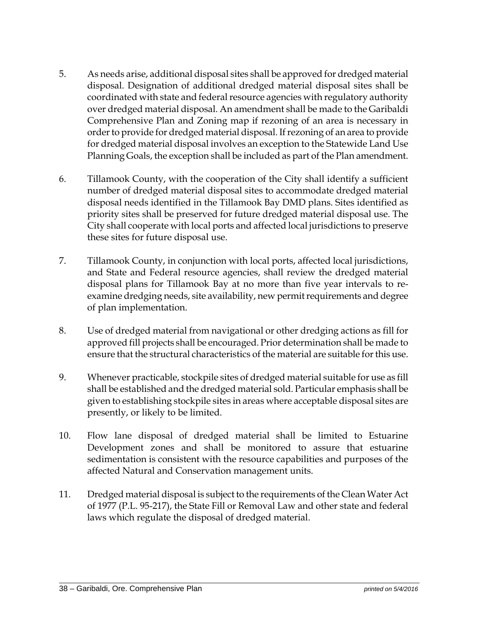- 5. As needs arise, additional disposal sites shall be approved for dredged material disposal. Designation of additional dredged material disposal sites shall be coordinated with state and federal resource agencies with regulatory authority over dredged material disposal. An amendment shall be made to the Garibaldi Comprehensive Plan and Zoning map if rezoning of an area is necessary in order to provide for dredged material disposal. If rezoning of an area to provide for dredged material disposal involves an exception to the Statewide Land Use Planning Goals, the exception shall be included as part of the Plan amendment.
- 6. Tillamook County, with the cooperation of the City shall identify a sufficient number of dredged material disposal sites to accommodate dredged material disposal needs identified in the Tillamook Bay DMD plans. Sites identified as priority sites shall be preserved for future dredged material disposal use. The City shall cooperate with local ports and affected local jurisdictions to preserve these sites for future disposal use.
- 7. Tillamook County, in conjunction with local ports, affected local jurisdictions, and State and Federal resource agencies, shall review the dredged material disposal plans for Tillamook Bay at no more than five year intervals to reexamine dredging needs, site availability, new permit requirements and degree of plan implementation.
- 8. Use of dredged material from navigational or other dredging actions as fill for approved fill projects shall be encouraged. Prior determination shall be made to ensure that the structural characteristics of the material are suitable for this use.
- 9. Whenever practicable, stockpile sites of dredged material suitable for use as fill shall be established and the dredged material sold. Particular emphasis shall be given to establishing stockpile sites in areas where acceptable disposal sites are presently, or likely to be limited.
- 10. Flow lane disposal of dredged material shall be limited to Estuarine Development zones and shall be monitored to assure that estuarine sedimentation is consistent with the resource capabilities and purposes of the affected Natural and Conservation management units.
- 11. Dredged material disposal is subject to the requirements of the Clean Water Act of 1977 (P.L. 95-217), the State Fill or Removal Law and other state and federal laws which regulate the disposal of dredged material.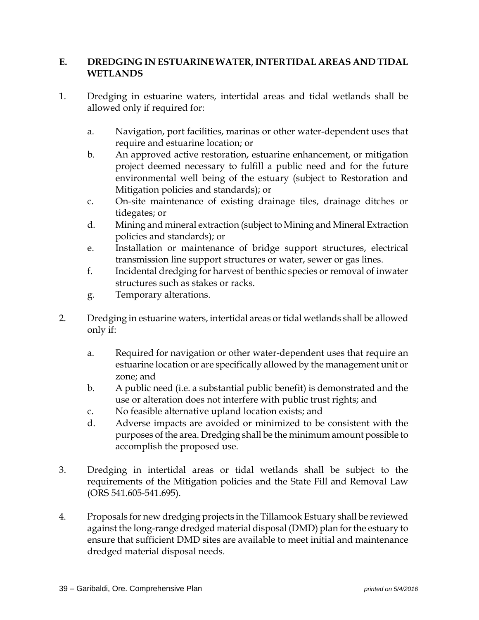#### **E. DREDGING IN ESTUARINE WATER, INTERTIDAL AREAS AND TIDAL WETLANDS**

- 1. Dredging in estuarine waters, intertidal areas and tidal wetlands shall be allowed only if required for:
	- a. Navigation, port facilities, marinas or other water-dependent uses that require and estuarine location; or
	- b. An approved active restoration, estuarine enhancement, or mitigation project deemed necessary to fulfill a public need and for the future environmental well being of the estuary (subject to Restoration and Mitigation policies and standards); or
	- c. On-site maintenance of existing drainage tiles, drainage ditches or tidegates; or
	- d. Mining and mineral extraction (subject to Mining and Mineral Extraction policies and standards); or
	- e. Installation or maintenance of bridge support structures, electrical transmission line support structures or water, sewer or gas lines.
	- f. Incidental dredging for harvest of benthic species or removal of inwater structures such as stakes or racks.
	- g. Temporary alterations.
- 2. Dredging in estuarine waters, intertidal areas or tidal wetlands shall be allowed only if:
	- a. Required for navigation or other water-dependent uses that require an estuarine location or are specifically allowed by the management unit or zone; and
	- b. A public need (i.e. a substantial public benefit) is demonstrated and the use or alteration does not interfere with public trust rights; and
	- c. No feasible alternative upland location exists; and
	- d. Adverse impacts are avoided or minimized to be consistent with the purposes of the area. Dredging shall be the minimum amount possible to accomplish the proposed use.
- 3. Dredging in intertidal areas or tidal wetlands shall be subject to the requirements of the Mitigation policies and the State Fill and Removal Law (ORS 541.605-541.695).
- 4. Proposals for new dredging projects in the Tillamook Estuary shall be reviewed against the long-range dredged material disposal (DMD) plan for the estuary to ensure that sufficient DMD sites are available to meet initial and maintenance dredged material disposal needs.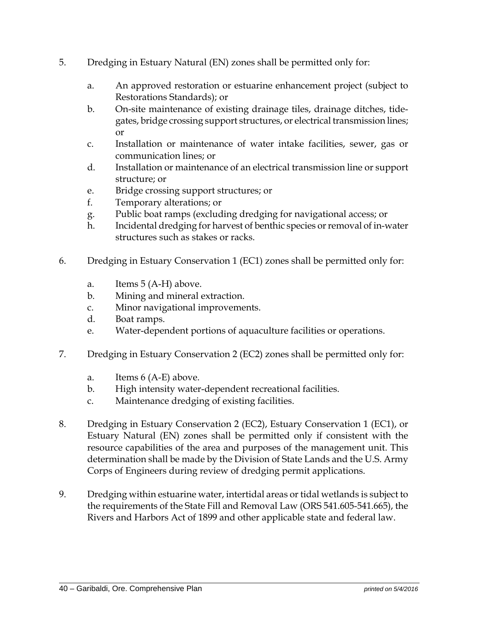- 5. Dredging in Estuary Natural (EN) zones shall be permitted only for:
	- a. An approved restoration or estuarine enhancement project (subject to Restorations Standards); or
	- b. On-site maintenance of existing drainage tiles, drainage ditches, tidegates, bridge crossing support structures, or electrical transmission lines; or
	- c. Installation or maintenance of water intake facilities, sewer, gas or communication lines; or
	- d. Installation or maintenance of an electrical transmission line or support structure; or
	- e. Bridge crossing support structures; or
	- f. Temporary alterations; or
	- g. Public boat ramps (excluding dredging for navigational access; or
	- h. Incidental dredging for harvest of benthic species or removal of in-water structures such as stakes or racks.
- 6. Dredging in Estuary Conservation 1 (EC1) zones shall be permitted only for:
	- a. Items 5 (A-H) above.
	- b. Mining and mineral extraction.
	- c. Minor navigational improvements.
	- d. Boat ramps.
	- e. Water-dependent portions of aquaculture facilities or operations.
- 7. Dredging in Estuary Conservation 2 (EC2) zones shall be permitted only for:
	- a. Items 6 (A-E) above.
	- b. High intensity water-dependent recreational facilities.
	- c. Maintenance dredging of existing facilities.
- 8. Dredging in Estuary Conservation 2 (EC2), Estuary Conservation 1 (EC1), or Estuary Natural (EN) zones shall be permitted only if consistent with the resource capabilities of the area and purposes of the management unit. This determination shall be made by the Division of State Lands and the U.S. Army Corps of Engineers during review of dredging permit applications.
- 9. Dredging within estuarine water, intertidal areas or tidal wetlands is subject to the requirements of the State Fill and Removal Law (ORS 541.605-541.665), the Rivers and Harbors Act of 1899 and other applicable state and federal law.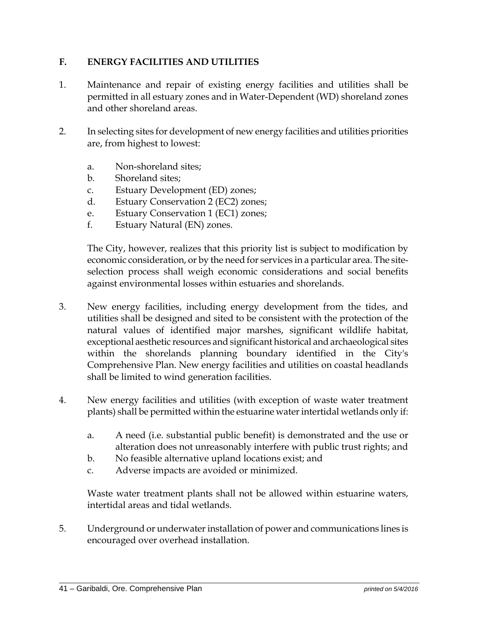#### **F. ENERGY FACILITIES AND UTILITIES**

- 1. Maintenance and repair of existing energy facilities and utilities shall be permitted in all estuary zones and in Water-Dependent (WD) shoreland zones and other shoreland areas.
- 2. In selecting sites for development of new energy facilities and utilities priorities are, from highest to lowest:
	- a. Non-shoreland sites;
	- b. Shoreland sites;
	- c. Estuary Development (ED) zones;
	- d. Estuary Conservation 2 (EC2) zones;
	- e. Estuary Conservation 1 (EC1) zones;
	- f. Estuary Natural (EN) zones.

The City, however, realizes that this priority list is subject to modification by economic consideration, or by the need for services in a particular area. The siteselection process shall weigh economic considerations and social benefits against environmental losses within estuaries and shorelands.

- 3. New energy facilities, including energy development from the tides, and utilities shall be designed and sited to be consistent with the protection of the natural values of identified major marshes, significant wildlife habitat, exceptional aesthetic resources and significant historical and archaeological sites within the shorelands planning boundary identified in the City's Comprehensive Plan. New energy facilities and utilities on coastal headlands shall be limited to wind generation facilities.
- 4. New energy facilities and utilities (with exception of waste water treatment plants) shall be permitted within the estuarine water intertidal wetlands only if:
	- a. A need (i.e. substantial public benefit) is demonstrated and the use or alteration does not unreasonably interfere with public trust rights; and
	- b. No feasible alternative upland locations exist; and
	- c. Adverse impacts are avoided or minimized.

Waste water treatment plants shall not be allowed within estuarine waters, intertidal areas and tidal wetlands.

5. Underground or underwater installation of power and communications lines is encouraged over overhead installation.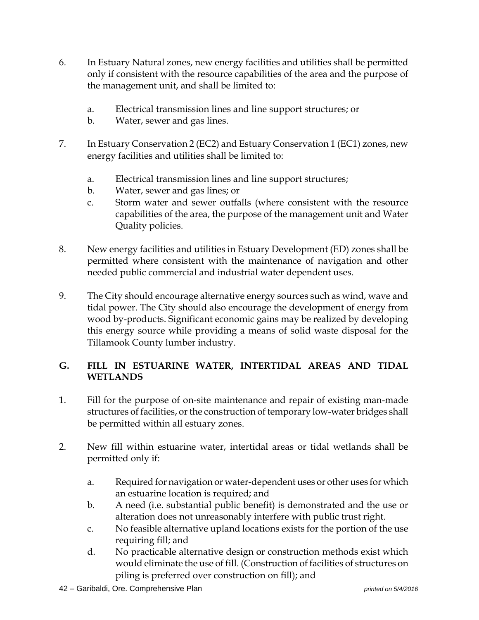- 6. In Estuary Natural zones, new energy facilities and utilities shall be permitted only if consistent with the resource capabilities of the area and the purpose of the management unit, and shall be limited to:
	- a. Electrical transmission lines and line support structures; or
	- b. Water, sewer and gas lines.
- 7. In Estuary Conservation 2 (EC2) and Estuary Conservation 1 (EC1) zones, new energy facilities and utilities shall be limited to:
	- a. Electrical transmission lines and line support structures;
	- b. Water, sewer and gas lines; or
	- c. Storm water and sewer outfalls (where consistent with the resource capabilities of the area, the purpose of the management unit and Water Quality policies.
- 8. New energy facilities and utilities in Estuary Development (ED) zones shall be permitted where consistent with the maintenance of navigation and other needed public commercial and industrial water dependent uses.
- 9. The City should encourage alternative energy sources such as wind, wave and tidal power. The City should also encourage the development of energy from wood by-products. Significant economic gains may be realized by developing this energy source while providing a means of solid waste disposal for the Tillamook County lumber industry.

### **G. FILL IN ESTUARINE WATER, INTERTIDAL AREAS AND TIDAL WETLANDS**

- 1. Fill for the purpose of on-site maintenance and repair of existing man-made structures of facilities, or the construction of temporary low-water bridges shall be permitted within all estuary zones.
- 2. New fill within estuarine water, intertidal areas or tidal wetlands shall be permitted only if:
	- a. Required for navigation or water-dependent uses or other uses for which an estuarine location is required; and
	- b. A need (i.e. substantial public benefit) is demonstrated and the use or alteration does not unreasonably interfere with public trust right.
	- c. No feasible alternative upland locations exists for the portion of the use requiring fill; and
	- d. No practicable alternative design or construction methods exist which would eliminate the use of fill. (Construction of facilities of structures on piling is preferred over construction on fill); and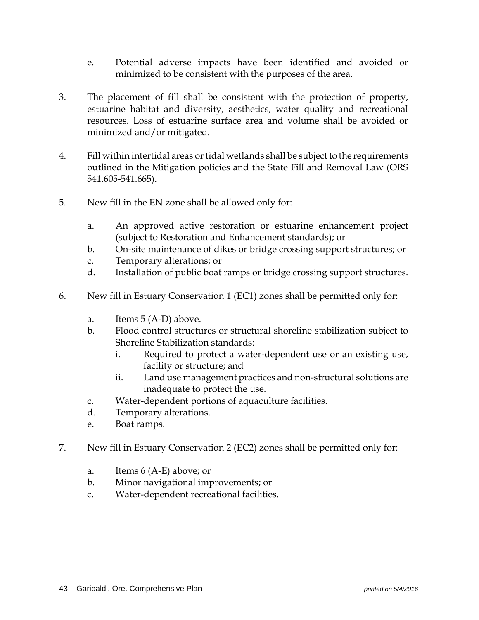- e. Potential adverse impacts have been identified and avoided or minimized to be consistent with the purposes of the area.
- 3. The placement of fill shall be consistent with the protection of property, estuarine habitat and diversity, aesthetics, water quality and recreational resources. Loss of estuarine surface area and volume shall be avoided or minimized and/or mitigated.
- 4. Fill within intertidal areas or tidal wetlands shall be subject to the requirements outlined in the Mitigation policies and the State Fill and Removal Law (ORS 541.605-541.665).
- 5. New fill in the EN zone shall be allowed only for:
	- a. An approved active restoration or estuarine enhancement project (subject to Restoration and Enhancement standards); or
	- b. On-site maintenance of dikes or bridge crossing support structures; or
	- c. Temporary alterations; or
	- d. Installation of public boat ramps or bridge crossing support structures.
- 6. New fill in Estuary Conservation 1 (EC1) zones shall be permitted only for:
	- a. Items 5 (A-D) above.
	- b. Flood control structures or structural shoreline stabilization subject to Shoreline Stabilization standards:
		- i. Required to protect a water-dependent use or an existing use, facility or structure; and
		- ii. Land use management practices and non-structural solutions are inadequate to protect the use.
	- c. Water-dependent portions of aquaculture facilities.
	- d. Temporary alterations.
	- e. Boat ramps.
- 7. New fill in Estuary Conservation 2 (EC2) zones shall be permitted only for:
	- a. Items 6 (A-E) above; or
	- b. Minor navigational improvements; or
	- c. Water-dependent recreational facilities.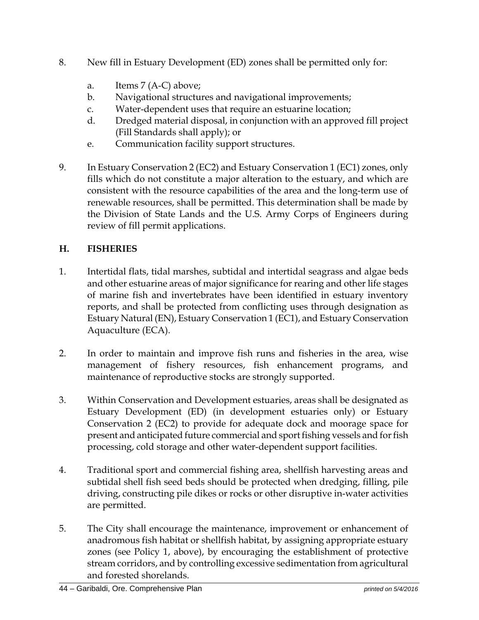- 8. New fill in Estuary Development (ED) zones shall be permitted only for:
	- a. Items 7 (A-C) above;
	- b. Navigational structures and navigational improvements;
	- c. Water-dependent uses that require an estuarine location;
	- d. Dredged material disposal, in conjunction with an approved fill project (Fill Standards shall apply); or
	- e. Communication facility support structures.
- 9. In Estuary Conservation 2 (EC2) and Estuary Conservation 1 (EC1) zones, only fills which do not constitute a major alteration to the estuary, and which are consistent with the resource capabilities of the area and the long-term use of renewable resources, shall be permitted. This determination shall be made by the Division of State Lands and the U.S. Army Corps of Engineers during review of fill permit applications.

#### **H. FISHERIES**

- 1. Intertidal flats, tidal marshes, subtidal and intertidal seagrass and algae beds and other estuarine areas of major significance for rearing and other life stages of marine fish and invertebrates have been identified in estuary inventory reports, and shall be protected from conflicting uses through designation as Estuary Natural (EN), Estuary Conservation 1 (EC1), and Estuary Conservation Aquaculture (ECA).
- 2. In order to maintain and improve fish runs and fisheries in the area, wise management of fishery resources, fish enhancement programs, and maintenance of reproductive stocks are strongly supported.
- 3. Within Conservation and Development estuaries, areas shall be designated as Estuary Development (ED) (in development estuaries only) or Estuary Conservation 2 (EC2) to provide for adequate dock and moorage space for present and anticipated future commercial and sport fishing vessels and for fish processing, cold storage and other water-dependent support facilities.
- 4. Traditional sport and commercial fishing area, shellfish harvesting areas and subtidal shell fish seed beds should be protected when dredging, filling, pile driving, constructing pile dikes or rocks or other disruptive in-water activities are permitted.
- 5. The City shall encourage the maintenance, improvement or enhancement of anadromous fish habitat or shellfish habitat, by assigning appropriate estuary zones (see Policy 1, above), by encouraging the establishment of protective stream corridors, and by controlling excessive sedimentation from agricultural and forested shorelands.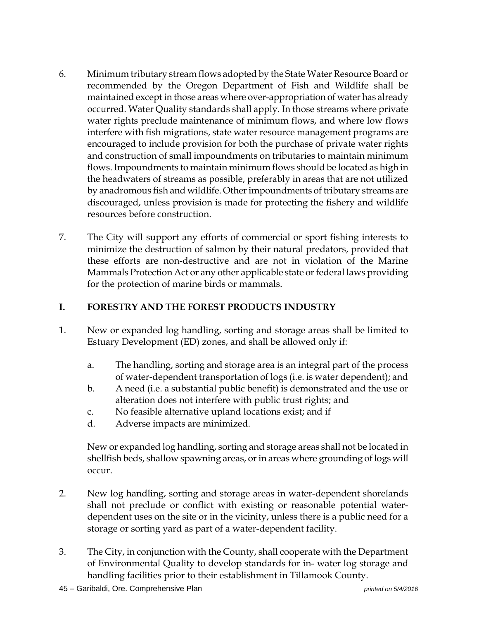- 6. Minimum tributary stream flows adopted by the State Water Resource Board or recommended by the Oregon Department of Fish and Wildlife shall be maintained except in those areas where over-appropriation of water has already occurred. Water Quality standards shall apply. In those streams where private water rights preclude maintenance of minimum flows, and where low flows interfere with fish migrations, state water resource management programs are encouraged to include provision for both the purchase of private water rights and construction of small impoundments on tributaries to maintain minimum flows. Impoundments to maintain minimum flows should be located as high in the headwaters of streams as possible, preferably in areas that are not utilized by anadromous fish and wildlife. Other impoundments of tributary streams are discouraged, unless provision is made for protecting the fishery and wildlife resources before construction.
- 7. The City will support any efforts of commercial or sport fishing interests to minimize the destruction of salmon by their natural predators, provided that these efforts are non-destructive and are not in violation of the Marine Mammals Protection Act or any other applicable state or federal laws providing for the protection of marine birds or mammals.

### **I. FORESTRY AND THE FOREST PRODUCTS INDUSTRY**

- 1. New or expanded log handling, sorting and storage areas shall be limited to Estuary Development (ED) zones, and shall be allowed only if:
	- a. The handling, sorting and storage area is an integral part of the process of water-dependent transportation of logs (i.e. is water dependent); and
	- b. A need (i.e. a substantial public benefit) is demonstrated and the use or alteration does not interfere with public trust rights; and
	- c. No feasible alternative upland locations exist; and if
	- d. Adverse impacts are minimized.

New or expanded log handling, sorting and storage areas shall not be located in shellfish beds, shallow spawning areas, or in areas where grounding of logs will occur.

- 2. New log handling, sorting and storage areas in water-dependent shorelands shall not preclude or conflict with existing or reasonable potential waterdependent uses on the site or in the vicinity, unless there is a public need for a storage or sorting yard as part of a water-dependent facility.
- 3. The City, in conjunction with the County, shall cooperate with the Department of Environmental Quality to develop standards for in- water log storage and handling facilities prior to their establishment in Tillamook County.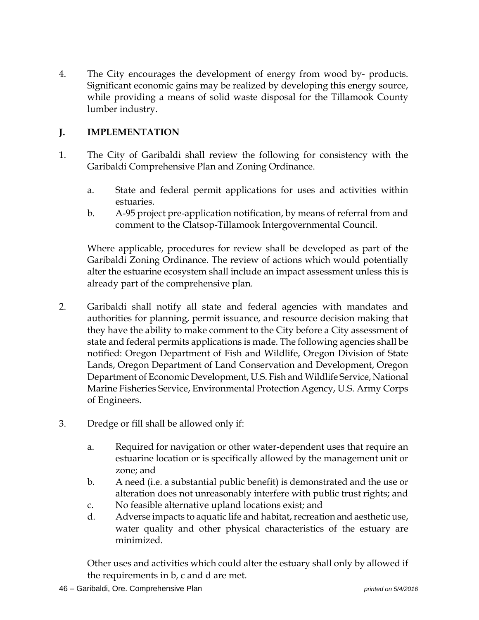4. The City encourages the development of energy from wood by- products. Significant economic gains may be realized by developing this energy source, while providing a means of solid waste disposal for the Tillamook County lumber industry.

### **J. IMPLEMENTATION**

- 1. The City of Garibaldi shall review the following for consistency with the Garibaldi Comprehensive Plan and Zoning Ordinance.
	- a. State and federal permit applications for uses and activities within estuaries.
	- b. A-95 project pre-application notification, by means of referral from and comment to the Clatsop-Tillamook Intergovernmental Council.

Where applicable, procedures for review shall be developed as part of the Garibaldi Zoning Ordinance. The review of actions which would potentially alter the estuarine ecosystem shall include an impact assessment unless this is already part of the comprehensive plan.

- 2. Garibaldi shall notify all state and federal agencies with mandates and authorities for planning, permit issuance, and resource decision making that they have the ability to make comment to the City before a City assessment of state and federal permits applications is made. The following agencies shall be notified: Oregon Department of Fish and Wildlife, Oregon Division of State Lands, Oregon Department of Land Conservation and Development, Oregon Department of Economic Development, U.S. Fish and Wildlife Service, National Marine Fisheries Service, Environmental Protection Agency, U.S. Army Corps of Engineers.
- 3. Dredge or fill shall be allowed only if:
	- a. Required for navigation or other water-dependent uses that require an estuarine location or is specifically allowed by the management unit or zone; and
	- b. A need (i.e. a substantial public benefit) is demonstrated and the use or alteration does not unreasonably interfere with public trust rights; and
	- c. No feasible alternative upland locations exist; and
	- d. Adverse impacts to aquatic life and habitat, recreation and aesthetic use, water quality and other physical characteristics of the estuary are minimized.

Other uses and activities which could alter the estuary shall only by allowed if the requirements in b, c and d are met.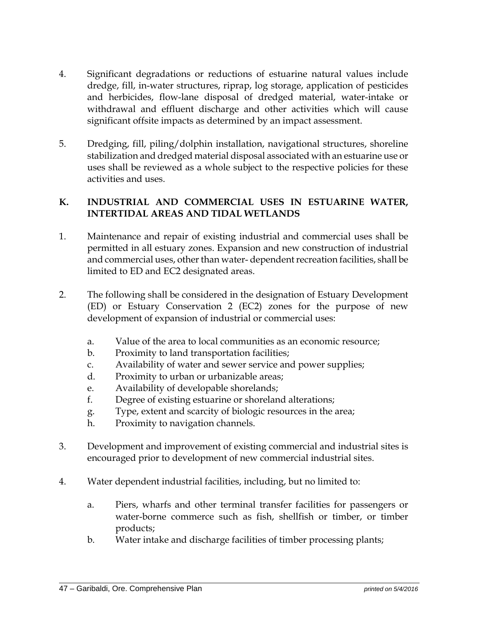- 4. Significant degradations or reductions of estuarine natural values include dredge, fill, in-water structures, riprap, log storage, application of pesticides and herbicides, flow-lane disposal of dredged material, water-intake or withdrawal and effluent discharge and other activities which will cause significant offsite impacts as determined by an impact assessment.
- 5. Dredging, fill, piling/dolphin installation, navigational structures, shoreline stabilization and dredged material disposal associated with an estuarine use or uses shall be reviewed as a whole subject to the respective policies for these activities and uses.

#### **K. INDUSTRIAL AND COMMERCIAL USES IN ESTUARINE WATER, INTERTIDAL AREAS AND TIDAL WETLANDS**

- 1. Maintenance and repair of existing industrial and commercial uses shall be permitted in all estuary zones. Expansion and new construction of industrial and commercial uses, other than water- dependent recreation facilities, shall be limited to ED and EC2 designated areas.
- 2. The following shall be considered in the designation of Estuary Development (ED) or Estuary Conservation 2 (EC2) zones for the purpose of new development of expansion of industrial or commercial uses:
	- a. Value of the area to local communities as an economic resource;
	- b. Proximity to land transportation facilities;
	- c. Availability of water and sewer service and power supplies;
	- d. Proximity to urban or urbanizable areas;
	- e. Availability of developable shorelands;
	- f. Degree of existing estuarine or shoreland alterations;
	- g. Type, extent and scarcity of biologic resources in the area;
	- h. Proximity to navigation channels.
- 3. Development and improvement of existing commercial and industrial sites is encouraged prior to development of new commercial industrial sites.
- 4. Water dependent industrial facilities, including, but no limited to:
	- a. Piers, wharfs and other terminal transfer facilities for passengers or water-borne commerce such as fish, shellfish or timber, or timber products;
	- b. Water intake and discharge facilities of timber processing plants;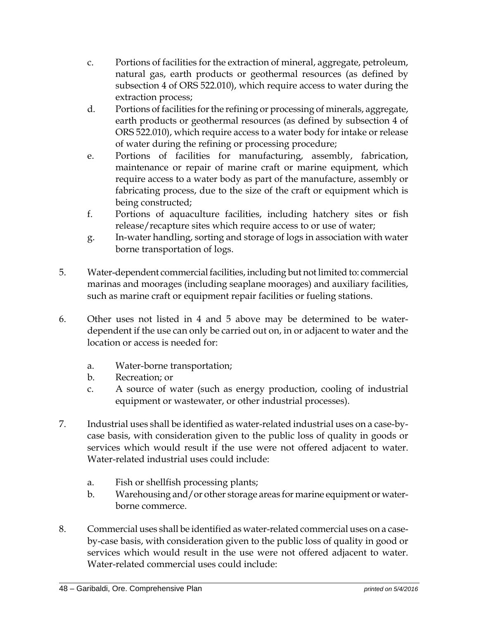- c. Portions of facilities for the extraction of mineral, aggregate, petroleum, natural gas, earth products or geothermal resources (as defined by subsection 4 of ORS 522.010), which require access to water during the extraction process;
- d. Portions of facilities for the refining or processing of minerals, aggregate, earth products or geothermal resources (as defined by subsection 4 of ORS 522.010), which require access to a water body for intake or release of water during the refining or processing procedure;
- e. Portions of facilities for manufacturing, assembly, fabrication, maintenance or repair of marine craft or marine equipment, which require access to a water body as part of the manufacture, assembly or fabricating process, due to the size of the craft or equipment which is being constructed;
- f. Portions of aquaculture facilities, including hatchery sites or fish release/recapture sites which require access to or use of water;
- g. In-water handling, sorting and storage of logs in association with water borne transportation of logs.
- 5. Water-dependent commercial facilities, including but not limited to: commercial marinas and moorages (including seaplane moorages) and auxiliary facilities, such as marine craft or equipment repair facilities or fueling stations.
- 6. Other uses not listed in 4 and 5 above may be determined to be waterdependent if the use can only be carried out on, in or adjacent to water and the location or access is needed for:
	- a. Water-borne transportation;
	- b. Recreation; or
	- c. A source of water (such as energy production, cooling of industrial equipment or wastewater, or other industrial processes).
- 7. Industrial uses shall be identified as water-related industrial uses on a case-bycase basis, with consideration given to the public loss of quality in goods or services which would result if the use were not offered adjacent to water. Water-related industrial uses could include:
	- a. Fish or shellfish processing plants;
	- b. Warehousing and/or other storage areas for marine equipment or waterborne commerce.
- 8. Commercial uses shall be identified as water-related commercial uses on a caseby-case basis, with consideration given to the public loss of quality in good or services which would result in the use were not offered adjacent to water. Water-related commercial uses could include: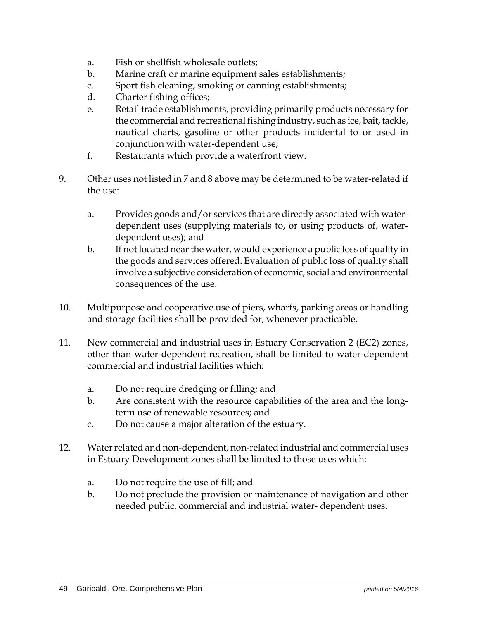- a. Fish or shellfish wholesale outlets;
- b. Marine craft or marine equipment sales establishments;
- c. Sport fish cleaning, smoking or canning establishments;
- d. Charter fishing offices;
- e. Retail trade establishments, providing primarily products necessary for the commercial and recreational fishing industry, such as ice, bait, tackle, nautical charts, gasoline or other products incidental to or used in conjunction with water-dependent use;
- f. Restaurants which provide a waterfront view.
- 9. Other uses not listed in 7 and 8 above may be determined to be water-related if the use:
	- a. Provides goods and/or services that are directly associated with waterdependent uses (supplying materials to, or using products of, waterdependent uses); and
	- b. If not located near the water, would experience a public loss of quality in the goods and services offered. Evaluation of public loss of quality shall involve a subjective consideration of economic, social and environmental consequences of the use.
- 10. Multipurpose and cooperative use of piers, wharfs, parking areas or handling and storage facilities shall be provided for, whenever practicable.
- 11. New commercial and industrial uses in Estuary Conservation 2 (EC2) zones, other than water-dependent recreation, shall be limited to water-dependent commercial and industrial facilities which:
	- a. Do not require dredging or filling; and
	- b. Are consistent with the resource capabilities of the area and the longterm use of renewable resources; and
	- c. Do not cause a major alteration of the estuary.
- 12. Water related and non-dependent, non-related industrial and commercial uses in Estuary Development zones shall be limited to those uses which:
	- a. Do not require the use of fill; and
	- b. Do not preclude the provision or maintenance of navigation and other needed public, commercial and industrial water- dependent uses.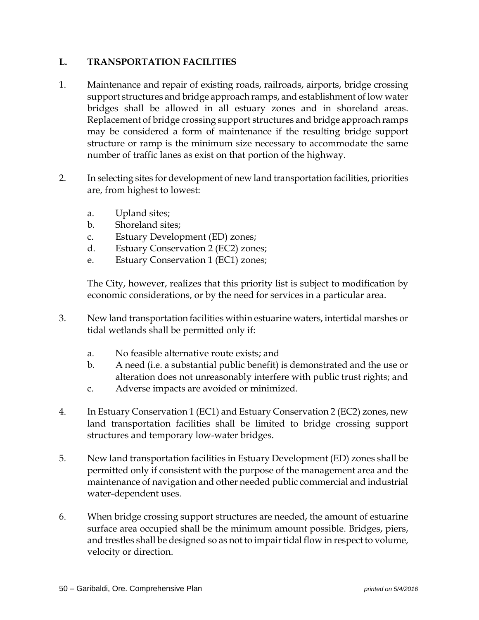#### **L. TRANSPORTATION FACILITIES**

- 1. Maintenance and repair of existing roads, railroads, airports, bridge crossing support structures and bridge approach ramps, and establishment of low water bridges shall be allowed in all estuary zones and in shoreland areas. Replacement of bridge crossing support structures and bridge approach ramps may be considered a form of maintenance if the resulting bridge support structure or ramp is the minimum size necessary to accommodate the same number of traffic lanes as exist on that portion of the highway.
- 2. In selecting sites for development of new land transportation facilities, priorities are, from highest to lowest:
	- a. Upland sites;
	- b. Shoreland sites;
	- c. Estuary Development (ED) zones;
	- d. Estuary Conservation 2 (EC2) zones;
	- e. Estuary Conservation 1 (EC1) zones;

The City, however, realizes that this priority list is subject to modification by economic considerations, or by the need for services in a particular area.

- 3. New land transportation facilities within estuarine waters, intertidal marshes or tidal wetlands shall be permitted only if:
	- a. No feasible alternative route exists; and
	- b. A need (i.e. a substantial public benefit) is demonstrated and the use or alteration does not unreasonably interfere with public trust rights; and
	- c. Adverse impacts are avoided or minimized.
- 4. In Estuary Conservation 1 (EC1) and Estuary Conservation 2 (EC2) zones, new land transportation facilities shall be limited to bridge crossing support structures and temporary low-water bridges.
- 5. New land transportation facilities in Estuary Development (ED) zones shall be permitted only if consistent with the purpose of the management area and the maintenance of navigation and other needed public commercial and industrial water-dependent uses.
- 6. When bridge crossing support structures are needed, the amount of estuarine surface area occupied shall be the minimum amount possible. Bridges, piers, and trestles shall be designed so as not to impair tidal flow in respect to volume, velocity or direction.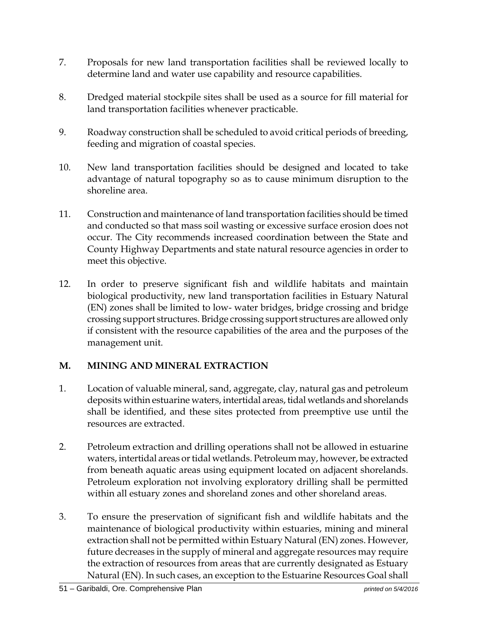- 7. Proposals for new land transportation facilities shall be reviewed locally to determine land and water use capability and resource capabilities.
- 8. Dredged material stockpile sites shall be used as a source for fill material for land transportation facilities whenever practicable.
- 9. Roadway construction shall be scheduled to avoid critical periods of breeding, feeding and migration of coastal species.
- 10. New land transportation facilities should be designed and located to take advantage of natural topography so as to cause minimum disruption to the shoreline area.
- 11. Construction and maintenance of land transportation facilities should be timed and conducted so that mass soil wasting or excessive surface erosion does not occur. The City recommends increased coordination between the State and County Highway Departments and state natural resource agencies in order to meet this objective.
- 12. In order to preserve significant fish and wildlife habitats and maintain biological productivity, new land transportation facilities in Estuary Natural (EN) zones shall be limited to low- water bridges, bridge crossing and bridge crossing support structures. Bridge crossing support structures are allowed only if consistent with the resource capabilities of the area and the purposes of the management unit.

# **M. MINING AND MINERAL EXTRACTION**

- 1. Location of valuable mineral, sand, aggregate, clay, natural gas and petroleum deposits within estuarine waters, intertidal areas, tidal wetlands and shorelands shall be identified, and these sites protected from preemptive use until the resources are extracted.
- 2. Petroleum extraction and drilling operations shall not be allowed in estuarine waters, intertidal areas or tidal wetlands. Petroleum may, however, be extracted from beneath aquatic areas using equipment located on adjacent shorelands. Petroleum exploration not involving exploratory drilling shall be permitted within all estuary zones and shoreland zones and other shoreland areas.
- 3. To ensure the preservation of significant fish and wildlife habitats and the maintenance of biological productivity within estuaries, mining and mineral extraction shall not be permitted within Estuary Natural (EN) zones. However, future decreases in the supply of mineral and aggregate resources may require the extraction of resources from areas that are currently designated as Estuary Natural (EN). In such cases, an exception to the Estuarine Resources Goal shall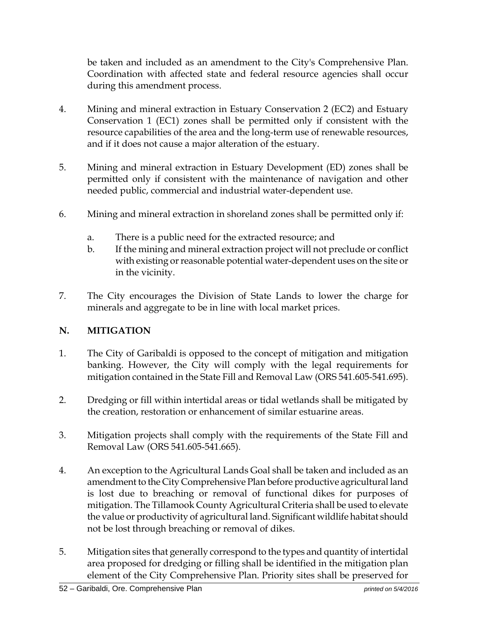be taken and included as an amendment to the City's Comprehensive Plan. Coordination with affected state and federal resource agencies shall occur during this amendment process.

- 4. Mining and mineral extraction in Estuary Conservation 2 (EC2) and Estuary Conservation 1 (EC1) zones shall be permitted only if consistent with the resource capabilities of the area and the long-term use of renewable resources, and if it does not cause a major alteration of the estuary.
- 5. Mining and mineral extraction in Estuary Development (ED) zones shall be permitted only if consistent with the maintenance of navigation and other needed public, commercial and industrial water-dependent use.
- 6. Mining and mineral extraction in shoreland zones shall be permitted only if:
	- a. There is a public need for the extracted resource; and
	- b. If the mining and mineral extraction project will not preclude or conflict with existing or reasonable potential water-dependent uses on the site or in the vicinity.
- 7. The City encourages the Division of State Lands to lower the charge for minerals and aggregate to be in line with local market prices.

# **N. MITIGATION**

- 1. The City of Garibaldi is opposed to the concept of mitigation and mitigation banking. However, the City will comply with the legal requirements for mitigation contained in the State Fill and Removal Law (ORS 541.605-541.695).
- 2. Dredging or fill within intertidal areas or tidal wetlands shall be mitigated by the creation, restoration or enhancement of similar estuarine areas.
- 3. Mitigation projects shall comply with the requirements of the State Fill and Removal Law (ORS 541.605-541.665).
- 4. An exception to the Agricultural Lands Goal shall be taken and included as an amendment to the City Comprehensive Plan before productive agricultural land is lost due to breaching or removal of functional dikes for purposes of mitigation. The Tillamook County Agricultural Criteria shall be used to elevate the value or productivity of agricultural land. Significant wildlife habitat should not be lost through breaching or removal of dikes.
- 5. Mitigation sites that generally correspond to the types and quantity of intertidal area proposed for dredging or filling shall be identified in the mitigation plan element of the City Comprehensive Plan. Priority sites shall be preserved for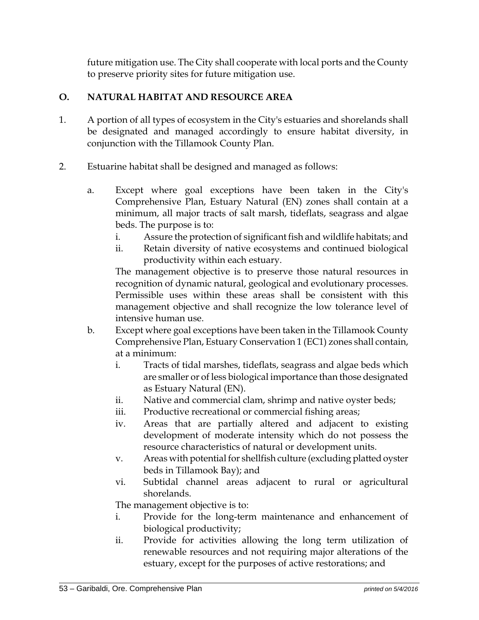future mitigation use. The City shall cooperate with local ports and the County to preserve priority sites for future mitigation use.

## **O. NATURAL HABITAT AND RESOURCE AREA**

- 1. A portion of all types of ecosystem in the City's estuaries and shorelands shall be designated and managed accordingly to ensure habitat diversity, in conjunction with the Tillamook County Plan.
- 2. Estuarine habitat shall be designed and managed as follows:
	- a. Except where goal exceptions have been taken in the City's Comprehensive Plan, Estuary Natural (EN) zones shall contain at a minimum, all major tracts of salt marsh, tideflats, seagrass and algae beds. The purpose is to:
		- i. Assure the protection of significant fish and wildlife habitats; and
		- ii. Retain diversity of native ecosystems and continued biological productivity within each estuary.

The management objective is to preserve those natural resources in recognition of dynamic natural, geological and evolutionary processes. Permissible uses within these areas shall be consistent with this management objective and shall recognize the low tolerance level of intensive human use.

- b. Except where goal exceptions have been taken in the Tillamook County Comprehensive Plan, Estuary Conservation 1 (EC1) zones shall contain, at a minimum:
	- i. Tracts of tidal marshes, tideflats, seagrass and algae beds which are smaller or of less biological importance than those designated as Estuary Natural (EN).
	- ii. Native and commercial clam, shrimp and native oyster beds;
	- iii. Productive recreational or commercial fishing areas;
	- iv. Areas that are partially altered and adjacent to existing development of moderate intensity which do not possess the resource characteristics of natural or development units.
	- v. Areas with potential for shellfish culture (excluding platted oyster beds in Tillamook Bay); and
	- vi. Subtidal channel areas adjacent to rural or agricultural shorelands.

The management objective is to:

- i. Provide for the long-term maintenance and enhancement of biological productivity;
- ii. Provide for activities allowing the long term utilization of renewable resources and not requiring major alterations of the estuary, except for the purposes of active restorations; and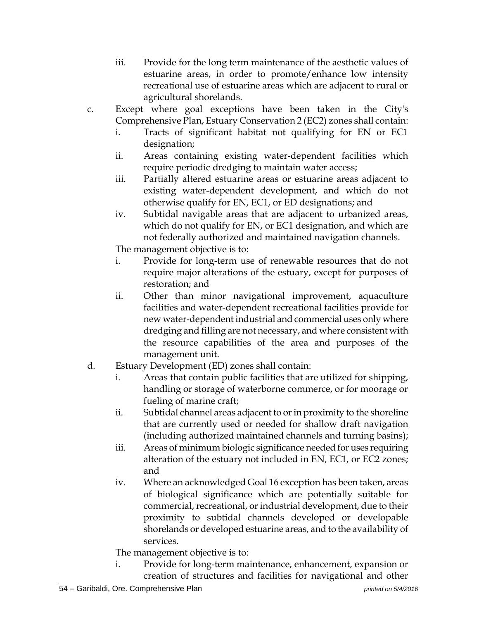- iii. Provide for the long term maintenance of the aesthetic values of estuarine areas, in order to promote/enhance low intensity recreational use of estuarine areas which are adjacent to rural or agricultural shorelands.
- c. Except where goal exceptions have been taken in the City's Comprehensive Plan, Estuary Conservation 2 (EC2) zones shall contain:
	- i. Tracts of significant habitat not qualifying for EN or EC1 designation;
	- ii. Areas containing existing water-dependent facilities which require periodic dredging to maintain water access;
	- iii. Partially altered estuarine areas or estuarine areas adjacent to existing water-dependent development, and which do not otherwise qualify for EN, EC1, or ED designations; and
	- iv. Subtidal navigable areas that are adjacent to urbanized areas, which do not qualify for EN, or EC1 designation, and which are not federally authorized and maintained navigation channels.

The management objective is to:

- i. Provide for long-term use of renewable resources that do not require major alterations of the estuary, except for purposes of restoration; and
- ii. Other than minor navigational improvement, aquaculture facilities and water-dependent recreational facilities provide for new water-dependent industrial and commercial uses only where dredging and filling are not necessary, and where consistent with the resource capabilities of the area and purposes of the management unit.
- d. Estuary Development (ED) zones shall contain:
	- i. Areas that contain public facilities that are utilized for shipping, handling or storage of waterborne commerce, or for moorage or fueling of marine craft;
	- ii. Subtidal channel areas adjacent to or in proximity to the shoreline that are currently used or needed for shallow draft navigation (including authorized maintained channels and turning basins);
	- iii. Areas of minimum biologic significance needed for uses requiring alteration of the estuary not included in EN, EC1, or EC2 zones; and
	- iv. Where an acknowledged Goal 16 exception has been taken, areas of biological significance which are potentially suitable for commercial, recreational, or industrial development, due to their proximity to subtidal channels developed or developable shorelands or developed estuarine areas, and to the availability of services.

The management objective is to:

i. Provide for long-term maintenance, enhancement, expansion or creation of structures and facilities for navigational and other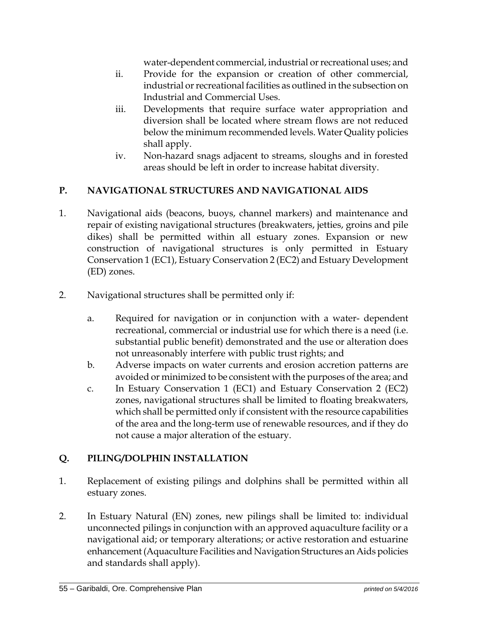water-dependent commercial, industrial or recreational uses; and

- ii. Provide for the expansion or creation of other commercial, industrial or recreational facilities as outlined in the subsection on Industrial and Commercial Uses.
- iii. Developments that require surface water appropriation and diversion shall be located where stream flows are not reduced below the minimum recommended levels. Water Quality policies shall apply.
- iv. Non-hazard snags adjacent to streams, sloughs and in forested areas should be left in order to increase habitat diversity.

## **P. NAVIGATIONAL STRUCTURES AND NAVIGATIONAL AIDS**

- 1. Navigational aids (beacons, buoys, channel markers) and maintenance and repair of existing navigational structures (breakwaters, jetties, groins and pile dikes) shall be permitted within all estuary zones. Expansion or new construction of navigational structures is only permitted in Estuary Conservation 1 (EC1), Estuary Conservation 2 (EC2) and Estuary Development (ED) zones.
- 2. Navigational structures shall be permitted only if:
	- a. Required for navigation or in conjunction with a water- dependent recreational, commercial or industrial use for which there is a need (i.e. substantial public benefit) demonstrated and the use or alteration does not unreasonably interfere with public trust rights; and
	- b. Adverse impacts on water currents and erosion accretion patterns are avoided or minimized to be consistent with the purposes of the area; and
	- c. In Estuary Conservation 1 (EC1) and Estuary Conservation 2 (EC2) zones, navigational structures shall be limited to floating breakwaters, which shall be permitted only if consistent with the resource capabilities of the area and the long-term use of renewable resources, and if they do not cause a major alteration of the estuary.

# **Q. PILING/DOLPHIN INSTALLATION**

- 1. Replacement of existing pilings and dolphins shall be permitted within all estuary zones.
- 2. In Estuary Natural (EN) zones, new pilings shall be limited to: individual unconnected pilings in conjunction with an approved aquaculture facility or a navigational aid; or temporary alterations; or active restoration and estuarine enhancement (Aquaculture Facilities and Navigation Structures an Aids policies and standards shall apply).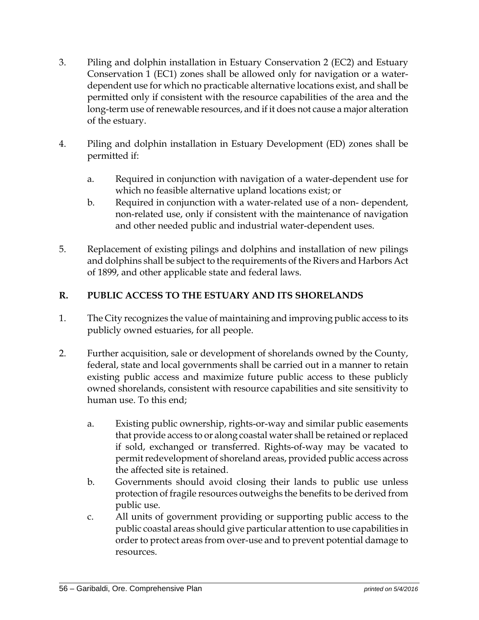- 3. Piling and dolphin installation in Estuary Conservation 2 (EC2) and Estuary Conservation 1 (EC1) zones shall be allowed only for navigation or a waterdependent use for which no practicable alternative locations exist, and shall be permitted only if consistent with the resource capabilities of the area and the long-term use of renewable resources, and if it does not cause a major alteration of the estuary.
- 4. Piling and dolphin installation in Estuary Development (ED) zones shall be permitted if:
	- a. Required in conjunction with navigation of a water-dependent use for which no feasible alternative upland locations exist; or
	- b. Required in conjunction with a water-related use of a non- dependent, non-related use, only if consistent with the maintenance of navigation and other needed public and industrial water-dependent uses.
- 5. Replacement of existing pilings and dolphins and installation of new pilings and dolphins shall be subject to the requirements of the Rivers and Harbors Act of 1899, and other applicable state and federal laws.

### **R. PUBLIC ACCESS TO THE ESTUARY AND ITS SHORELANDS**

- 1. The City recognizes the value of maintaining and improving public access to its publicly owned estuaries, for all people.
- 2. Further acquisition, sale or development of shorelands owned by the County, federal, state and local governments shall be carried out in a manner to retain existing public access and maximize future public access to these publicly owned shorelands, consistent with resource capabilities and site sensitivity to human use. To this end;
	- a. Existing public ownership, rights-or-way and similar public easements that provide access to or along coastal water shall be retained or replaced if sold, exchanged or transferred. Rights-of-way may be vacated to permit redevelopment of shoreland areas, provided public access across the affected site is retained.
	- b. Governments should avoid closing their lands to public use unless protection of fragile resources outweighs the benefits to be derived from public use.
	- c. All units of government providing or supporting public access to the public coastal areas should give particular attention to use capabilities in order to protect areas from over-use and to prevent potential damage to resources.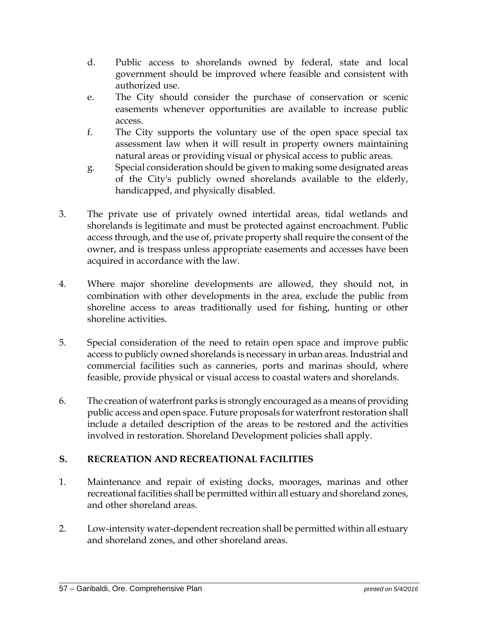- d. Public access to shorelands owned by federal, state and local government should be improved where feasible and consistent with authorized use.
- e. The City should consider the purchase of conservation or scenic easements whenever opportunities are available to increase public access.
- f. The City supports the voluntary use of the open space special tax assessment law when it will result in property owners maintaining natural areas or providing visual or physical access to public areas.
- g. Special consideration should be given to making some designated areas of the City's publicly owned shorelands available to the elderly, handicapped, and physically disabled.
- 3. The private use of privately owned intertidal areas, tidal wetlands and shorelands is legitimate and must be protected against encroachment. Public access through, and the use of, private property shall require the consent of the owner, and is trespass unless appropriate easements and accesses have been acquired in accordance with the law.
- 4. Where major shoreline developments are allowed, they should not, in combination with other developments in the area, exclude the public from shoreline access to areas traditionally used for fishing, hunting or other shoreline activities.
- 5. Special consideration of the need to retain open space and improve public access to publicly owned shorelands is necessary in urban areas. Industrial and commercial facilities such as canneries, ports and marinas should, where feasible, provide physical or visual access to coastal waters and shorelands.
- 6. The creation of waterfront parks is strongly encouraged as a means of providing public access and open space. Future proposals for waterfront restoration shall include a detailed description of the areas to be restored and the activities involved in restoration. Shoreland Development policies shall apply.

# **S. RECREATION AND RECREATIONAL FACILITIES**

- 1. Maintenance and repair of existing docks, moorages, marinas and other recreational facilities shall be permitted within all estuary and shoreland zones, and other shoreland areas.
- 2. Low-intensity water-dependent recreation shall be permitted within all estuary and shoreland zones, and other shoreland areas.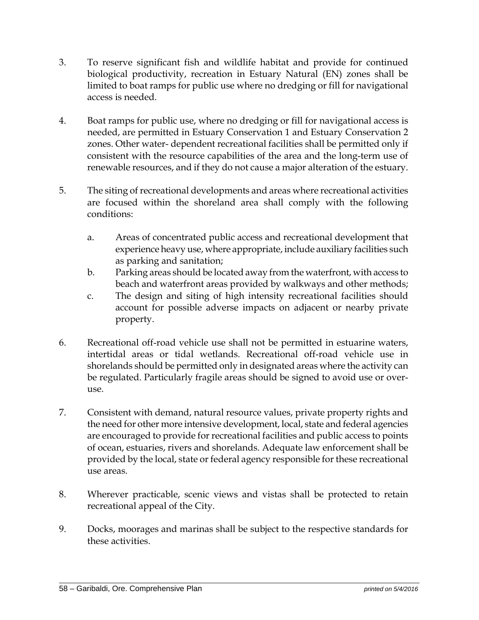- 3. To reserve significant fish and wildlife habitat and provide for continued biological productivity, recreation in Estuary Natural (EN) zones shall be limited to boat ramps for public use where no dredging or fill for navigational access is needed.
- 4. Boat ramps for public use, where no dredging or fill for navigational access is needed, are permitted in Estuary Conservation 1 and Estuary Conservation 2 zones. Other water- dependent recreational facilities shall be permitted only if consistent with the resource capabilities of the area and the long-term use of renewable resources, and if they do not cause a major alteration of the estuary.
- 5. The siting of recreational developments and areas where recreational activities are focused within the shoreland area shall comply with the following conditions:
	- a. Areas of concentrated public access and recreational development that experience heavy use, where appropriate, include auxiliary facilities such as parking and sanitation;
	- b. Parking areas should be located away from the waterfront, with access to beach and waterfront areas provided by walkways and other methods;
	- c. The design and siting of high intensity recreational facilities should account for possible adverse impacts on adjacent or nearby private property.
- 6. Recreational off-road vehicle use shall not be permitted in estuarine waters, intertidal areas or tidal wetlands. Recreational off-road vehicle use in shorelands should be permitted only in designated areas where the activity can be regulated. Particularly fragile areas should be signed to avoid use or overuse.
- 7. Consistent with demand, natural resource values, private property rights and the need for other more intensive development, local, state and federal agencies are encouraged to provide for recreational facilities and public access to points of ocean, estuaries, rivers and shorelands. Adequate law enforcement shall be provided by the local, state or federal agency responsible for these recreational use areas.
- 8. Wherever practicable, scenic views and vistas shall be protected to retain recreational appeal of the City.
- 9. Docks, moorages and marinas shall be subject to the respective standards for these activities.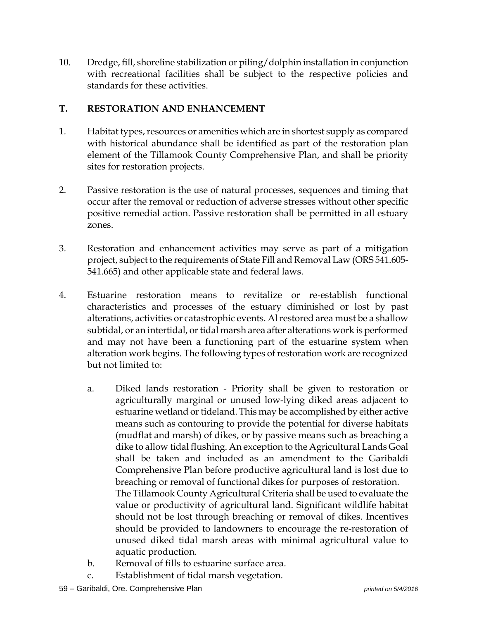10. Dredge, fill, shoreline stabilization or piling/dolphin installation in conjunction with recreational facilities shall be subject to the respective policies and standards for these activities.

### **T. RESTORATION AND ENHANCEMENT**

- 1. Habitat types, resources or amenities which are in shortest supply as compared with historical abundance shall be identified as part of the restoration plan element of the Tillamook County Comprehensive Plan, and shall be priority sites for restoration projects.
- 2. Passive restoration is the use of natural processes, sequences and timing that occur after the removal or reduction of adverse stresses without other specific positive remedial action. Passive restoration shall be permitted in all estuary zones.
- 3. Restoration and enhancement activities may serve as part of a mitigation project, subject to the requirements of State Fill and Removal Law (ORS 541.605- 541.665) and other applicable state and federal laws.
- 4. Estuarine restoration means to revitalize or re-establish functional characteristics and processes of the estuary diminished or lost by past alterations, activities or catastrophic events. Al restored area must be a shallow subtidal, or an intertidal, or tidal marsh area after alterations work is performed and may not have been a functioning part of the estuarine system when alteration work begins. The following types of restoration work are recognized but not limited to:
	- a. Diked lands restoration Priority shall be given to restoration or agriculturally marginal or unused low-lying diked areas adjacent to estuarine wetland or tideland. This may be accomplished by either active means such as contouring to provide the potential for diverse habitats (mudflat and marsh) of dikes, or by passive means such as breaching a dike to allow tidal flushing. An exception to the Agricultural Lands Goal shall be taken and included as an amendment to the Garibaldi Comprehensive Plan before productive agricultural land is lost due to breaching or removal of functional dikes for purposes of restoration. The Tillamook County Agricultural Criteria shall be used to evaluate the value or productivity of agricultural land. Significant wildlife habitat should not be lost through breaching or removal of dikes. Incentives should be provided to landowners to encourage the re-restoration of unused diked tidal marsh areas with minimal agricultural value to aquatic production.
	- b. Removal of fills to estuarine surface area.
	- c. Establishment of tidal marsh vegetation.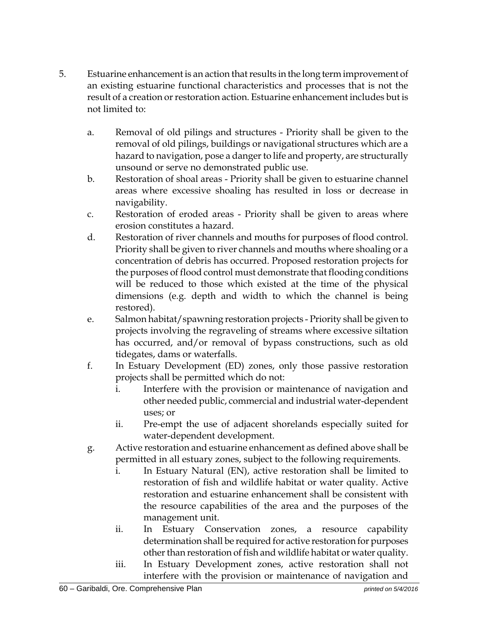- 5. Estuarine enhancement is an action that results in the long term improvement of an existing estuarine functional characteristics and processes that is not the result of a creation or restoration action. Estuarine enhancement includes but is not limited to:
	- a. Removal of old pilings and structures Priority shall be given to the removal of old pilings, buildings or navigational structures which are a hazard to navigation, pose a danger to life and property, are structurally unsound or serve no demonstrated public use.
	- b. Restoration of shoal areas Priority shall be given to estuarine channel areas where excessive shoaling has resulted in loss or decrease in navigability.
	- c. Restoration of eroded areas Priority shall be given to areas where erosion constitutes a hazard.
	- d. Restoration of river channels and mouths for purposes of flood control. Priority shall be given to river channels and mouths where shoaling or a concentration of debris has occurred. Proposed restoration projects for the purposes of flood control must demonstrate that flooding conditions will be reduced to those which existed at the time of the physical dimensions (e.g. depth and width to which the channel is being restored).
	- e. Salmon habitat/spawning restoration projects Priority shall be given to projects involving the regraveling of streams where excessive siltation has occurred, and/or removal of bypass constructions, such as old tidegates, dams or waterfalls.
	- f. In Estuary Development (ED) zones, only those passive restoration projects shall be permitted which do not:
		- i. Interfere with the provision or maintenance of navigation and other needed public, commercial and industrial water-dependent uses; or
		- ii. Pre-empt the use of adjacent shorelands especially suited for water-dependent development.
	- g. Active restoration and estuarine enhancement as defined above shall be permitted in all estuary zones, subject to the following requirements.
		- i. In Estuary Natural (EN), active restoration shall be limited to restoration of fish and wildlife habitat or water quality. Active restoration and estuarine enhancement shall be consistent with the resource capabilities of the area and the purposes of the management unit.
		- ii. In Estuary Conservation zones, a resource capability determination shall be required for active restoration for purposes other than restoration of fish and wildlife habitat or water quality.
		- iii. In Estuary Development zones, active restoration shall not interfere with the provision or maintenance of navigation and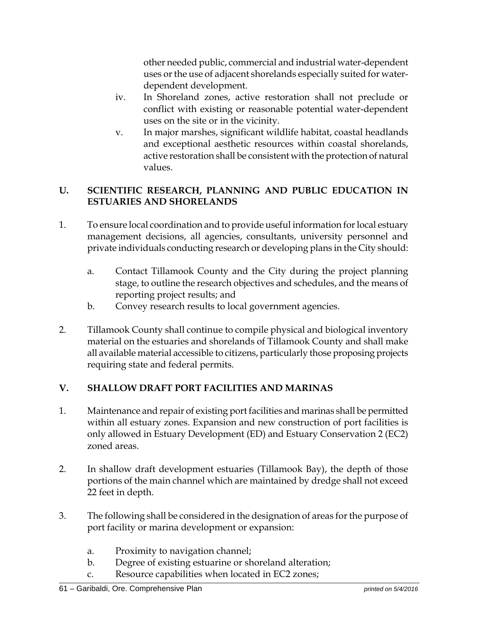other needed public, commercial and industrial water-dependent uses or the use of adjacent shorelands especially suited for waterdependent development.

- iv. In Shoreland zones, active restoration shall not preclude or conflict with existing or reasonable potential water-dependent uses on the site or in the vicinity.
- v. In major marshes, significant wildlife habitat, coastal headlands and exceptional aesthetic resources within coastal shorelands, active restoration shall be consistent with the protection of natural values.

### **U. SCIENTIFIC RESEARCH, PLANNING AND PUBLIC EDUCATION IN ESTUARIES AND SHORELANDS**

- 1. To ensure local coordination and to provide useful information for local estuary management decisions, all agencies, consultants, university personnel and private individuals conducting research or developing plans in the City should:
	- a. Contact Tillamook County and the City during the project planning stage, to outline the research objectives and schedules, and the means of reporting project results; and
	- b. Convey research results to local government agencies.
- 2. Tillamook County shall continue to compile physical and biological inventory material on the estuaries and shorelands of Tillamook County and shall make all available material accessible to citizens, particularly those proposing projects requiring state and federal permits.

# **V. SHALLOW DRAFT PORT FACILITIES AND MARINAS**

- 1. Maintenance and repair of existing port facilities and marinas shall be permitted within all estuary zones. Expansion and new construction of port facilities is only allowed in Estuary Development (ED) and Estuary Conservation 2 (EC2) zoned areas.
- 2. In shallow draft development estuaries (Tillamook Bay), the depth of those portions of the main channel which are maintained by dredge shall not exceed 22 feet in depth.
- 3. The following shall be considered in the designation of areas for the purpose of port facility or marina development or expansion:
	- a. Proximity to navigation channel;
	- b. Degree of existing estuarine or shoreland alteration;
	- c. Resource capabilities when located in EC2 zones;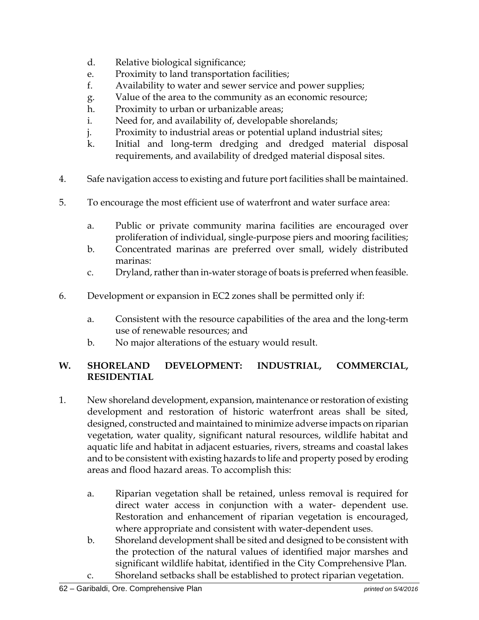- d. Relative biological significance;
- e. Proximity to land transportation facilities;
- f. Availability to water and sewer service and power supplies;
- g. Value of the area to the community as an economic resource;
- h. Proximity to urban or urbanizable areas;
- i. Need for, and availability of, developable shorelands;
- j. Proximity to industrial areas or potential upland industrial sites;
- k. Initial and long-term dredging and dredged material disposal requirements, and availability of dredged material disposal sites.
- 4. Safe navigation access to existing and future port facilities shall be maintained.
- 5. To encourage the most efficient use of waterfront and water surface area:
	- a. Public or private community marina facilities are encouraged over proliferation of individual, single-purpose piers and mooring facilities;
	- b. Concentrated marinas are preferred over small, widely distributed marinas:
	- c. Dryland, rather than in-water storage of boats is preferred when feasible.
- 6. Development or expansion in EC2 zones shall be permitted only if:
	- a. Consistent with the resource capabilities of the area and the long-term use of renewable resources; and
	- b. No major alterations of the estuary would result.

### **W. SHORELAND DEVELOPMENT: INDUSTRIAL, COMMERCIAL, RESIDENTIAL**

- 1. New shoreland development, expansion, maintenance or restoration of existing development and restoration of historic waterfront areas shall be sited, designed, constructed and maintained to minimize adverse impacts on riparian vegetation, water quality, significant natural resources, wildlife habitat and aquatic life and habitat in adjacent estuaries, rivers, streams and coastal lakes and to be consistent with existing hazards to life and property posed by eroding areas and flood hazard areas. To accomplish this:
	- a. Riparian vegetation shall be retained, unless removal is required for direct water access in conjunction with a water- dependent use. Restoration and enhancement of riparian vegetation is encouraged, where appropriate and consistent with water-dependent uses.
	- b. Shoreland development shall be sited and designed to be consistent with the protection of the natural values of identified major marshes and significant wildlife habitat, identified in the City Comprehensive Plan.
	- c. Shoreland setbacks shall be established to protect riparian vegetation.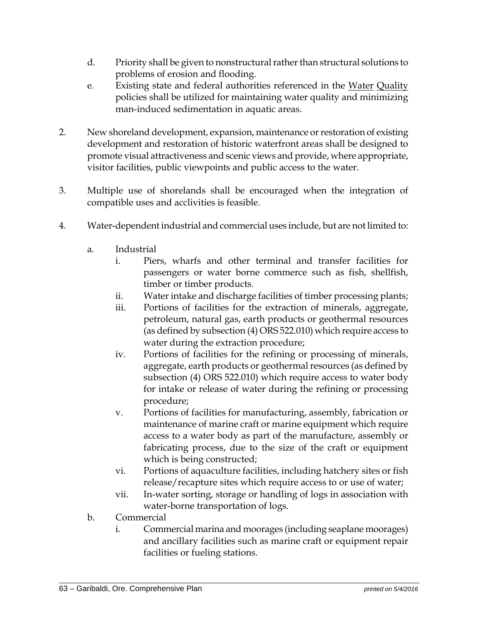- d. Priority shall be given to nonstructural rather than structural solutions to problems of erosion and flooding.
- e. Existing state and federal authorities referenced in the Water Quality policies shall be utilized for maintaining water quality and minimizing man-induced sedimentation in aquatic areas.
- 2. New shoreland development, expansion, maintenance or restoration of existing development and restoration of historic waterfront areas shall be designed to promote visual attractiveness and scenic views and provide, where appropriate, visitor facilities, public viewpoints and public access to the water.
- 3. Multiple use of shorelands shall be encouraged when the integration of compatible uses and acclivities is feasible.
- 4. Water-dependent industrial and commercial uses include, but are not limited to:
	- a. Industrial
		- i. Piers, wharfs and other terminal and transfer facilities for passengers or water borne commerce such as fish, shellfish, timber or timber products.
		- ii. Water intake and discharge facilities of timber processing plants;
		- iii. Portions of facilities for the extraction of minerals, aggregate, petroleum, natural gas, earth products or geothermal resources (as defined by subsection (4) ORS 522.010) which require access to water during the extraction procedure;
		- iv. Portions of facilities for the refining or processing of minerals, aggregate, earth products or geothermal resources (as defined by subsection (4) ORS 522.010) which require access to water body for intake or release of water during the refining or processing procedure;
		- v. Portions of facilities for manufacturing, assembly, fabrication or maintenance of marine craft or marine equipment which require access to a water body as part of the manufacture, assembly or fabricating process, due to the size of the craft or equipment which is being constructed;
		- vi. Portions of aquaculture facilities, including hatchery sites or fish release/recapture sites which require access to or use of water;
		- vii. In-water sorting, storage or handling of logs in association with water-borne transportation of logs.
	- b. Commercial
		- i. Commercial marina and moorages (including seaplane moorages) and ancillary facilities such as marine craft or equipment repair facilities or fueling stations.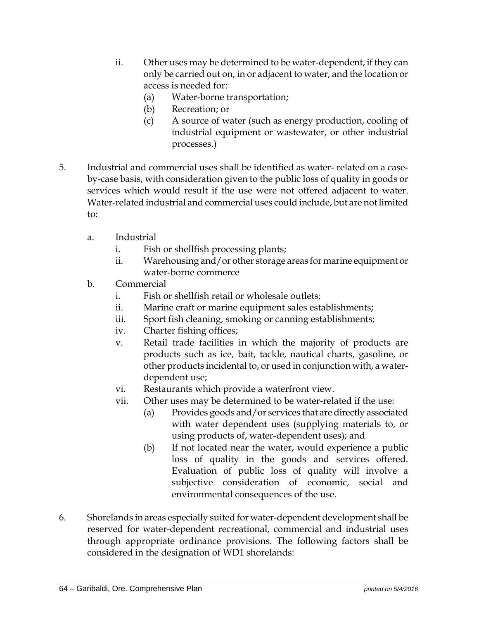- ii. Other uses may be determined to be water-dependent, if they can only be carried out on, in or adjacent to water, and the location or access is needed for:
	- (a) Water-borne transportation;
	- (b) Recreation; or
	- (c) A source of water (such as energy production, cooling of industrial equipment or wastewater, or other industrial processes.)
- 5. Industrial and commercial uses shall be identified as water- related on a caseby-case basis, with consideration given to the public loss of quality in goods or services which would result if the use were not offered adjacent to water. Water-related industrial and commercial uses could include, but are not limited to:
	- a. Industrial
		- i. Fish or shellfish processing plants;
		- ii. Warehousing and/or other storage areas for marine equipment or water-borne commerce
	- b. Commercial
		- i. Fish or shellfish retail or wholesale outlets;
		- ii. Marine craft or marine equipment sales establishments;
		- iii. Sport fish cleaning, smoking or canning establishments;
		- iv. Charter fishing offices;
		- v. Retail trade facilities in which the majority of products are products such as ice, bait, tackle, nautical charts, gasoline, or other products incidental to, or used in conjunction with, a waterdependent use;
		- vi. Restaurants which provide a waterfront view.
		- vii. Other uses may be determined to be water-related if the use:
			- (a) Provides goods and/or services that are directly associated with water dependent uses (supplying materials to, or using products of, water-dependent uses); and
			- (b) If not located near the water, would experience a public loss of quality in the goods and services offered. Evaluation of public loss of quality will involve a subjective consideration of economic, social and environmental consequences of the use.
- 6. Shorelands in areas especially suited for water-dependent development shall be reserved for water-dependent recreational, commercial and industrial uses through appropriate ordinance provisions. The following factors shall be considered in the designation of WD1 shorelands: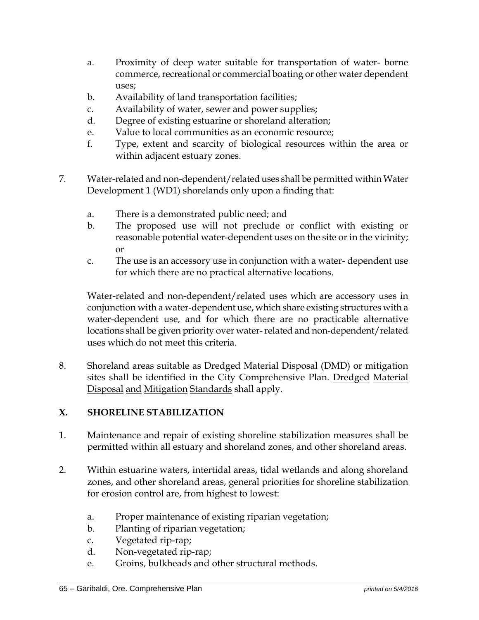- a. Proximity of deep water suitable for transportation of water- borne commerce, recreational or commercial boating or other water dependent uses;
- b. Availability of land transportation facilities;
- c. Availability of water, sewer and power supplies;
- d. Degree of existing estuarine or shoreland alteration;
- e. Value to local communities as an economic resource;
- f. Type, extent and scarcity of biological resources within the area or within adjacent estuary zones.
- 7. Water-related and non-dependent/related uses shall be permitted within Water Development 1 (WD1) shorelands only upon a finding that:
	- a. There is a demonstrated public need; and
	- b. The proposed use will not preclude or conflict with existing or reasonable potential water-dependent uses on the site or in the vicinity; or
	- c. The use is an accessory use in conjunction with a water- dependent use for which there are no practical alternative locations.

Water-related and non-dependent/related uses which are accessory uses in conjunction with a water-dependent use, which share existing structures with a water-dependent use, and for which there are no practicable alternative locations shall be given priority over water- related and non-dependent/related uses which do not meet this criteria.

8. Shoreland areas suitable as Dredged Material Disposal (DMD) or mitigation sites shall be identified in the City Comprehensive Plan. Dredged Material Disposal and Mitigation Standards shall apply.

#### **X. SHORELINE STABILIZATION**

- 1. Maintenance and repair of existing shoreline stabilization measures shall be permitted within all estuary and shoreland zones, and other shoreland areas.
- 2. Within estuarine waters, intertidal areas, tidal wetlands and along shoreland zones, and other shoreland areas, general priorities for shoreline stabilization for erosion control are, from highest to lowest:
	- a. Proper maintenance of existing riparian vegetation;
	- b. Planting of riparian vegetation;
	- c. Vegetated rip-rap;
	- d. Non-vegetated rip-rap;
	- e. Groins, bulkheads and other structural methods.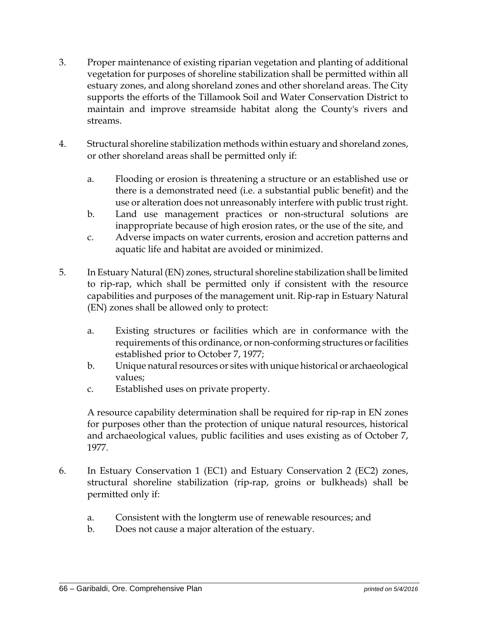- 3. Proper maintenance of existing riparian vegetation and planting of additional vegetation for purposes of shoreline stabilization shall be permitted within all estuary zones, and along shoreland zones and other shoreland areas. The City supports the efforts of the Tillamook Soil and Water Conservation District to maintain and improve streamside habitat along the County's rivers and streams.
- 4. Structural shoreline stabilization methods within estuary and shoreland zones, or other shoreland areas shall be permitted only if:
	- a. Flooding or erosion is threatening a structure or an established use or there is a demonstrated need (i.e. a substantial public benefit) and the use or alteration does not unreasonably interfere with public trust right.
	- b. Land use management practices or non-structural solutions are inappropriate because of high erosion rates, or the use of the site, and
	- c. Adverse impacts on water currents, erosion and accretion patterns and aquatic life and habitat are avoided or minimized.
- 5. In Estuary Natural (EN) zones, structural shoreline stabilization shall be limited to rip-rap, which shall be permitted only if consistent with the resource capabilities and purposes of the management unit. Rip-rap in Estuary Natural (EN) zones shall be allowed only to protect:
	- a. Existing structures or facilities which are in conformance with the requirements of this ordinance, or non-conforming structures or facilities established prior to October 7, 1977;
	- b. Unique natural resources or sites with unique historical or archaeological values;
	- c. Established uses on private property.

A resource capability determination shall be required for rip-rap in EN zones for purposes other than the protection of unique natural resources, historical and archaeological values, public facilities and uses existing as of October 7, 1977.

- 6. In Estuary Conservation 1 (EC1) and Estuary Conservation 2 (EC2) zones, structural shoreline stabilization (rip-rap, groins or bulkheads) shall be permitted only if:
	- a. Consistent with the longterm use of renewable resources; and
	- b. Does not cause a major alteration of the estuary.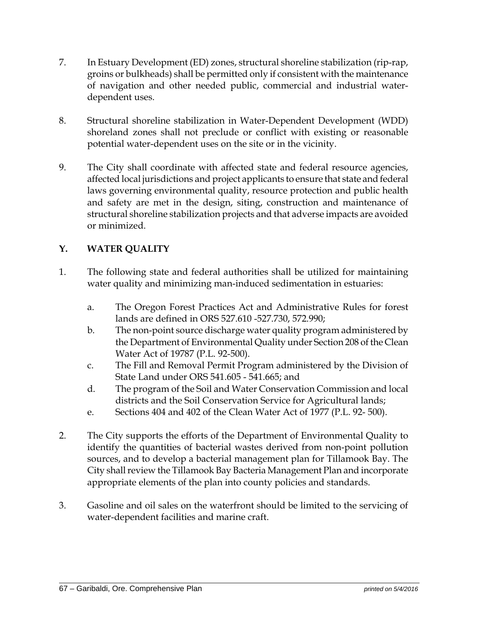- 7. In Estuary Development (ED) zones, structural shoreline stabilization (rip-rap, groins or bulkheads) shall be permitted only if consistent with the maintenance of navigation and other needed public, commercial and industrial waterdependent uses.
- 8. Structural shoreline stabilization in Water-Dependent Development (WDD) shoreland zones shall not preclude or conflict with existing or reasonable potential water-dependent uses on the site or in the vicinity.
- 9. The City shall coordinate with affected state and federal resource agencies, affected local jurisdictions and project applicants to ensure that state and federal laws governing environmental quality, resource protection and public health and safety are met in the design, siting, construction and maintenance of structural shoreline stabilization projects and that adverse impacts are avoided or minimized.

### **Y. WATER QUALITY**

- 1. The following state and federal authorities shall be utilized for maintaining water quality and minimizing man-induced sedimentation in estuaries:
	- a. The Oregon Forest Practices Act and Administrative Rules for forest lands are defined in ORS 527.610 -527.730, 572.990;
	- b. The non-point source discharge water quality program administered by the Department of Environmental Quality under Section 208 of the Clean Water Act of 19787 (P.L. 92-500).
	- c. The Fill and Removal Permit Program administered by the Division of State Land under ORS 541.605 - 541.665; and
	- d. The program of the Soil and Water Conservation Commission and local districts and the Soil Conservation Service for Agricultural lands;
	- e. Sections 404 and 402 of the Clean Water Act of 1977 (P.L. 92- 500).
- 2. The City supports the efforts of the Department of Environmental Quality to identify the quantities of bacterial wastes derived from non-point pollution sources, and to develop a bacterial management plan for Tillamook Bay. The City shall review the Tillamook Bay Bacteria Management Plan and incorporate appropriate elements of the plan into county policies and standards.
- 3. Gasoline and oil sales on the waterfront should be limited to the servicing of water-dependent facilities and marine craft.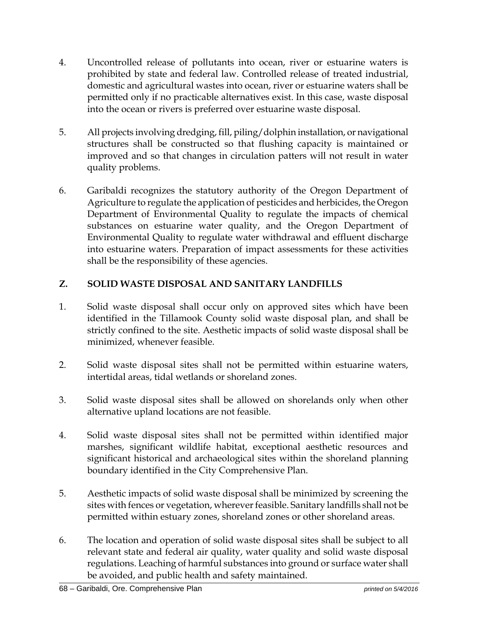- 4. Uncontrolled release of pollutants into ocean, river or estuarine waters is prohibited by state and federal law. Controlled release of treated industrial, domestic and agricultural wastes into ocean, river or estuarine waters shall be permitted only if no practicable alternatives exist. In this case, waste disposal into the ocean or rivers is preferred over estuarine waste disposal.
- 5. All projects involving dredging, fill, piling/dolphin installation, or navigational structures shall be constructed so that flushing capacity is maintained or improved and so that changes in circulation patters will not result in water quality problems.
- 6. Garibaldi recognizes the statutory authority of the Oregon Department of Agriculture to regulate the application of pesticides and herbicides, the Oregon Department of Environmental Quality to regulate the impacts of chemical substances on estuarine water quality, and the Oregon Department of Environmental Quality to regulate water withdrawal and effluent discharge into estuarine waters. Preparation of impact assessments for these activities shall be the responsibility of these agencies.

## **Z. SOLID WASTE DISPOSAL AND SANITARY LANDFILLS**

- 1. Solid waste disposal shall occur only on approved sites which have been identified in the Tillamook County solid waste disposal plan, and shall be strictly confined to the site. Aesthetic impacts of solid waste disposal shall be minimized, whenever feasible.
- 2. Solid waste disposal sites shall not be permitted within estuarine waters, intertidal areas, tidal wetlands or shoreland zones.
- 3. Solid waste disposal sites shall be allowed on shorelands only when other alternative upland locations are not feasible.
- 4. Solid waste disposal sites shall not be permitted within identified major marshes, significant wildlife habitat, exceptional aesthetic resources and significant historical and archaeological sites within the shoreland planning boundary identified in the City Comprehensive Plan.
- 5. Aesthetic impacts of solid waste disposal shall be minimized by screening the sites with fences or vegetation, wherever feasible. Sanitary landfills shall not be permitted within estuary zones, shoreland zones or other shoreland areas.
- 6. The location and operation of solid waste disposal sites shall be subject to all relevant state and federal air quality, water quality and solid waste disposal regulations. Leaching of harmful substances into ground or surface water shall be avoided, and public health and safety maintained.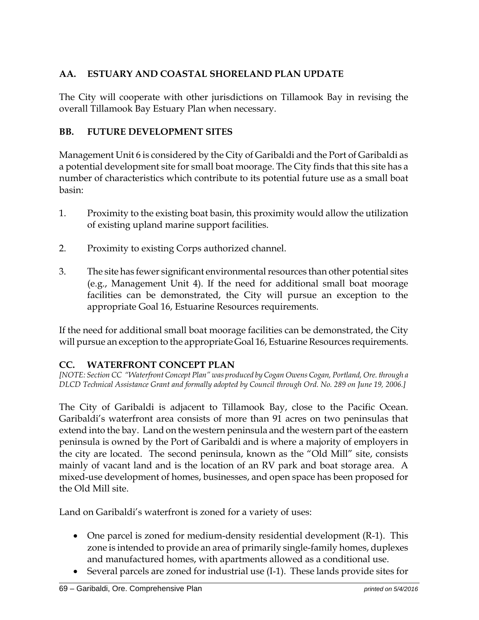## **AA. ESTUARY AND COASTAL SHORELAND PLAN UPDATE**

The City will cooperate with other jurisdictions on Tillamook Bay in revising the overall Tillamook Bay Estuary Plan when necessary.

## **BB. FUTURE DEVELOPMENT SITES**

Management Unit 6 is considered by the City of Garibaldi and the Port of Garibaldi as a potential development site for small boat moorage. The City finds that this site has a number of characteristics which contribute to its potential future use as a small boat basin:

- 1. Proximity to the existing boat basin, this proximity would allow the utilization of existing upland marine support facilities.
- 2. Proximity to existing Corps authorized channel.
- 3. The site has fewer significant environmental resources than other potential sites (e.g., Management Unit 4). If the need for additional small boat moorage facilities can be demonstrated, the City will pursue an exception to the appropriate Goal 16, Estuarine Resources requirements.

If the need for additional small boat moorage facilities can be demonstrated, the City will pursue an exception to the appropriate Goal 16, Estuarine Resources requirements.

### **CC. WATERFRONT CONCEPT PLAN**

*[NOTE: Section CC "Waterfront Concept Plan" was produced by Cogan Owens Cogan, Portland, Ore. through a DLCD Technical Assistance Grant and formally adopted by Council through Ord. No. 289 on June 19, 2006.]* 

The City of Garibaldi is adjacent to Tillamook Bay, close to the Pacific Ocean. Garibaldi's waterfront area consists of more than 91 acres on two peninsulas that extend into the bay. Land on the western peninsula and the western part of the eastern peninsula is owned by the Port of Garibaldi and is where a majority of employers in the city are located. The second peninsula, known as the "Old Mill" site, consists mainly of vacant land and is the location of an RV park and boat storage area. A mixed-use development of homes, businesses, and open space has been proposed for the Old Mill site.

Land on Garibaldi's waterfront is zoned for a variety of uses:

- One parcel is zoned for medium-density residential development (R-1). This zone is intended to provide an area of primarily single-family homes, duplexes and manufactured homes, with apartments allowed as a conditional use.
- Several parcels are zoned for industrial use (I-1). These lands provide sites for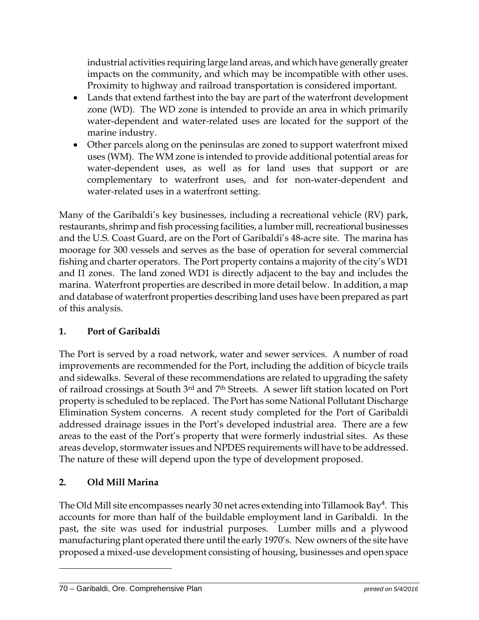industrial activities requiring large land areas, and which have generally greater impacts on the community, and which may be incompatible with other uses. Proximity to highway and railroad transportation is considered important.

- Lands that extend farthest into the bay are part of the waterfront development zone (WD). The WD zone is intended to provide an area in which primarily water-dependent and water-related uses are located for the support of the marine industry.
- Other parcels along on the peninsulas are zoned to support waterfront mixed uses (WM). The WM zone is intended to provide additional potential areas for water-dependent uses, as well as for land uses that support or are complementary to waterfront uses, and for non-water-dependent and water-related uses in a waterfront setting.

Many of the Garibaldi's key businesses, including a recreational vehicle (RV) park, restaurants, shrimp and fish processing facilities, a lumber mill, recreational businesses and the U.S. Coast Guard, are on the Port of Garibaldi's 48-acre site. The marina has moorage for 300 vessels and serves as the base of operation for several commercial fishing and charter operators. The Port property contains a majority of the city's WD1 and I1 zones. The land zoned WD1 is directly adjacent to the bay and includes the marina. Waterfront properties are described in more detail below. In addition, a map and database of waterfront properties describing land uses have been prepared as part of this analysis.

### **1. Port of Garibaldi**

The Port is served by a road network, water and sewer services. A number of road improvements are recommended for the Port, including the addition of bicycle trails and sidewalks. Several of these recommendations are related to upgrading the safety of railroad crossings at South 3rd and 7th Streets. A sewer lift station located on Port property is scheduled to be replaced. The Port has some National Pollutant Discharge Elimination System concerns. A recent study completed for the Port of Garibaldi addressed drainage issues in the Port's developed industrial area. There are a few areas to the east of the Port's property that were formerly industrial sites. As these areas develop, stormwater issues and NPDES requirements will have to be addressed. The nature of these will depend upon the type of development proposed.

# **2. Old Mill Marina**

 $\overline{a}$ 

The Old Mill site encompasses nearly 30 net acres extending into Tillamook Bay<sup>4</sup>. This accounts for more than half of the buildable employment land in Garibaldi. In the past, the site was used for industrial purposes. Lumber mills and a plywood manufacturing plant operated there until the early 1970's. New owners of the site have proposed a mixed-use development consisting of housing, businesses and open space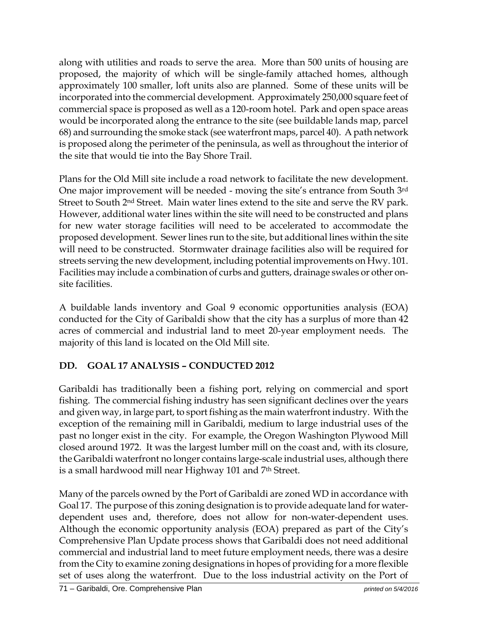along with utilities and roads to serve the area. More than 500 units of housing are proposed, the majority of which will be single-family attached homes, although approximately 100 smaller, loft units also are planned. Some of these units will be incorporated into the commercial development. Approximately 250,000 square feet of commercial space is proposed as well as a 120-room hotel. Park and open space areas would be incorporated along the entrance to the site (see buildable lands map, parcel 68) and surrounding the smoke stack (see waterfront maps, parcel 40). A path network is proposed along the perimeter of the peninsula, as well as throughout the interior of the site that would tie into the Bay Shore Trail.

Plans for the Old Mill site include a road network to facilitate the new development. One major improvement will be needed - moving the site's entrance from South 3rd Street to South 2nd Street. Main water lines extend to the site and serve the RV park. However, additional water lines within the site will need to be constructed and plans for new water storage facilities will need to be accelerated to accommodate the proposed development. Sewer lines run to the site, but additional lines within the site will need to be constructed. Stormwater drainage facilities also will be required for streets serving the new development, including potential improvements on Hwy. 101. Facilities may include a combination of curbs and gutters, drainage swales or other onsite facilities.

A buildable lands inventory and Goal 9 economic opportunities analysis (EOA) conducted for the City of Garibaldi show that the city has a surplus of more than 42 acres of commercial and industrial land to meet 20-year employment needs. The majority of this land is located on the Old Mill site.

# **DD. GOAL 17 ANALYSIS – CONDUCTED 2012**

Garibaldi has traditionally been a fishing port, relying on commercial and sport fishing. The commercial fishing industry has seen significant declines over the years and given way, in large part, to sport fishing as the main waterfront industry. With the exception of the remaining mill in Garibaldi, medium to large industrial uses of the past no longer exist in the city. For example, the Oregon Washington Plywood Mill closed around 1972. It was the largest lumber mill on the coast and, with its closure, the Garibaldi waterfront no longer contains large-scale industrial uses, although there is a small hardwood mill near Highway 101 and 7th Street.

Many of the parcels owned by the Port of Garibaldi are zoned WD in accordance with Goal 17. The purpose of this zoning designation is to provide adequate land for waterdependent uses and, therefore, does not allow for non-water-dependent uses. Although the economic opportunity analysis (EOA) prepared as part of the City's Comprehensive Plan Update process shows that Garibaldi does not need additional commercial and industrial land to meet future employment needs, there was a desire from the City to examine zoning designations in hopes of providing for a more flexible set of uses along the waterfront. Due to the loss industrial activity on the Port of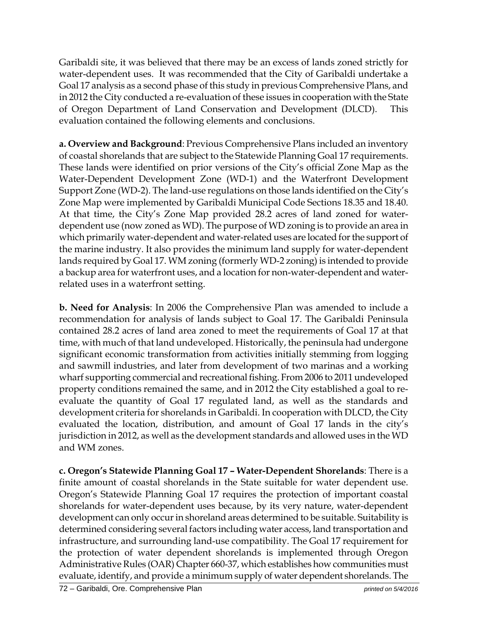Garibaldi site, it was believed that there may be an excess of lands zoned strictly for water-dependent uses. It was recommended that the City of Garibaldi undertake a Goal 17 analysis as a second phase of this study in previous Comprehensive Plans, and in 2012 the City conducted a re-evaluation of these issues in cooperation with the State of Oregon Department of Land Conservation and Development (DLCD). This evaluation contained the following elements and conclusions.

**a. Overview and Background**: Previous Comprehensive Plans included an inventory of coastal shorelands that are subject to the Statewide Planning Goal 17 requirements. These lands were identified on prior versions of the City's official Zone Map as the Water-Dependent Development Zone (WD-1) and the Waterfront Development Support Zone (WD-2). The land-use regulations on those lands identified on the City's Zone Map were implemented by Garibaldi Municipal Code Sections 18.35 and 18.40. At that time, the City's Zone Map provided 28.2 acres of land zoned for waterdependent use (now zoned as WD). The purpose of WD zoning is to provide an area in which primarily water-dependent and water-related uses are located for the support of the marine industry. It also provides the minimum land supply for water-dependent lands required by Goal 17. WM zoning (formerly WD-2 zoning) is intended to provide a backup area for waterfront uses, and a location for non-water-dependent and waterrelated uses in a waterfront setting.

**b. Need for Analysis**: In 2006 the Comprehensive Plan was amended to include a recommendation for analysis of lands subject to Goal 17. The Garibaldi Peninsula contained 28.2 acres of land area zoned to meet the requirements of Goal 17 at that time, with much of that land undeveloped. Historically, the peninsula had undergone significant economic transformation from activities initially stemming from logging and sawmill industries, and later from development of two marinas and a working wharf supporting commercial and recreational fishing. From 2006 to 2011 undeveloped property conditions remained the same, and in 2012 the City established a goal to reevaluate the quantity of Goal 17 regulated land, as well as the standards and development criteria for shorelands in Garibaldi. In cooperation with DLCD, the City evaluated the location, distribution, and amount of Goal 17 lands in the city's jurisdiction in 2012, as well as the development standards and allowed uses in the WD and WM zones.

**c. Oregon's Statewide Planning Goal 17 – Water-Dependent Shorelands**: There is a finite amount of coastal shorelands in the State suitable for water dependent use. Oregon's Statewide Planning Goal 17 requires the protection of important coastal shorelands for water-dependent uses because, by its very nature, water-dependent development can only occur in shoreland areas determined to be suitable. Suitability is determined considering several factors including water access, land transportation and infrastructure, and surrounding land-use compatibility. The Goal 17 requirement for the protection of water dependent shorelands is implemented through Oregon Administrative Rules (OAR) Chapter 660-37, which establishes how communities must evaluate, identify, and provide a minimum supply of water dependent shorelands. The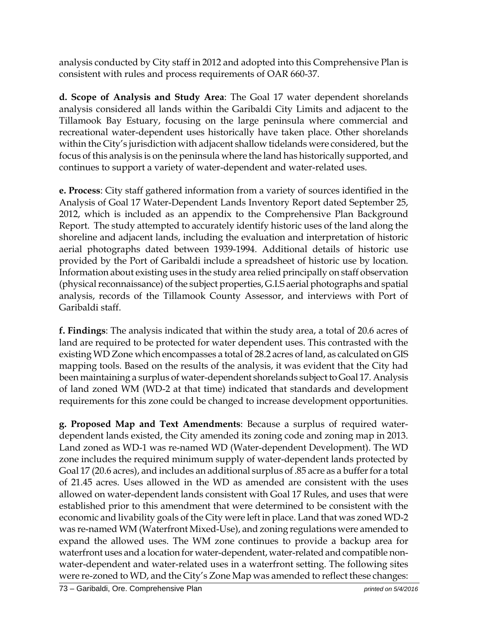analysis conducted by City staff in 2012 and adopted into this Comprehensive Plan is consistent with rules and process requirements of OAR 660-37.

**d. Scope of Analysis and Study Area**: The Goal 17 water dependent shorelands analysis considered all lands within the Garibaldi City Limits and adjacent to the Tillamook Bay Estuary, focusing on the large peninsula where commercial and recreational water-dependent uses historically have taken place. Other shorelands within the City's jurisdiction with adjacent shallow tidelands were considered, but the focus of this analysis is on the peninsula where the land has historically supported, and continues to support a variety of water-dependent and water-related uses.

**e. Process**: City staff gathered information from a variety of sources identified in the Analysis of Goal 17 Water-Dependent Lands Inventory Report dated September 25, 2012, which is included as an appendix to the Comprehensive Plan Background Report. The study attempted to accurately identify historic uses of the land along the shoreline and adjacent lands, including the evaluation and interpretation of historic aerial photographs dated between 1939-1994. Additional details of historic use provided by the Port of Garibaldi include a spreadsheet of historic use by location. Information about existing uses in the study area relied principally on staff observation (physical reconnaissance) of the subject properties, G.I.S aerial photographs and spatial analysis, records of the Tillamook County Assessor, and interviews with Port of Garibaldi staff.

**f. Findings**: The analysis indicated that within the study area, a total of 20.6 acres of land are required to be protected for water dependent uses. This contrasted with the existing WD Zone which encompasses a total of 28.2 acres of land, as calculated on GIS mapping tools. Based on the results of the analysis, it was evident that the City had been maintaining a surplus of water-dependent shorelands subject to Goal 17. Analysis of land zoned WM (WD-2 at that time) indicated that standards and development requirements for this zone could be changed to increase development opportunities.

**g. Proposed Map and Text Amendments**: Because a surplus of required waterdependent lands existed, the City amended its zoning code and zoning map in 2013. Land zoned as WD-1 was re-named WD (Water-dependent Development). The WD zone includes the required minimum supply of water-dependent lands protected by Goal 17 (20.6 acres), and includes an additional surplus of .85 acre as a buffer for a total of 21.45 acres. Uses allowed in the WD as amended are consistent with the uses allowed on water-dependent lands consistent with Goal 17 Rules, and uses that were established prior to this amendment that were determined to be consistent with the economic and livability goals of the City were left in place. Land that was zoned WD-2 was re-named WM (Waterfront Mixed-Use), and zoning regulations were amended to expand the allowed uses. The WM zone continues to provide a backup area for waterfront uses and a location for water-dependent, water-related and compatible nonwater-dependent and water-related uses in a waterfront setting. The following sites were re-zoned to WD, and the City's Zone Map was amended to reflect these changes: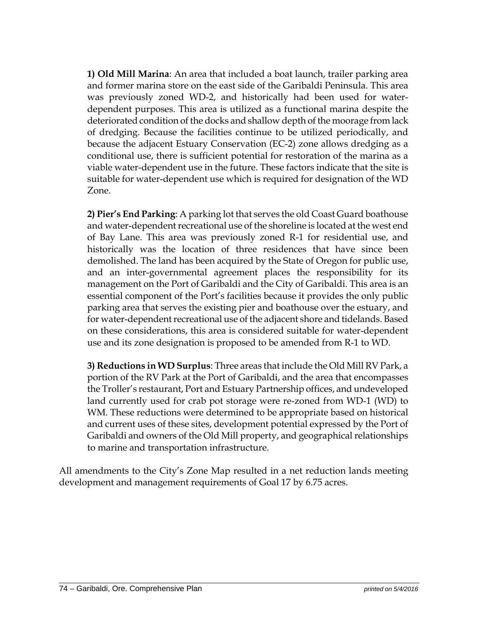**1) Old Mill Marina**: An area that included a boat launch, trailer parking area and former marina store on the east side of the Garibaldi Peninsula. This area was previously zoned WD-2, and historically had been used for waterdependent purposes. This area is utilized as a functional marina despite the deteriorated condition of the docks and shallow depth of the moorage from lack of dredging. Because the facilities continue to be utilized periodically, and because the adjacent Estuary Conservation (EC-2) zone allows dredging as a conditional use, there is sufficient potential for restoration of the marina as a viable water-dependent use in the future. These factors indicate that the site is suitable for water-dependent use which is required for designation of the WD Zone.

**2) Pier's End Parking**: A parking lot that serves the old Coast Guard boathouse and water-dependent recreational use of the shoreline is located at the west end of Bay Lane. This area was previously zoned R-1 for residential use, and historically was the location of three residences that have since been demolished. The land has been acquired by the State of Oregon for public use, and an inter-governmental agreement places the responsibility for its management on the Port of Garibaldi and the City of Garibaldi. This area is an essential component of the Port's facilities because it provides the only public parking area that serves the existing pier and boathouse over the estuary, and for water-dependent recreational use of the adjacent shore and tidelands. Based on these considerations, this area is considered suitable for water-dependent use and its zone designation is proposed to be amended from R-1 to WD.

**3) Reductions in WD Surplus**: Three areas that include the Old Mill RV Park, a portion of the RV Park at the Port of Garibaldi, and the area that encompasses the Troller's restaurant, Port and Estuary Partnership offices, and undeveloped land currently used for crab pot storage were re-zoned from WD-1 (WD) to WM. These reductions were determined to be appropriate based on historical and current uses of these sites, development potential expressed by the Port of Garibaldi and owners of the Old Mill property, and geographical relationships to marine and transportation infrastructure.

All amendments to the City's Zone Map resulted in a net reduction lands meeting development and management requirements of Goal 17 by 6.75 acres.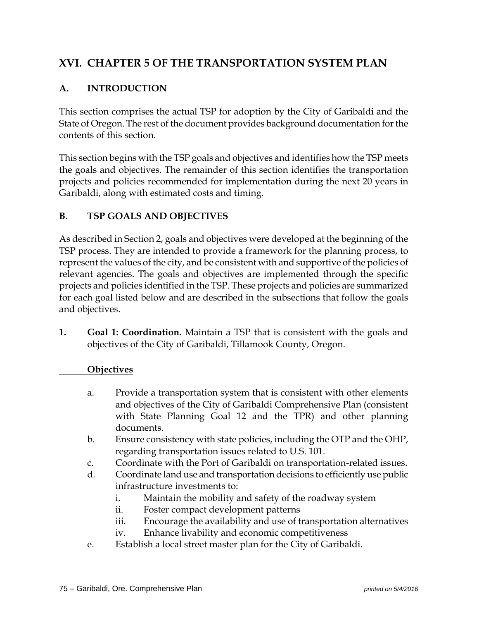# **XVI. CHAPTER 5 OF THE TRANSPORTATION SYSTEM PLAN**

## **A. INTRODUCTION**

This section comprises the actual TSP for adoption by the City of Garibaldi and the State of Oregon. The rest of the document provides background documentation for the contents of this section.

This section begins with the TSP goals and objectives and identifies how the TSP meets the goals and objectives. The remainder of this section identifies the transportation projects and policies recommended for implementation during the next 20 years in Garibaldi, along with estimated costs and timing.

## **B. TSP GOALS AND OBJECTIVES**

As described in Section 2, goals and objectives were developed at the beginning of the TSP process. They are intended to provide a framework for the planning process, to represent the values of the city, and be consistent with and supportive of the policies of relevant agencies. The goals and objectives are implemented through the specific projects and policies identified in the TSP. These projects and policies are summarized for each goal listed below and are described in the subsections that follow the goals and objectives.

**1. Goal 1: Coordination.** Maintain a TSP that is consistent with the goals and objectives of the City of Garibaldi, Tillamook County, Oregon.

## **Objectives**

- a. Provide a transportation system that is consistent with other elements and objectives of the City of Garibaldi Comprehensive Plan (consistent with State Planning Goal 12 and the TPR) and other planning documents.
- b. Ensure consistency with state policies, including the OTP and the OHP, regarding transportation issues related to U.S. 101.
- c. Coordinate with the Port of Garibaldi on transportation-related issues.
- d. Coordinate land use and transportation decisions to efficiently use public infrastructure investments to:
	- i. Maintain the mobility and safety of the roadway system
	- ii. Foster compact development patterns
	- iii. Encourage the availability and use of transportation alternatives
	- iv. Enhance livability and economic competitiveness
- e. Establish a local street master plan for the City of Garibaldi.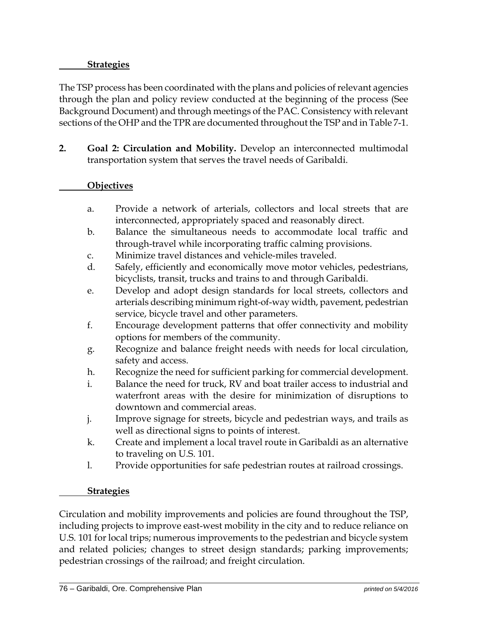## **Strategies**

The TSP process has been coordinated with the plans and policies of relevant agencies through the plan and policy review conducted at the beginning of the process (See Background Document) and through meetings of the PAC. Consistency with relevant sections of the OHP and the TPR are documented throughout the TSP and in Table 7-1.

**2. Goal 2: Circulation and Mobility.** Develop an interconnected multimodal transportation system that serves the travel needs of Garibaldi.

## **Objectives**

- a. Provide a network of arterials, collectors and local streets that are interconnected, appropriately spaced and reasonably direct.
- b. Balance the simultaneous needs to accommodate local traffic and through-travel while incorporating traffic calming provisions.
- c. Minimize travel distances and vehicle-miles traveled.
- d. Safely, efficiently and economically move motor vehicles, pedestrians, bicyclists, transit, trucks and trains to and through Garibaldi.
- e. Develop and adopt design standards for local streets, collectors and arterials describing minimum right-of-way width, pavement, pedestrian service, bicycle travel and other parameters.
- f. Encourage development patterns that offer connectivity and mobility options for members of the community.
- g. Recognize and balance freight needs with needs for local circulation, safety and access.
- h. Recognize the need for sufficient parking for commercial development.
- i. Balance the need for truck, RV and boat trailer access to industrial and waterfront areas with the desire for minimization of disruptions to downtown and commercial areas.
- j. Improve signage for streets, bicycle and pedestrian ways, and trails as well as directional signs to points of interest.
- k. Create and implement a local travel route in Garibaldi as an alternative to traveling on U.S. 101.
- l. Provide opportunities for safe pedestrian routes at railroad crossings.

#### **Strategies**

Circulation and mobility improvements and policies are found throughout the TSP, including projects to improve east-west mobility in the city and to reduce reliance on U.S. 101 for local trips; numerous improvements to the pedestrian and bicycle system and related policies; changes to street design standards; parking improvements; pedestrian crossings of the railroad; and freight circulation.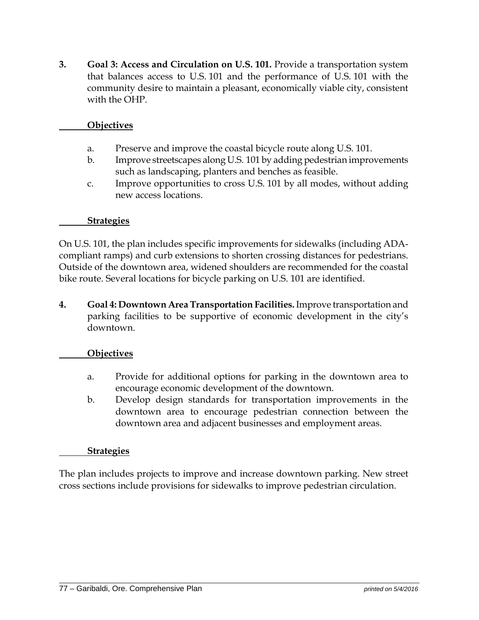**3. Goal 3: Access and Circulation on U.S. 101.** Provide a transportation system that balances access to U.S. 101 and the performance of U.S. 101 with the community desire to maintain a pleasant, economically viable city, consistent with the OHP.

#### **Objectives**

- a. Preserve and improve the coastal bicycle route along U.S. 101.
- b. Improve streetscapes along U.S. 101 by adding pedestrian improvements such as landscaping, planters and benches as feasible.
- c. Improve opportunities to cross U.S. 101 by all modes, without adding new access locations.

#### **Strategies**

On U.S. 101, the plan includes specific improvements for sidewalks (including ADAcompliant ramps) and curb extensions to shorten crossing distances for pedestrians. Outside of the downtown area, widened shoulders are recommended for the coastal bike route. Several locations for bicycle parking on U.S. 101 are identified.

**4. Goal 4: Downtown Area Transportation Facilities.** Improve transportation and parking facilities to be supportive of economic development in the city's downtown.

#### **Objectives**

- a. Provide for additional options for parking in the downtown area to encourage economic development of the downtown.
- b. Develop design standards for transportation improvements in the downtown area to encourage pedestrian connection between the downtown area and adjacent businesses and employment areas.

#### **Strategies**

The plan includes projects to improve and increase downtown parking. New street cross sections include provisions for sidewalks to improve pedestrian circulation.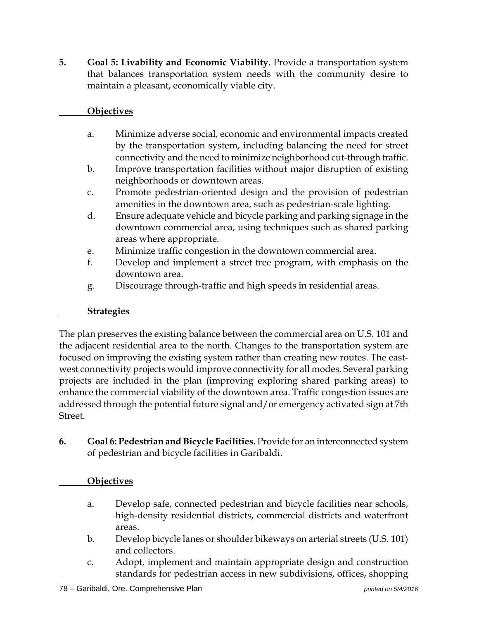**5. Goal 5: Livability and Economic Viability.** Provide a transportation system that balances transportation system needs with the community desire to maintain a pleasant, economically viable city.

## **Objectives**

- a. Minimize adverse social, economic and environmental impacts created by the transportation system, including balancing the need for street connectivity and the need to minimize neighborhood cut-through traffic.
- b. Improve transportation facilities without major disruption of existing neighborhoods or downtown areas.
- c. Promote pedestrian-oriented design and the provision of pedestrian amenities in the downtown area, such as pedestrian-scale lighting.
- d. Ensure adequate vehicle and bicycle parking and parking signage in the downtown commercial area, using techniques such as shared parking areas where appropriate.
- e. Minimize traffic congestion in the downtown commercial area.
- f. Develop and implement a street tree program, with emphasis on the downtown area.
- g. Discourage through-traffic and high speeds in residential areas.

## **Strategies**

The plan preserves the existing balance between the commercial area on U.S. 101 and the adjacent residential area to the north. Changes to the transportation system are focused on improving the existing system rather than creating new routes. The eastwest connectivity projects would improve connectivity for all modes. Several parking projects are included in the plan (improving exploring shared parking areas) to enhance the commercial viability of the downtown area. Traffic congestion issues are addressed through the potential future signal and/or emergency activated sign at 7th Street.

**6. Goal 6: Pedestrian and Bicycle Facilities.** Provide for an interconnected system of pedestrian and bicycle facilities in Garibaldi.

## **Objectives**

- a. Develop safe, connected pedestrian and bicycle facilities near schools, high-density residential districts, commercial districts and waterfront areas.
- b. Develop bicycle lanes or shoulder bikeways on arterial streets (U.S. 101) and collectors.
- c. Adopt, implement and maintain appropriate design and construction standards for pedestrian access in new subdivisions, offices, shopping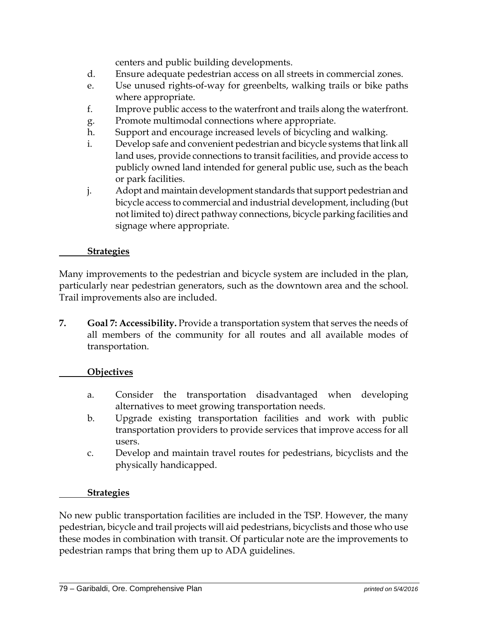centers and public building developments.

- d. Ensure adequate pedestrian access on all streets in commercial zones.
- e. Use unused rights-of-way for greenbelts, walking trails or bike paths where appropriate.
- f. Improve public access to the waterfront and trails along the waterfront.
- g. Promote multimodal connections where appropriate.
- h. Support and encourage increased levels of bicycling and walking.
- i. Develop safe and convenient pedestrian and bicycle systems that link all land uses, provide connections to transit facilities, and provide access to publicly owned land intended for general public use, such as the beach or park facilities.
- j. Adopt and maintain development standards that support pedestrian and bicycle access to commercial and industrial development, including (but not limited to) direct pathway connections, bicycle parking facilities and signage where appropriate.

## **Strategies**

Many improvements to the pedestrian and bicycle system are included in the plan, particularly near pedestrian generators, such as the downtown area and the school. Trail improvements also are included.

**7. Goal 7: Accessibility.** Provide a transportation system that serves the needs of all members of the community for all routes and all available modes of transportation.

## **Objectives**

- a. Consider the transportation disadvantaged when developing alternatives to meet growing transportation needs.
- b. Upgrade existing transportation facilities and work with public transportation providers to provide services that improve access for all users.
- c. Develop and maintain travel routes for pedestrians, bicyclists and the physically handicapped.

#### **Strategies**

No new public transportation facilities are included in the TSP. However, the many pedestrian, bicycle and trail projects will aid pedestrians, bicyclists and those who use these modes in combination with transit. Of particular note are the improvements to pedestrian ramps that bring them up to ADA guidelines.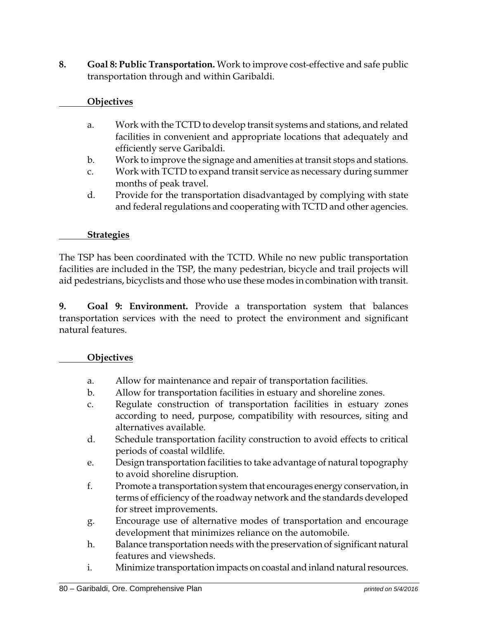**8. Goal 8: Public Transportation.** Work to improve cost-effective and safe public transportation through and within Garibaldi.

## **Objectives**

- a. Work with the TCTD to develop transit systems and stations, and related facilities in convenient and appropriate locations that adequately and efficiently serve Garibaldi.
- b. Work to improve the signage and amenities at transit stops and stations.
- c. Work with TCTD to expand transit service as necessary during summer months of peak travel.
- d. Provide for the transportation disadvantaged by complying with state and federal regulations and cooperating with TCTD and other agencies.

#### **Strategies**

The TSP has been coordinated with the TCTD. While no new public transportation facilities are included in the TSP, the many pedestrian, bicycle and trail projects will aid pedestrians, bicyclists and those who use these modes in combination with transit.

**9. Goal 9: Environment.** Provide a transportation system that balances transportation services with the need to protect the environment and significant natural features.

#### **Objectives**

- a. Allow for maintenance and repair of transportation facilities.
- b. Allow for transportation facilities in estuary and shoreline zones.
- c. Regulate construction of transportation facilities in estuary zones according to need, purpose, compatibility with resources, siting and alternatives available.
- d. Schedule transportation facility construction to avoid effects to critical periods of coastal wildlife.
- e. Design transportation facilities to take advantage of natural topography to avoid shoreline disruption.
- f. Promote a transportation system that encourages energy conservation, in terms of efficiency of the roadway network and the standards developed for street improvements.
- g. Encourage use of alternative modes of transportation and encourage development that minimizes reliance on the automobile.
- h. Balance transportation needs with the preservation of significant natural features and viewsheds.
- i. Minimize transportation impacts on coastal and inland natural resources.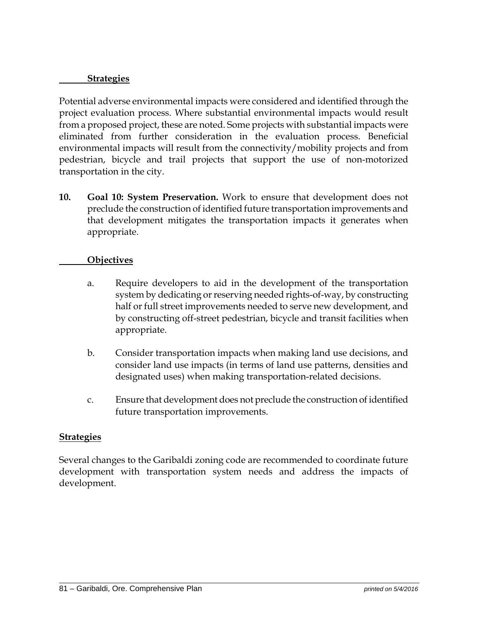#### **Strategies**

Potential adverse environmental impacts were considered and identified through the project evaluation process. Where substantial environmental impacts would result from a proposed project, these are noted. Some projects with substantial impacts were eliminated from further consideration in the evaluation process. Beneficial environmental impacts will result from the connectivity/mobility projects and from pedestrian, bicycle and trail projects that support the use of non-motorized transportation in the city.

**10. Goal 10: System Preservation.** Work to ensure that development does not preclude the construction of identified future transportation improvements and that development mitigates the transportation impacts it generates when appropriate.

#### **Objectives**

- a. Require developers to aid in the development of the transportation system by dedicating or reserving needed rights-of-way, by constructing half or full street improvements needed to serve new development, and by constructing off-street pedestrian, bicycle and transit facilities when appropriate.
- b. Consider transportation impacts when making land use decisions, and consider land use impacts (in terms of land use patterns, densities and designated uses) when making transportation-related decisions.
- c. Ensure that development does not preclude the construction of identified future transportation improvements.

## **Strategies**

Several changes to the Garibaldi zoning code are recommended to coordinate future development with transportation system needs and address the impacts of development.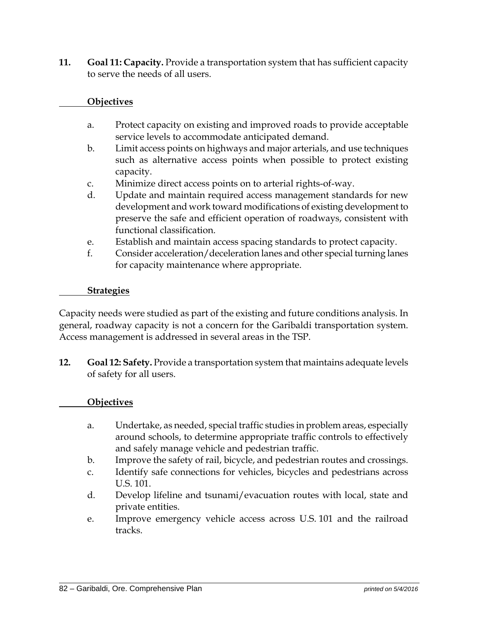**11. Goal 11: Capacity.** Provide a transportation system that has sufficient capacity to serve the needs of all users.

## **Objectives**

- a. Protect capacity on existing and improved roads to provide acceptable service levels to accommodate anticipated demand.
- b. Limit access points on highways and major arterials, and use techniques such as alternative access points when possible to protect existing capacity.
- c. Minimize direct access points on to arterial rights-of-way.
- d. Update and maintain required access management standards for new development and work toward modifications of existing development to preserve the safe and efficient operation of roadways, consistent with functional classification.
- e. Establish and maintain access spacing standards to protect capacity.
- f. Consider acceleration/deceleration lanes and other special turning lanes for capacity maintenance where appropriate.

#### **Strategies**

Capacity needs were studied as part of the existing and future conditions analysis. In general, roadway capacity is not a concern for the Garibaldi transportation system. Access management is addressed in several areas in the TSP.

**12. Goal 12: Safety.** Provide a transportation system that maintains adequate levels of safety for all users.

#### **Objectives**

- a. Undertake, as needed, special traffic studies in problem areas, especially around schools, to determine appropriate traffic controls to effectively and safely manage vehicle and pedestrian traffic.
- b. Improve the safety of rail, bicycle, and pedestrian routes and crossings.
- c. Identify safe connections for vehicles, bicycles and pedestrians across U.S. 101.
- d. Develop lifeline and tsunami/evacuation routes with local, state and private entities.
- e. Improve emergency vehicle access across U.S. 101 and the railroad tracks.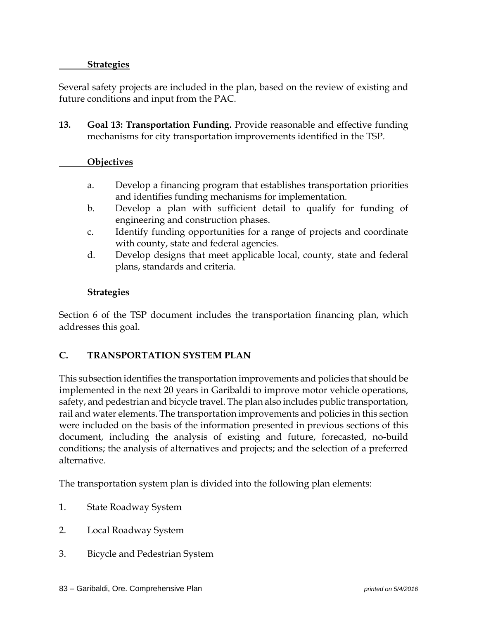## **Strategies**

Several safety projects are included in the plan, based on the review of existing and future conditions and input from the PAC.

**13. Goal 13: Transportation Funding.** Provide reasonable and effective funding mechanisms for city transportation improvements identified in the TSP.

#### **Objectives**

- a. Develop a financing program that establishes transportation priorities and identifies funding mechanisms for implementation.
- b. Develop a plan with sufficient detail to qualify for funding of engineering and construction phases.
- c. Identify funding opportunities for a range of projects and coordinate with county, state and federal agencies.
- d. Develop designs that meet applicable local, county, state and federal plans, standards and criteria.

#### **Strategies**

Section 6 of the TSP document includes the transportation financing plan, which addresses this goal.

## **C. TRANSPORTATION SYSTEM PLAN**

This subsection identifies the transportation improvements and policies that should be implemented in the next 20 years in Garibaldi to improve motor vehicle operations, safety, and pedestrian and bicycle travel. The plan also includes public transportation, rail and water elements. The transportation improvements and policies in this section were included on the basis of the information presented in previous sections of this document, including the analysis of existing and future, forecasted, no-build conditions; the analysis of alternatives and projects; and the selection of a preferred alternative.

The transportation system plan is divided into the following plan elements:

- 1. State Roadway System
- 2. Local Roadway System
- 3. Bicycle and Pedestrian System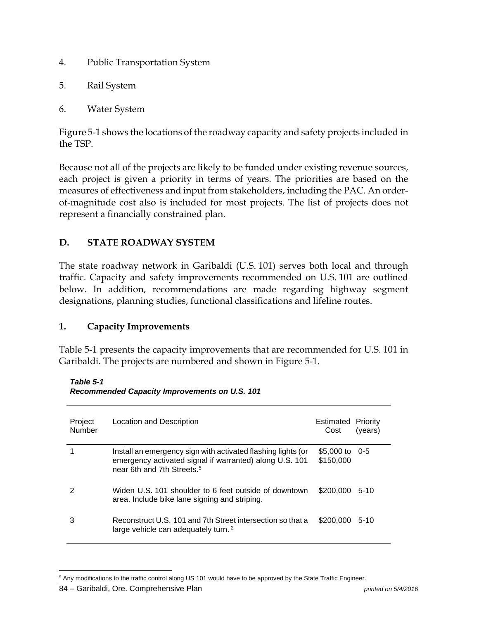- 4. Public Transportation System
- 5. Rail System
- 6. Water System

Figure 5-1 shows the locations of the roadway capacity and safety projects included in the TSP.

Because not all of the projects are likely to be funded under existing revenue sources, each project is given a priority in terms of years. The priorities are based on the measures of effectiveness and input from stakeholders, including the PAC. An orderof-magnitude cost also is included for most projects. The list of projects does not represent a financially constrained plan.

## **D. STATE ROADWAY SYSTEM**

The state roadway network in Garibaldi (U.S. 101) serves both local and through traffic. Capacity and safety improvements recommended on U.S. 101 are outlined below. In addition, recommendations are made regarding highway segment designations, planning studies, functional classifications and lifeline routes.

## **1. Capacity Improvements**

Table 5-1 presents the capacity improvements that are recommended for U.S. 101 in Garibaldi. The projects are numbered and shown in Figure 5-1.

*Table 5-1 Recommended Capacity Improvements on U.S. 101* 

| Project<br>Number | Location and Description                                                                                                                                          | <b>Estimated Priority</b><br>Cost | (years) |
|-------------------|-------------------------------------------------------------------------------------------------------------------------------------------------------------------|-----------------------------------|---------|
|                   | Install an emergency sign with activated flashing lights (or<br>emergency activated signal if warranted) along U.S. 101<br>near 6th and 7th Streets. <sup>5</sup> | \$5,000 to $0-5$<br>\$150,000     |         |
| 2                 | Widen U.S. 101 shoulder to 6 feet outside of downtown<br>area. Include bike lane signing and striping.                                                            | \$200,000 5-10                    |         |
| 3                 | Reconstruct U.S. 101 and 7th Street intersection so that a<br>large vehicle can adequately turn. <sup>2</sup>                                                     | \$200,000 5-10                    |         |

 $\overline{a}$ <sup>5</sup> Any modifications to the traffic control along US 101 would have to be approved by the State Traffic Engineer.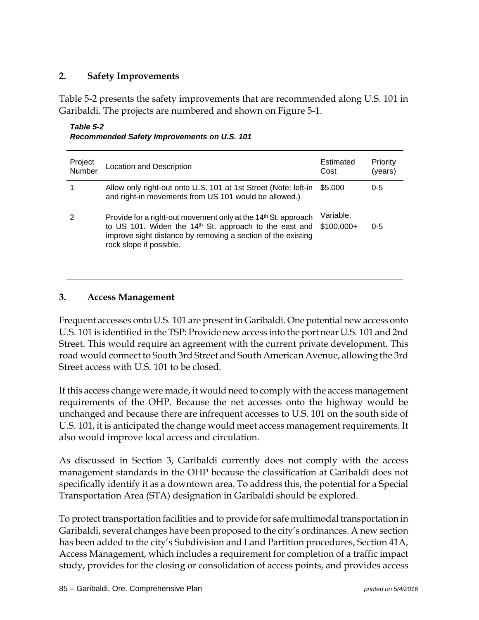## **2. Safety Improvements**

Table 5-2 presents the safety improvements that are recommended along U.S. 101 in Garibaldi. The projects are numbered and shown on Figure 5-1.

| Table 5-2                                          |  |
|----------------------------------------------------|--|
| <b>Recommended Safety Improvements on U.S. 101</b> |  |

| Project<br>Number | <b>Location and Description</b>                                                                                                                                                                                                             | Estimated<br>Cost        | Priority<br>(years) |
|-------------------|---------------------------------------------------------------------------------------------------------------------------------------------------------------------------------------------------------------------------------------------|--------------------------|---------------------|
|                   | Allow only right-out onto U.S. 101 at 1st Street (Note: left-in<br>and right-in movements from US 101 would be allowed.)                                                                                                                    | \$5,000                  | $0 - 5$             |
| 2                 | Provide for a right-out movement only at the 14 <sup>th</sup> St. approach<br>to US 101. Widen the 14 <sup>th</sup> St. approach to the east and<br>improve sight distance by removing a section of the existing<br>rock slope if possible. | Variable:<br>$$100,000+$ | $0 - 5$             |

## **3. Access Management**

Frequent accesses onto U.S. 101 are present in Garibaldi. One potential new access onto U.S. 101 is identified in the TSP: Provide new access into the port near U.S. 101 and 2nd Street. This would require an agreement with the current private development. This road would connect to South 3rd Street and South American Avenue, allowing the 3rd Street access with U.S. 101 to be closed.

If this access change were made, it would need to comply with the access management requirements of the OHP. Because the net accesses onto the highway would be unchanged and because there are infrequent accesses to U.S. 101 on the south side of U.S. 101, it is anticipated the change would meet access management requirements. It also would improve local access and circulation.

As discussed in Section 3, Garibaldi currently does not comply with the access management standards in the OHP because the classification at Garibaldi does not specifically identify it as a downtown area. To address this, the potential for a Special Transportation Area (STA) designation in Garibaldi should be explored.

To protect transportation facilities and to provide for safe multimodal transportation in Garibaldi, several changes have been proposed to the city's ordinances. A new section has been added to the city's Subdivision and Land Partition procedures, Section 41A, Access Management, which includes a requirement for completion of a traffic impact study, provides for the closing or consolidation of access points, and provides access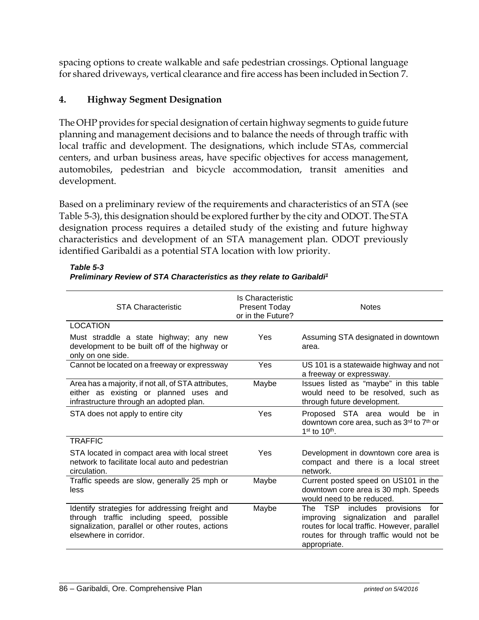spacing options to create walkable and safe pedestrian crossings. Optional language for shared driveways, vertical clearance and fire access has been included in Section 7.

## **4. Highway Segment Designation**

The OHP provides for special designation of certain highway segments to guide future planning and management decisions and to balance the needs of through traffic with local traffic and development. The designations, which include STAs, commercial centers, and urban business areas, have specific objectives for access management, automobiles, pedestrian and bicycle accommodation, transit amenities and development.

Based on a preliminary review of the requirements and characteristics of an STA (see Table 5-3), this designation should be explored further by the city and ODOT. The STA designation process requires a detailed study of the existing and future highway characteristics and development of an STA management plan. ODOT previously identified Garibaldi as a potential STA location with low priority.

| <b>STA Characteristic</b>                                                                                                                                                 | Is Characteristic<br><b>Present Today</b><br>or in the Future? | <b>Notes</b>                                                                                                                                                                            |
|---------------------------------------------------------------------------------------------------------------------------------------------------------------------------|----------------------------------------------------------------|-----------------------------------------------------------------------------------------------------------------------------------------------------------------------------------------|
| <b>LOCATION</b>                                                                                                                                                           |                                                                |                                                                                                                                                                                         |
| Must straddle a state highway; any new<br>development to be built off of the highway or<br>only on one side.                                                              | Yes                                                            | Assuming STA designated in downtown<br>area.                                                                                                                                            |
| Cannot be located on a freeway or expressway                                                                                                                              | Yes                                                            | US 101 is a statewaide highway and not<br>a freeway or expressway.                                                                                                                      |
| Area has a majority, if not all, of STA attributes,<br>either as existing or planned uses and<br>infrastructure through an adopted plan.                                  | Maybe                                                          | Issues listed as "maybe" in this table<br>would need to be resolved, such as<br>through future development.                                                                             |
| STA does not apply to entire city                                                                                                                                         | Yes                                                            | Proposed STA area would be in<br>downtown core area, such as 3rd to 7th or<br>$1st$ to $10th$ .                                                                                         |
| <b>TRAFFIC</b>                                                                                                                                                            |                                                                |                                                                                                                                                                                         |
| STA located in compact area with local street<br>network to facilitate local auto and pedestrian<br>circulation.                                                          | Yes                                                            | Development in downtown core area is<br>compact and there is a local street<br>network.                                                                                                 |
| Traffic speeds are slow, generally 25 mph or<br>less                                                                                                                      | Maybe                                                          | Current posted speed on US101 in the<br>downtown core area is 30 mph. Speeds<br>would need to be reduced.                                                                               |
| Identify strategies for addressing freight and<br>through traffic including speed, possible<br>signalization, parallel or other routes, actions<br>elsewhere in corridor. | Maybe                                                          | The TSP<br>includes provisions<br>for<br>improving signalization and parallel<br>routes for local traffic. However, parallel<br>routes for through traffic would not be<br>appropriate. |

*Table 5-3* 

*Preliminary Review of STA Characteristics as they relate to Garibaldi1*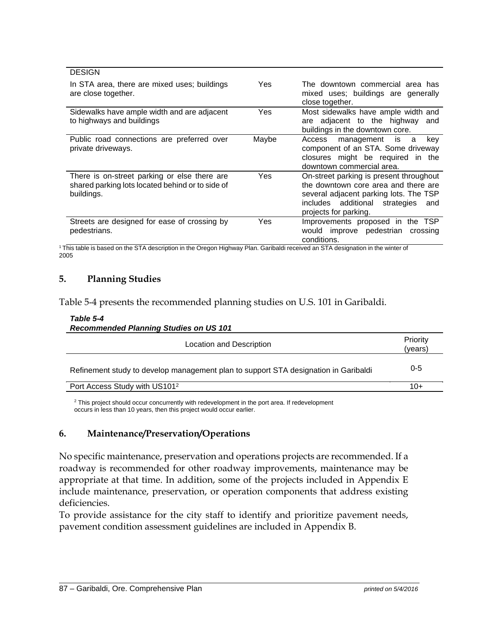| <b>DESIGN</b>                                                                                                  |       |                                                                                                                                                                                                |
|----------------------------------------------------------------------------------------------------------------|-------|------------------------------------------------------------------------------------------------------------------------------------------------------------------------------------------------|
| In STA area, there are mixed uses; buildings<br>are close together.                                            | Yes   | The downtown commercial area has<br>mixed uses; buildings are generally<br>close together.                                                                                                     |
| Sidewalks have ample width and are adjacent<br>to highways and buildings                                       | Yes   | Most sidewalks have ample width and<br>are adjacent to the highway<br>and<br>buildings in the downtown core.                                                                                   |
| Public road connections are preferred over<br>private driveways.                                               | Maybe | management is<br>key<br>Access<br>a<br>component of an STA. Some driveway<br>closures might be required in the<br>downtown commercial area.                                                    |
| There is on-street parking or else there are<br>shared parking lots located behind or to side of<br>buildings. | Yes   | On-street parking is present throughout<br>the downtown core area and there are<br>several adjacent parking lots. The TSP<br>includes additional<br>strategies<br>and<br>projects for parking. |
| Streets are designed for ease of crossing by<br>pedestrians.                                                   | Yes   | Improvements proposed in the TSP<br>would improve pedestrian<br>crossing<br>conditions                                                                                                         |

<sup>1</sup> This table is based on the STA description in the Oregon Highway Plan. Garibaldi received an STA designation in the winter of 2005

#### **5. Planning Studies**

Table 5-4 presents the recommended planning studies on U.S. 101 in Garibaldi.

#### *Table 5-4 Recommended Planning Studies on US 101*

| Priority<br>(years) |
|---------------------|
| $0 - 5$             |
| $10+$               |
|                     |

<sup>2</sup> This project should occur concurrently with redevelopment in the port area. If redevelopment occurs in less than 10 years, then this project would occur earlier.

#### **6. Maintenance/Preservation/Operations**

No specific maintenance, preservation and operations projects are recommended. If a roadway is recommended for other roadway improvements, maintenance may be appropriate at that time. In addition, some of the projects included in Appendix E include maintenance, preservation, or operation components that address existing deficiencies.

To provide assistance for the city staff to identify and prioritize pavement needs, pavement condition assessment guidelines are included in Appendix B.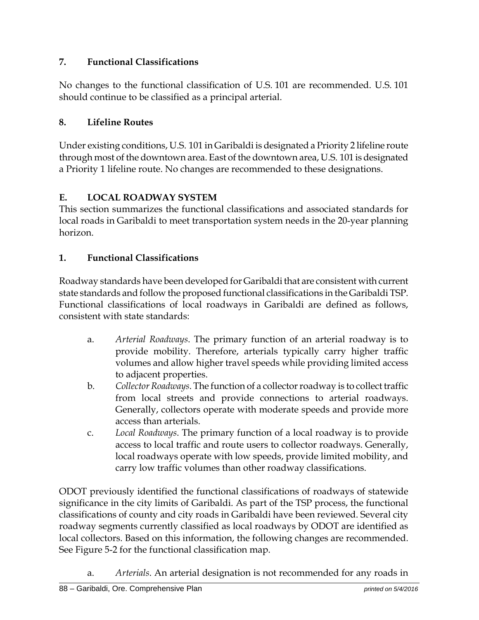## **7. Functional Classifications**

No changes to the functional classification of U.S. 101 are recommended. U.S. 101 should continue to be classified as a principal arterial.

## **8. Lifeline Routes**

Under existing conditions, U.S. 101 in Garibaldi is designated a Priority 2 lifeline route through most of the downtown area. East of the downtown area, U.S. 101 is designated a Priority 1 lifeline route. No changes are recommended to these designations.

## **E. LOCAL ROADWAY SYSTEM**

This section summarizes the functional classifications and associated standards for local roads in Garibaldi to meet transportation system needs in the 20-year planning horizon.

## **1. Functional Classifications**

Roadway standards have been developed for Garibaldi that are consistent with current state standards and follow the proposed functional classifications in the Garibaldi TSP. Functional classifications of local roadways in Garibaldi are defined as follows, consistent with state standards:

- a. *Arterial Roadways*. The primary function of an arterial roadway is to provide mobility. Therefore, arterials typically carry higher traffic volumes and allow higher travel speeds while providing limited access to adjacent properties.
- b. *Collector Roadways*. The function of a collector roadway is to collect traffic from local streets and provide connections to arterial roadways. Generally, collectors operate with moderate speeds and provide more access than arterials.
- c. *Local Roadways*. The primary function of a local roadway is to provide access to local traffic and route users to collector roadways. Generally, local roadways operate with low speeds, provide limited mobility, and carry low traffic volumes than other roadway classifications.

ODOT previously identified the functional classifications of roadways of statewide significance in the city limits of Garibaldi. As part of the TSP process, the functional classifications of county and city roads in Garibaldi have been reviewed. Several city roadway segments currently classified as local roadways by ODOT are identified as local collectors. Based on this information, the following changes are recommended. See Figure 5-2 for the functional classification map.

a. *Arterials*. An arterial designation is not recommended for any roads in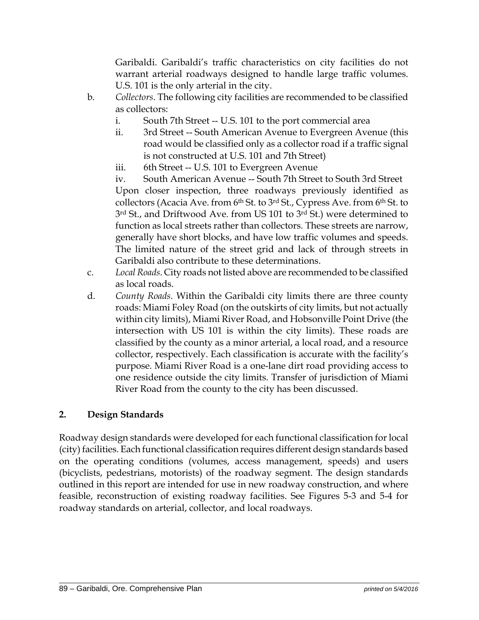Garibaldi. Garibaldi's traffic characteristics on city facilities do not warrant arterial roadways designed to handle large traffic volumes. U.S. 101 is the only arterial in the city.

- b. *Collectors*. The following city facilities are recommended to be classified as collectors:
	- i. South 7th Street -- U.S. 101 to the port commercial area
	- ii. 3rd Street -- South American Avenue to Evergreen Avenue (this road would be classified only as a collector road if a traffic signal is not constructed at U.S. 101 and 7th Street)
	- iii. 6th Street -- U.S. 101 to Evergreen Avenue

iv. South American Avenue -- South 7th Street to South 3rd Street Upon closer inspection, three roadways previously identified as collectors (Acacia Ave. from 6<sup>th</sup> St. to 3<sup>rd</sup> St., Cypress Ave. from 6<sup>th</sup> St. to 3<sup>rd</sup> St., and Driftwood Ave. from US 101 to 3<sup>rd</sup> St.) were determined to function as local streets rather than collectors. These streets are narrow, generally have short blocks, and have low traffic volumes and speeds. The limited nature of the street grid and lack of through streets in Garibaldi also contribute to these determinations.

- c. *Local Roads*. City roads not listed above are recommended to be classified as local roads.
- d. *County Roads*. Within the Garibaldi city limits there are three county roads: Miami Foley Road (on the outskirts of city limits, but not actually within city limits), Miami River Road, and Hobsonville Point Drive (the intersection with US 101 is within the city limits). These roads are classified by the county as a minor arterial, a local road, and a resource collector, respectively. Each classification is accurate with the facility's purpose. Miami River Road is a one-lane dirt road providing access to one residence outside the city limits. Transfer of jurisdiction of Miami River Road from the county to the city has been discussed.

## **2. Design Standards**

Roadway design standards were developed for each functional classification for local (city) facilities. Each functional classification requires different design standards based on the operating conditions (volumes, access management, speeds) and users (bicyclists, pedestrians, motorists) of the roadway segment. The design standards outlined in this report are intended for use in new roadway construction, and where feasible, reconstruction of existing roadway facilities. See Figures 5-3 and 5-4 for roadway standards on arterial, collector, and local roadways.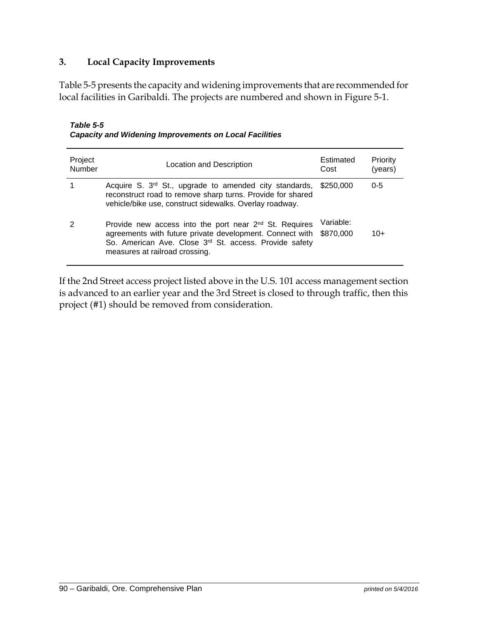## **3. Local Capacity Improvements**

Table 5-5 presents the capacity and widening improvements that are recommended for local facilities in Garibaldi. The projects are numbered and shown in Figure 5-1.

| <b>Table 5-5</b>                                              |
|---------------------------------------------------------------|
| <b>Capacity and Widening Improvements on Local Facilities</b> |

| Project<br>Number | Location and Description                                                                                                                                                                                                               | Estimated<br>Cost      | Priority<br>(years) |
|-------------------|----------------------------------------------------------------------------------------------------------------------------------------------------------------------------------------------------------------------------------------|------------------------|---------------------|
| 1                 | Acquire S. 3 <sup>rd</sup> St., upgrade to amended city standards,<br>reconstruct road to remove sharp turns. Provide for shared<br>vehicle/bike use, construct sidewalks. Overlay roadway.                                            | \$250,000              | $0 - 5$             |
| 2                 | Provide new access into the port near 2 <sup>nd</sup> St. Requires<br>agreements with future private development. Connect with<br>So. American Ave. Close 3 <sup>rd</sup> St. access. Provide safety<br>measures at railroad crossing. | Variable:<br>\$870,000 | 10+                 |

If the 2nd Street access project listed above in the U.S. 101 access management section is advanced to an earlier year and the 3rd Street is closed to through traffic, then this project (#1) should be removed from consideration.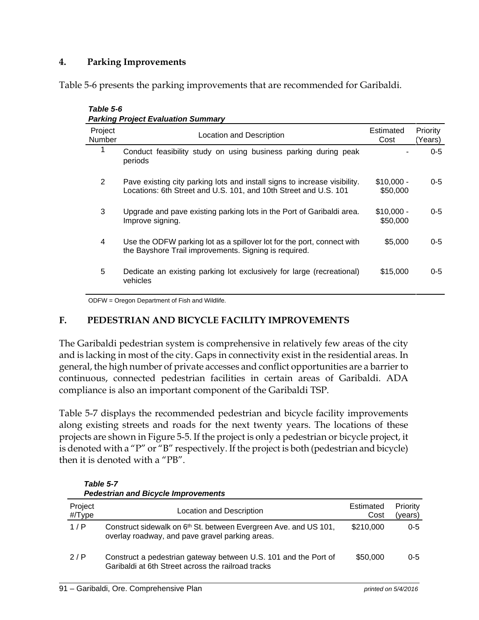## **4. Parking Improvements**

Table 5-6 presents the parking improvements that are recommended for Garibaldi.

| Table 5-6         | <b>Parking Project Evaluation Summary</b>                                                                                                     |                         |                     |
|-------------------|-----------------------------------------------------------------------------------------------------------------------------------------------|-------------------------|---------------------|
| Project<br>Number | Location and Description                                                                                                                      | Estimated<br>Cost       | Priority<br>(Years) |
| 1                 | Conduct feasibility study on using business parking during peak<br>periods                                                                    |                         | $0 - 5$             |
| 2                 | Pave existing city parking lots and install signs to increase visibility.<br>Locations: 6th Street and U.S. 101, and 10th Street and U.S. 101 | $$10,000 -$<br>\$50,000 | $0 - 5$             |
| 3                 | Upgrade and pave existing parking lots in the Port of Garibaldi area.<br>Improve signing.                                                     | $$10,000 -$<br>\$50,000 | $0 - 5$             |
| 4                 | Use the ODFW parking lot as a spillover lot for the port, connect with<br>the Bayshore Trail improvements. Signing is required.               | \$5,000                 | $0 - 5$             |
| 5                 | Dedicate an existing parking lot exclusively for large (recreational)<br>vehicles                                                             | \$15,000                | $0 - 5$             |

ODFW = Oregon Department of Fish and Wildlife.

#### **F. PEDESTRIAN AND BICYCLE FACILITY IMPROVEMENTS**

The Garibaldi pedestrian system is comprehensive in relatively few areas of the city and is lacking in most of the city. Gaps in connectivity exist in the residential areas. In general, the high number of private accesses and conflict opportunities are a barrier to continuous, connected pedestrian facilities in certain areas of Garibaldi. ADA compliance is also an important component of the Garibaldi TSP.

Table 5-7 displays the recommended pedestrian and bicycle facility improvements along existing streets and roads for the next twenty years. The locations of these projects are shown in Figure 5-5. If the project is only a pedestrian or bicycle project, it is denoted with a "P" or "B" respectively. If the project is both (pedestrian and bicycle) then it is denoted with a "PB".

| <b>Pedestrian and Bicycle Improvements</b> |                                                                                                                                 |                   |                     |
|--------------------------------------------|---------------------------------------------------------------------------------------------------------------------------------|-------------------|---------------------|
| Project<br>#/Type                          | Location and Description                                                                                                        | Estimated<br>Cost | Priority<br>(years) |
| 1/P                                        | Construct sidewalk on 6 <sup>th</sup> St. between Evergreen Ave. and US 101,<br>overlay roadway, and pave gravel parking areas. | \$210,000         | $0 - 5$             |
| 2/P                                        | Construct a pedestrian gateway between U.S. 101 and the Port of<br>Garibaldi at 6th Street across the railroad tracks           | \$50,000          | $0 - 5$             |

*Table 5-7 Pedestrian and Bicycle Improvements*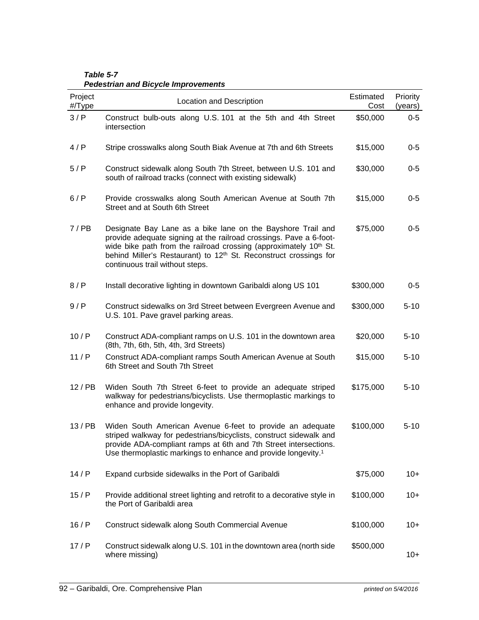| Project<br>#/Type | Location and Description                                                                                                                                                                                                                                                                                                               | Estimated<br>Cost | Priority<br>(years) |
|-------------------|----------------------------------------------------------------------------------------------------------------------------------------------------------------------------------------------------------------------------------------------------------------------------------------------------------------------------------------|-------------------|---------------------|
| 3/P               | Construct bulb-outs along U.S. 101 at the 5th and 4th Street<br>intersection                                                                                                                                                                                                                                                           | \$50,000          | $0-5$               |
| 4/P               | Stripe crosswalks along South Biak Avenue at 7th and 6th Streets                                                                                                                                                                                                                                                                       | \$15,000          | $0-5$               |
| 5/P               | Construct sidewalk along South 7th Street, between U.S. 101 and<br>south of railroad tracks (connect with existing sidewalk)                                                                                                                                                                                                           | \$30,000          | $0-5$               |
| 6/P               | Provide crosswalks along South American Avenue at South 7th<br>Street and at South 6th Street                                                                                                                                                                                                                                          | \$15,000          | $0-5$               |
| 7/PB              | Designate Bay Lane as a bike lane on the Bayshore Trail and<br>provide adequate signing at the railroad crossings. Pave a 6-foot-<br>wide bike path from the railroad crossing (approximately 10 <sup>th</sup> St.<br>behind Miller's Restaurant) to 12 <sup>th</sup> St. Reconstruct crossings for<br>continuous trail without steps. | \$75,000          | $0-5$               |
| 8/P               | Install decorative lighting in downtown Garibaldi along US 101                                                                                                                                                                                                                                                                         | \$300,000         | $0-5$               |
| 9/P               | Construct sidewalks on 3rd Street between Evergreen Avenue and<br>U.S. 101. Pave gravel parking areas.                                                                                                                                                                                                                                 | \$300,000         | $5 - 10$            |
| 10/P              | Construct ADA-compliant ramps on U.S. 101 in the downtown area<br>(8th, 7th, 6th, 5th, 4th, 3rd Streets)                                                                                                                                                                                                                               | \$20,000          | $5 - 10$            |
| 11/P              | Construct ADA-compliant ramps South American Avenue at South<br>6th Street and South 7th Street                                                                                                                                                                                                                                        | \$15,000          | $5 - 10$            |
| 12/PB             | Widen South 7th Street 6-feet to provide an adequate striped<br>walkway for pedestrians/bicyclists. Use thermoplastic markings to<br>enhance and provide longevity.                                                                                                                                                                    | \$175,000         | $5 - 10$            |
| 13/PB             | Widen South American Avenue 6-feet to provide an adequate<br>striped walkway for pedestrians/bicyclists, construct sidewalk and<br>provide ADA-compliant ramps at 6th and 7th Street intersections.<br>Use thermoplastic markings to enhance and provide longevity. <sup>1</sup>                                                       | \$100,000         | $5 - 10$            |
| 14/P              | Expand curbside sidewalks in the Port of Garibaldi                                                                                                                                                                                                                                                                                     | \$75,000          | $10+$               |
| 15/P              | Provide additional street lighting and retrofit to a decorative style in<br>the Port of Garibaldi area                                                                                                                                                                                                                                 | \$100,000         | $10+$               |
| 16/P              | Construct sidewalk along South Commercial Avenue                                                                                                                                                                                                                                                                                       | \$100,000         | $10+$               |
| 17/P              | Construct sidewalk along U.S. 101 in the downtown area (north side<br>where missing)                                                                                                                                                                                                                                                   | \$500,000         | $10+$               |

*Table 5-7 Pedestrian and Bicycle Improvements*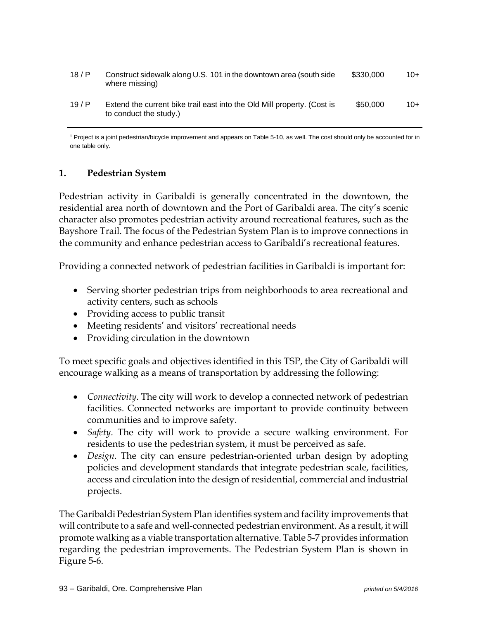| 18/P | Construct sidewalk along U.S. 101 in the downtown area (south side)<br>where missing)             | \$330,000 | $10+$ |
|------|---------------------------------------------------------------------------------------------------|-----------|-------|
| 19/P | Extend the current bike trail east into the Old Mill property. (Cost is<br>to conduct the study.) | \$50,000  | $10+$ |

<sup>1</sup> Project is a joint pedestrian/bicycle improvement and appears on Table 5-10, as well. The cost should only be accounted for in one table only.

#### **1. Pedestrian System**

Pedestrian activity in Garibaldi is generally concentrated in the downtown, the residential area north of downtown and the Port of Garibaldi area. The city's scenic character also promotes pedestrian activity around recreational features, such as the Bayshore Trail. The focus of the Pedestrian System Plan is to improve connections in the community and enhance pedestrian access to Garibaldi's recreational features.

Providing a connected network of pedestrian facilities in Garibaldi is important for:

- Serving shorter pedestrian trips from neighborhoods to area recreational and activity centers, such as schools
- Providing access to public transit
- Meeting residents' and visitors' recreational needs
- Providing circulation in the downtown

To meet specific goals and objectives identified in this TSP, the City of Garibaldi will encourage walking as a means of transportation by addressing the following:

- *Connectivity*. The city will work to develop a connected network of pedestrian facilities. Connected networks are important to provide continuity between communities and to improve safety.
- *Safety*. The city will work to provide a secure walking environment. For residents to use the pedestrian system, it must be perceived as safe.
- *Design*. The city can ensure pedestrian-oriented urban design by adopting policies and development standards that integrate pedestrian scale, facilities, access and circulation into the design of residential, commercial and industrial projects.

The Garibaldi Pedestrian System Plan identifies system and facility improvements that will contribute to a safe and well-connected pedestrian environment. As a result, it will promote walking as a viable transportation alternative. Table 5-7 provides information regarding the pedestrian improvements. The Pedestrian System Plan is shown in Figure 5-6.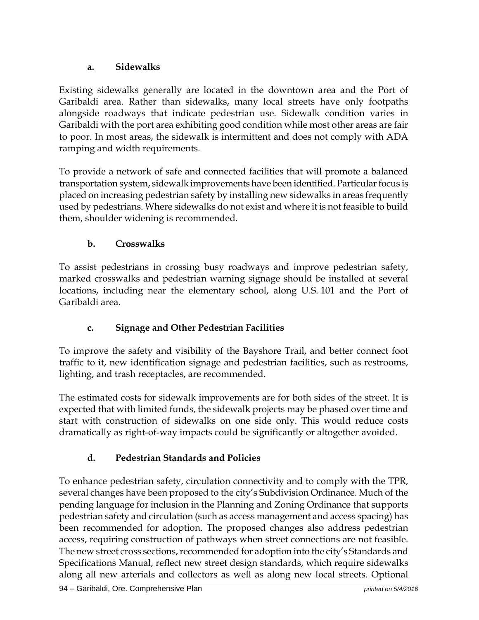## **a. Sidewalks**

Existing sidewalks generally are located in the downtown area and the Port of Garibaldi area. Rather than sidewalks, many local streets have only footpaths alongside roadways that indicate pedestrian use. Sidewalk condition varies in Garibaldi with the port area exhibiting good condition while most other areas are fair to poor. In most areas, the sidewalk is intermittent and does not comply with ADA ramping and width requirements.

To provide a network of safe and connected facilities that will promote a balanced transportation system, sidewalk improvements have been identified. Particular focus is placed on increasing pedestrian safety by installing new sidewalks in areas frequently used by pedestrians. Where sidewalks do not exist and where it is not feasible to build them, shoulder widening is recommended.

## **b. Crosswalks**

To assist pedestrians in crossing busy roadways and improve pedestrian safety, marked crosswalks and pedestrian warning signage should be installed at several locations, including near the elementary school, along U.S. 101 and the Port of Garibaldi area.

## **c. Signage and Other Pedestrian Facilities**

To improve the safety and visibility of the Bayshore Trail, and better connect foot traffic to it, new identification signage and pedestrian facilities, such as restrooms, lighting, and trash receptacles, are recommended.

The estimated costs for sidewalk improvements are for both sides of the street. It is expected that with limited funds, the sidewalk projects may be phased over time and start with construction of sidewalks on one side only. This would reduce costs dramatically as right-of-way impacts could be significantly or altogether avoided.

# **d. Pedestrian Standards and Policies**

To enhance pedestrian safety, circulation connectivity and to comply with the TPR, several changes have been proposed to the city's Subdivision Ordinance. Much of the pending language for inclusion in the Planning and Zoning Ordinance that supports pedestrian safety and circulation (such as access management and access spacing) has been recommended for adoption. The proposed changes also address pedestrian access, requiring construction of pathways when street connections are not feasible. The new street cross sections, recommended for adoption into the city's Standards and Specifications Manual, reflect new street design standards, which require sidewalks along all new arterials and collectors as well as along new local streets. Optional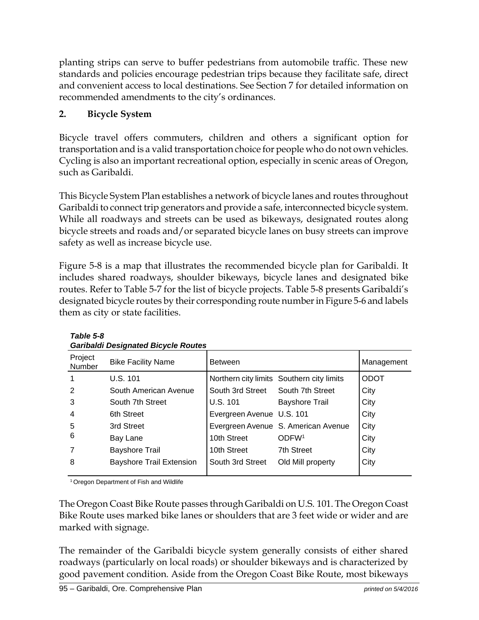planting strips can serve to buffer pedestrians from automobile traffic. These new standards and policies encourage pedestrian trips because they facilitate safe, direct and convenient access to local destinations. See Section 7 for detailed information on recommended amendments to the city's ordinances.

# **2. Bicycle System**

Bicycle travel offers commuters, children and others a significant option for transportation and is a valid transportation choice for people who do not own vehicles. Cycling is also an important recreational option, especially in scenic areas of Oregon, such as Garibaldi.

This Bicycle System Plan establishes a network of bicycle lanes and routes throughout Garibaldi to connect trip generators and provide a safe, interconnected bicycle system. While all roadways and streets can be used as bikeways, designated routes along bicycle streets and roads and/or separated bicycle lanes on busy streets can improve safety as well as increase bicycle use.

Figure 5-8 is a map that illustrates the recommended bicycle plan for Garibaldi. It includes shared roadways, shoulder bikeways, bicycle lanes and designated bike routes. Refer to Table 5-7 for the list of bicycle projects. Table 5-8 presents Garibaldi's designated bicycle routes by their corresponding route number in Figure 5-6 and labels them as city or state facilities.

| Campaign Designated Dicycle Routes |                                 |                                   |                                           |             |
|------------------------------------|---------------------------------|-----------------------------------|-------------------------------------------|-------------|
| Project<br>Number                  | <b>Bike Facility Name</b>       | <b>Between</b>                    |                                           | Management  |
|                                    | U.S. 101                        |                                   | Northern city limits Southern city limits | <b>ODOT</b> |
| 2                                  | South American Avenue           | South 3rd Street South 7th Street |                                           | City        |
| 3                                  | South 7th Street                | U.S. 101                          | <b>Bayshore Trail</b>                     | City        |
| $\overline{4}$                     | 6th Street                      | Evergreen Avenue U.S. 101         |                                           | City        |
| 5                                  | 3rd Street                      |                                   | Evergreen Avenue S. American Avenue       | City        |
| 6                                  | Bay Lane                        | 10th Street                       | ODFW <sup>1</sup>                         | City        |
|                                    | <b>Bayshore Trail</b>           | 10th Street                       | 7th Street                                | City        |
| 8                                  | <b>Bayshore Trail Extension</b> | South 3rd Street                  | Old Mill property                         | City        |
|                                    |                                 |                                   |                                           |             |

*Table 5-8 Garibaldi Designated Bicycle Routes* 

<sup>1</sup> Oregon Department of Fish and Wildlife

The Oregon Coast Bike Route passes through Garibaldi on U.S. 101. The Oregon Coast Bike Route uses marked bike lanes or shoulders that are 3 feet wide or wider and are marked with signage.

The remainder of the Garibaldi bicycle system generally consists of either shared roadways (particularly on local roads) or shoulder bikeways and is characterized by good pavement condition. Aside from the Oregon Coast Bike Route, most bikeways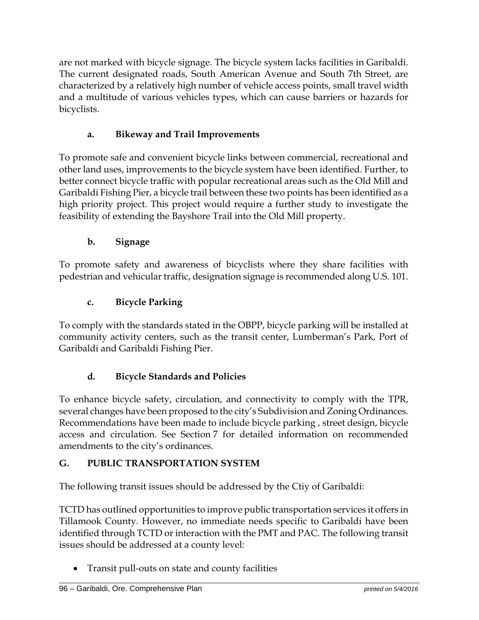are not marked with bicycle signage. The bicycle system lacks facilities in Garibaldi. The current designated roads, South American Avenue and South 7th Street, are characterized by a relatively high number of vehicle access points, small travel width and a multitude of various vehicles types, which can cause barriers or hazards for bicyclists.

# **a. Bikeway and Trail Improvements**

To promote safe and convenient bicycle links between commercial, recreational and other land uses, improvements to the bicycle system have been identified. Further, to better connect bicycle traffic with popular recreational areas such as the Old Mill and Garibaldi Fishing Pier, a bicycle trail between these two points has been identified as a high priority project. This project would require a further study to investigate the feasibility of extending the Bayshore Trail into the Old Mill property.

# **b. Signage**

To promote safety and awareness of bicyclists where they share facilities with pedestrian and vehicular traffic, designation signage is recommended along U.S. 101.

# **c. Bicycle Parking**

To comply with the standards stated in the OBPP, bicycle parking will be installed at community activity centers, such as the transit center, Lumberman's Park, Port of Garibaldi and Garibaldi Fishing Pier.

# **d. Bicycle Standards and Policies**

To enhance bicycle safety, circulation, and connectivity to comply with the TPR, several changes have been proposed to the city's Subdivision and Zoning Ordinances. Recommendations have been made to include bicycle parking , street design, bicycle access and circulation. See Section 7 for detailed information on recommended amendments to the city's ordinances.

## **G. PUBLIC TRANSPORTATION SYSTEM**

The following transit issues should be addressed by the Ctiy of Garibaldi:

TCTD has outlined opportunities to improve public transportation services it offers in Tillamook County. However, no immediate needs specific to Garibaldi have been identified through TCTD or interaction with the PMT and PAC. The following transit issues should be addressed at a county level:

Transit pull-outs on state and county facilities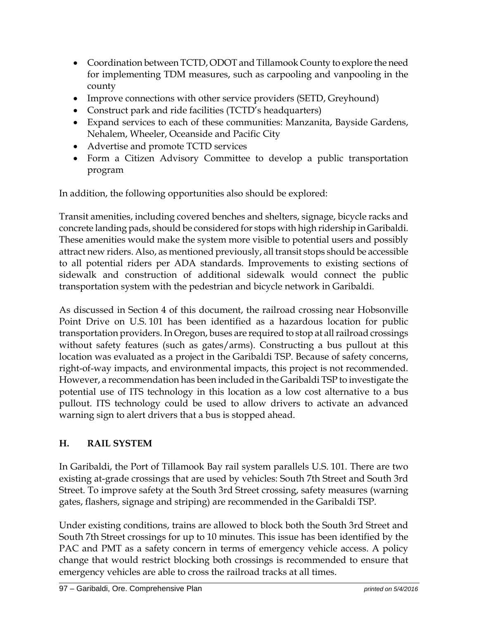- Coordination between TCTD, ODOT and Tillamook County to explore the need for implementing TDM measures, such as carpooling and vanpooling in the county
- Improve connections with other service providers (SETD, Greyhound)
- Construct park and ride facilities (TCTD's headquarters)
- Expand services to each of these communities: Manzanita, Bayside Gardens, Nehalem, Wheeler, Oceanside and Pacific City
- Advertise and promote TCTD services
- Form a Citizen Advisory Committee to develop a public transportation program

In addition, the following opportunities also should be explored:

Transit amenities, including covered benches and shelters, signage, bicycle racks and concrete landing pads, should be considered for stops with high ridership in Garibaldi. These amenities would make the system more visible to potential users and possibly attract new riders. Also, as mentioned previously, all transit stops should be accessible to all potential riders per ADA standards. Improvements to existing sections of sidewalk and construction of additional sidewalk would connect the public transportation system with the pedestrian and bicycle network in Garibaldi.

As discussed in Section 4 of this document, the railroad crossing near Hobsonville Point Drive on U.S. 101 has been identified as a hazardous location for public transportation providers. In Oregon, buses are required to stop at all railroad crossings without safety features (such as gates/arms). Constructing a bus pullout at this location was evaluated as a project in the Garibaldi TSP. Because of safety concerns, right-of-way impacts, and environmental impacts, this project is not recommended. However, a recommendation has been included in the Garibaldi TSP to investigate the potential use of ITS technology in this location as a low cost alternative to a bus pullout. ITS technology could be used to allow drivers to activate an advanced warning sign to alert drivers that a bus is stopped ahead.

# **H. RAIL SYSTEM**

In Garibaldi, the Port of Tillamook Bay rail system parallels U.S. 101. There are two existing at-grade crossings that are used by vehicles: South 7th Street and South 3rd Street. To improve safety at the South 3rd Street crossing, safety measures (warning gates, flashers, signage and striping) are recommended in the Garibaldi TSP.

Under existing conditions, trains are allowed to block both the South 3rd Street and South 7th Street crossings for up to 10 minutes. This issue has been identified by the PAC and PMT as a safety concern in terms of emergency vehicle access. A policy change that would restrict blocking both crossings is recommended to ensure that emergency vehicles are able to cross the railroad tracks at all times.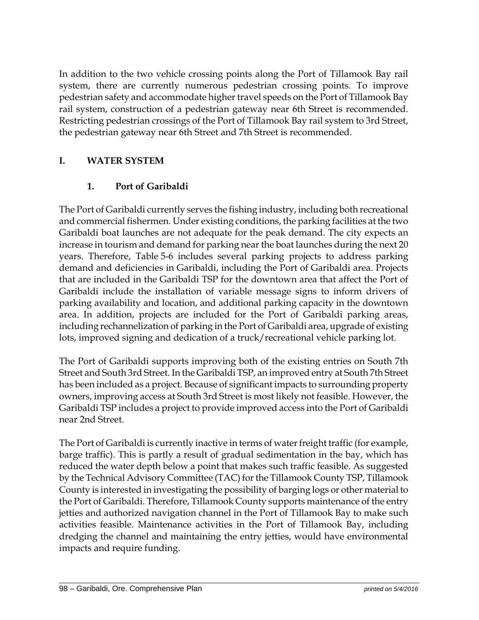In addition to the two vehicle crossing points along the Port of Tillamook Bay rail system, there are currently numerous pedestrian crossing points. To improve pedestrian safety and accommodate higher travel speeds on the Port of Tillamook Bay rail system, construction of a pedestrian gateway near 6th Street is recommended. Restricting pedestrian crossings of the Port of Tillamook Bay rail system to 3rd Street, the pedestrian gateway near 6th Street and 7th Street is recommended.

## **I. WATER SYSTEM**

## **1. Port of Garibaldi**

The Port of Garibaldi currently serves the fishing industry, including both recreational and commercial fishermen. Under existing conditions, the parking facilities at the two Garibaldi boat launches are not adequate for the peak demand. The city expects an increase in tourism and demand for parking near the boat launches during the next 20 years. Therefore, Table 5-6 includes several parking projects to address parking demand and deficiencies in Garibaldi, including the Port of Garibaldi area. Projects that are included in the Garibaldi TSP for the downtown area that affect the Port of Garibaldi include the installation of variable message signs to inform drivers of parking availability and location, and additional parking capacity in the downtown area. In addition, projects are included for the Port of Garibaldi parking areas, including rechannelization of parking in the Port of Garibaldi area, upgrade of existing lots, improved signing and dedication of a truck/recreational vehicle parking lot.

The Port of Garibaldi supports improving both of the existing entries on South 7th Street and South 3rd Street. In the Garibaldi TSP, an improved entry at South 7th Street has been included as a project. Because of significant impacts to surrounding property owners, improving access at South 3rd Street is most likely not feasible. However, the Garibaldi TSP includes a project to provide improved access into the Port of Garibaldi near 2nd Street.

The Port of Garibaldi is currently inactive in terms of water freight traffic (for example, barge traffic). This is partly a result of gradual sedimentation in the bay, which has reduced the water depth below a point that makes such traffic feasible. As suggested by the Technical Advisory Committee (TAC) for the Tillamook County TSP, Tillamook County is interested in investigating the possibility of barging logs or other material to the Port of Garibaldi. Therefore, Tillamook County supports maintenance of the entry jetties and authorized navigation channel in the Port of Tillamook Bay to make such activities feasible. Maintenance activities in the Port of Tillamook Bay, including dredging the channel and maintaining the entry jetties, would have environmental impacts and require funding.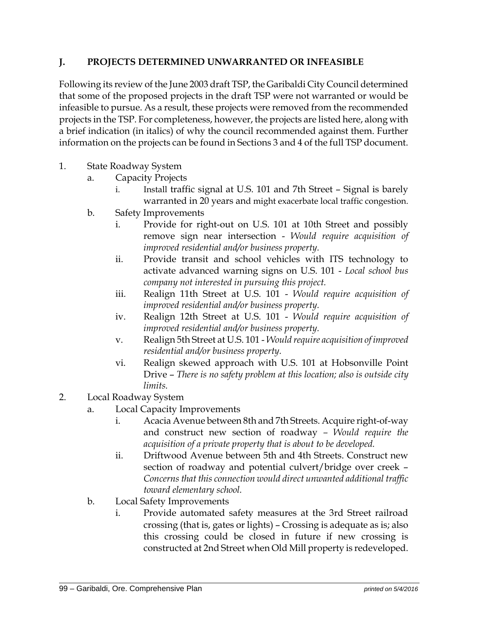## **J. PROJECTS DETERMINED UNWARRANTED OR INFEASIBLE**

Following its review of the June 2003 draft TSP, the Garibaldi City Council determined that some of the proposed projects in the draft TSP were not warranted or would be infeasible to pursue. As a result, these projects were removed from the recommended projects in the TSP. For completeness, however, the projects are listed here, along with a brief indication (in italics) of why the council recommended against them. Further information on the projects can be found in Sections 3 and 4 of the full TSP document.

- 1. State Roadway System
	- a. Capacity Projects
		- i. Install traffic signal at U.S. 101 and 7th Street Signal is barely warranted in 20 years and might exacerbate local traffic congestion.
	- b. Safety Improvements
		- i. Provide for right-out on U.S. 101 at 10th Street and possibly remove sign near intersection - *Would require acquisition of improved residential and/or business property.*
		- ii. Provide transit and school vehicles with ITS technology to activate advanced warning signs on U.S. 101 - *Local school bus company not interested in pursuing this project.*
		- iii. Realign 11th Street at U.S. 101 *Would require acquisition of improved residential and/or business property.*
		- iv. Realign 12th Street at U.S. 101 *Would require acquisition of improved residential and/or business property.*
		- v. Realign 5th Street at U.S. 101 *Would require acquisition of improved residential and/or business property.*
		- vi. Realign skewed approach with U.S. 101 at Hobsonville Point Drive – *There is no safety problem at this location; also is outside city limits.*
- 2. Local Roadway System
	- a. Local Capacity Improvements
		- i. Acacia Avenue between 8th and 7th Streets. Acquire right-of-way and construct new section of roadway *– Would require the acquisition of a private property that is about to be developed.*
		- ii. Driftwood Avenue between 5th and 4th Streets. Construct new section of roadway and potential culvert/bridge over creek – *Concerns that this connection would direct unwanted additional traffic toward elementary school.*
	- b. Local Safety Improvements
		- i. Provide automated safety measures at the 3rd Street railroad crossing (that is, gates or lights) – Crossing is adequate as is; also this crossing could be closed in future if new crossing is constructed at 2nd Street when Old Mill property is redeveloped.